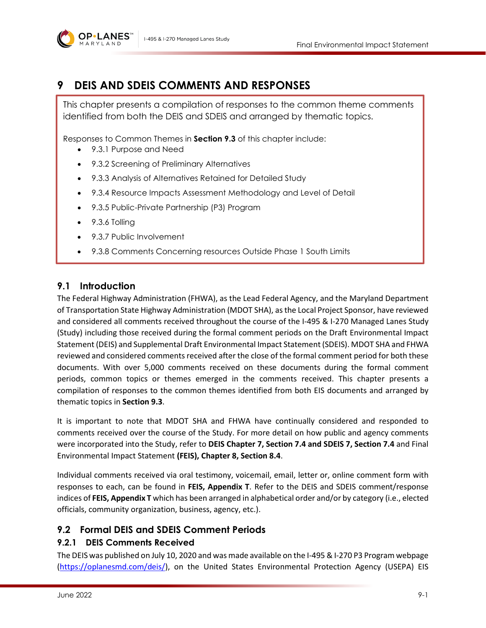

# **9 DEIS AND SDEIS COMMENTS AND RESPONSES**

This chapter presents a compilation of responses to the common theme comments identified from both the DEIS and SDEIS and arranged by thematic topics.

Responses to Common Themes in **Section [9.3](#page-1-0)** of this chapter include:

- 9.3.1 Purpose and Need
- 9.3.2 Screening of Preliminary Alternatives
- 9.3.3 Analysis of Alternatives Retained for Detailed Study
- 9.3.4 Resource Impacts Assessment Methodology and Level of Detail
- 9.3.5 Public-Private Partnership (P3) Program
- 9.3.6 Tolling
- 9.3.7 Public Involvement
- 9.3.8 Comments Concerning resources Outside Phase 1 South Limits

# **9.1 Introduction**

The Federal Highway Administration (FHWA), as the Lead Federal Agency, and the Maryland Department of Transportation State Highway Administration (MDOT SHA), as the Local Project Sponsor, have reviewed and considered all comments received throughout the course of the I-495 & I-270 Managed Lanes Study (Study) including those received during the formal comment periods on the Draft Environmental Impact Statement (DEIS) and Supplemental Draft Environmental Impact Statement (SDEIS). MDOT SHA and FHWA reviewed and considered comments received after the close of the formal comment period for both these documents. With over 5,000 comments received on these documents during the formal comment periods, common topics or themes emerged in the comments received. This chapter presents a compilation of responses to the common themes identified from both EIS documents and arranged by thematic topics in **Sectio[n 9.3](#page-1-0)**.

It is important to note that MDOT SHA and FHWA have continually considered and responded to comments received over the course of the Study. For more detail on how public and agency comments were incorporated into the Study, refer to **DEIS Chapter 7, Section 7.4 and SDEIS 7, Section 7.4** and Final Environmental Impact Statement **(FEIS), Chapter 8, Section 8.4**.

Individual comments received via oral testimony, voicemail, email, letter or, online comment form with responses to each, can be found in **FEIS, Appendix T**. Refer to the DEIS and SDEIS comment/response indices of **FEIS, Appendix T** which has been arranged in alphabetical order and/or by category (i.e., elected officials, community organization, business, agency, etc.).

# **9.2 Formal DEIS and SDEIS Comment Periods**

# **9.2.1 DEIS Comments Received**

The DEIS was published on July 10, 2020 and was made available on the I-495 & I-270 P3 Program webpage [\(https://oplanesmd.com/deis/\)](https://oplanesmd.com/deis/), on the United States Environmental Protection Agency (USEPA) EIS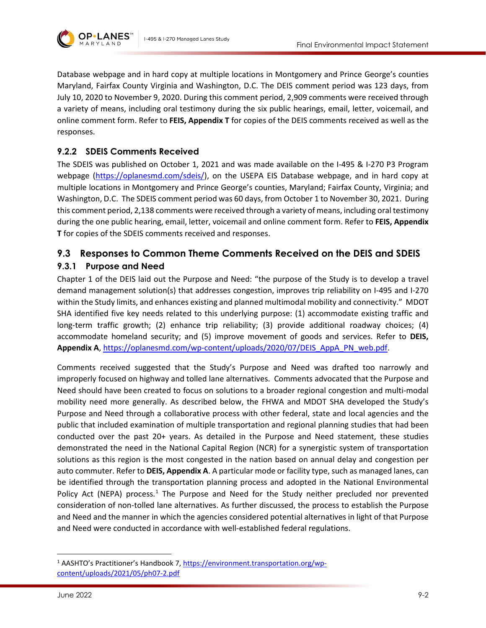

Database webpage and in hard copy at multiple locations in Montgomery and Prince George's counties Maryland, Fairfax County Virginia and Washington, D.C. The DEIS comment period was 123 days, from July 10, 2020 to November 9, 2020. During this comment period, 2,909 comments were received through a variety of means, including oral testimony during the six public hearings, email, letter, voicemail, and online comment form. Refer to **FEIS, Appendix T** for copies of the DEIS comments received as well as the responses.

# **9.2.2 SDEIS Comments Received**

**OP•LANES** 

The SDEIS was published on October 1, 2021 and was made available on the I-495 & I-270 P3 Program webpage [\(https://oplanesmd.com/sdeis/\)](https://oplanesmd.com/sdeis/), on the USEPA EIS Database webpage, and in hard copy at multiple locations in Montgomery and Prince George's counties, Maryland; Fairfax County, Virginia; and Washington, D.C. The SDEIS comment period was 60 days, from October 1 to November 30, 2021. During this comment period, 2,138 comments were received through a variety of means, including oral testimony during the one public hearing, email, letter, voicemail and online comment form. Refer to **FEIS, Appendix T** for copies of the SDEIS comments received and responses.

# <span id="page-1-2"></span><span id="page-1-0"></span>**9.3 Responses to Common Theme Comments Received on the DEIS and SDEIS 9.3.1 Purpose and Need**

Chapter 1 of the DEIS laid out the Purpose and Need: "the purpose of the Study is to develop a travel demand management solution(s) that addresses congestion, improves trip reliability on I-495 and I-270 within the Study limits, and enhances existing and planned multimodal mobility and connectivity." MDOT SHA identified five key needs related to this underlying purpose: (1) accommodate existing traffic and long-term traffic growth; (2) enhance trip reliability; (3) provide additional roadway choices; (4) accommodate homeland security; and (5) improve movement of goods and services. Refer to **DEIS, Appendix A**, [https://oplanesmd.com/wp-content/uploads/2020/07/DEIS\\_AppA\\_PN\\_web.pdf.](https://oplanesmd.com/wp-content/uploads/2020/07/DEIS_AppA_PN_web.pdf)

Comments received suggested that the Study's Purpose and Need was drafted too narrowly and improperly focused on highway and tolled lane alternatives. Comments advocated that the Purpose and Need should have been created to focus on solutions to a broader regional congestion and multi-modal mobility need more generally. As described below, the FHWA and MDOT SHA developed the Study's Purpose and Need through a collaborative process with other federal, state and local agencies and the public that included examination of multiple transportation and regional planning studies that had been conducted over the past 20+ years. As detailed in the Purpose and Need statement, these studies demonstrated the need in the National Capital Region (NCR) for a synergistic system of transportation solutions as this region is the most congested in the nation based on annual delay and congestion per auto commuter. Refer to **DEIS, Appendix A**. A particular mode or facility type, such as managed lanes, can be identified through the transportation planning process and adopted in the National Environmental Policy Act (NEPA) process.<sup>[1](#page-1-1)</sup> The Purpose and Need for the Study neither precluded nor prevented consideration of non-tolled lane alternatives. As further discussed, the process to establish the Purpose and Need and the manner in which the agencies considered potential alternatives in light of that Purpose and Need were conducted in accordance with well-established federal regulations.

<span id="page-1-1"></span><sup>&</sup>lt;sup>1</sup> AASHTO's Practitioner's Handbook 7[, https://environment.transportation.org/wp](https://environment.transportation.org/wp-content/uploads/2021/05/ph07-2.pdf)[content/uploads/2021/05/ph07-2.pdf](https://environment.transportation.org/wp-content/uploads/2021/05/ph07-2.pdf)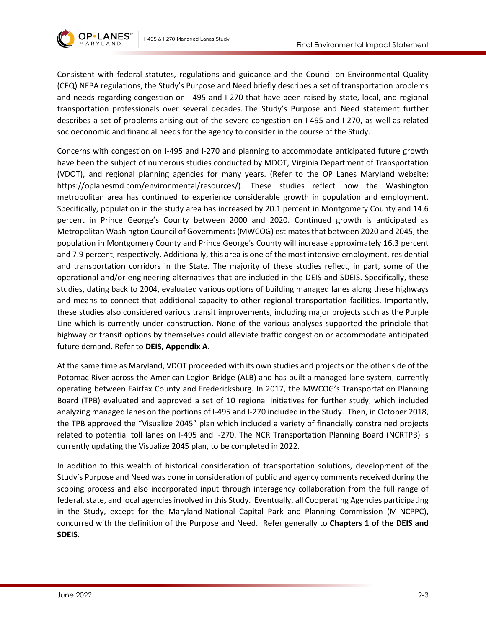

Consistent with federal statutes, regulations and guidance and the Council on Environmental Quality (CEQ) NEPA regulations, the Study's Purpose and Need briefly describes a set of transportation problems and needs regarding congestion on I-495 and I-270 that have been raised by state, local, and regional transportation professionals over several decades. The Study's Purpose and Need statement further describes a set of problems arising out of the severe congestion on I-495 and I-270, as well as related socioeconomic and financial needs for the agency to consider in the course of the Study.

Concerns with congestion on I-495 and I-270 and planning to accommodate anticipated future growth have been the subject of numerous studies conducted by MDOT, Virginia Department of Transportation (VDOT), and regional planning agencies for many years. (Refer to the OP Lanes Maryland website: https://oplanesmd.com/environmental/resources/). These studies reflect how the Washington metropolitan area has continued to experience considerable growth in population and employment. Specifically, population in the study area has increased by 20.1 percent in Montgomery County and 14.6 percent in Prince George's County between 2000 and 2020. Continued growth is anticipated as Metropolitan Washington Council of Governments (MWCOG) estimates that between 2020 and 2045, the population in Montgomery County and Prince George's County will increase approximately 16.3 percent and 7.9 percent, respectively. Additionally, this area is one of the most intensive employment, residential and transportation corridors in the State. The majority of these studies reflect, in part, some of the operational and/or engineering alternatives that are included in the DEIS and SDEIS. Specifically, these studies, dating back to 2004, evaluated various options of building managed lanes along these highways and means to connect that additional capacity to other regional transportation facilities. Importantly, these studies also considered various transit improvements, including major projects such as the Purple Line which is currently under construction. None of the various analyses supported the principle that highway or transit options by themselves could alleviate traffic congestion or accommodate anticipated future demand. Refer to **DEIS, Appendix A**.

At the same time as Maryland, VDOT proceeded with its own studies and projects on the other side of the Potomac River across the American Legion Bridge (ALB) and has built a managed lane system, currently operating between Fairfax County and Fredericksburg. In 2017, the MWCOG's Transportation Planning Board (TPB) evaluated and approved a set of 10 regional initiatives for further study, which included analyzing managed lanes on the portions of I-495 and I-270 included in the Study. Then, in October 2018, the TPB approved the "Visualize 2045" plan which included a variety of financially constrained projects related to potential toll lanes on I-495 and I-270. The NCR Transportation Planning Board (NCRTPB) is currently updating the Visualize 2045 plan, to be completed in 2022.

In addition to this wealth of historical consideration of transportation solutions, development of the Study's Purpose and Need was done in consideration of public and agency comments received during the scoping process and also incorporated input through interagency collaboration from the full range of federal, state, and local agencies involved in this Study. Eventually, all Cooperating Agencies participating in the Study, except for the Maryland-National Capital Park and Planning Commission (M-NCPPC), concurred with the definition of the Purpose and Need. Refer generally to **Chapters 1 of the DEIS and SDEIS**.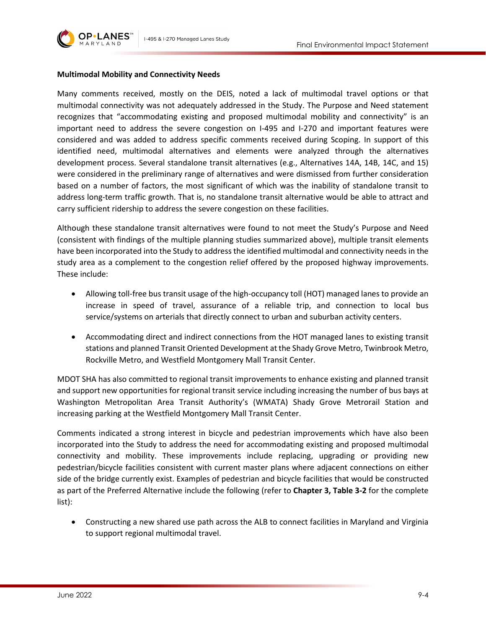

### **Multimodal Mobility and Connectivity Needs**

Many comments received, mostly on the DEIS, noted a lack of multimodal travel options or that multimodal connectivity was not adequately addressed in the Study. The Purpose and Need statement recognizes that "accommodating existing and proposed multimodal mobility and connectivity" is an important need to address the severe congestion on I-495 and I-270 and important features were considered and was added to address specific comments received during Scoping. In support of this identified need, multimodal alternatives and elements were analyzed through the alternatives development process. Several standalone transit alternatives (e.g., Alternatives 14A, 14B, 14C, and 15) were considered in the preliminary range of alternatives and were dismissed from further consideration based on a number of factors, the most significant of which was the inability of standalone transit to address long-term traffic growth. That is, no standalone transit alternative would be able to attract and carry sufficient ridership to address the severe congestion on these facilities.

Although these standalone transit alternatives were found to not meet the Study's Purpose and Need (consistent with findings of the multiple planning studies summarized above), multiple transit elements have been incorporated into the Study to address the identified multimodal and connectivity needs in the study area as a complement to the congestion relief offered by the proposed highway improvements. These include:

- Allowing toll-free bus transit usage of the high-occupancy toll (HOT) managed lanes to provide an increase in speed of travel, assurance of a reliable trip, and connection to local bus service/systems on arterials that directly connect to urban and suburban activity centers.
- Accommodating direct and indirect connections from the HOT managed lanes to existing transit stations and planned Transit Oriented Development at the Shady Grove Metro, Twinbrook Metro, Rockville Metro, and Westfield Montgomery Mall Transit Center.

MDOT SHA has also committed to regional transit improvements to enhance existing and planned transit and support new opportunities for regional transit service including increasing the number of bus bays at Washington Metropolitan Area Transit Authority's (WMATA) Shady Grove Metrorail Station and increasing parking at the Westfield Montgomery Mall Transit Center.

Comments indicated a strong interest in bicycle and pedestrian improvements which have also been incorporated into the Study to address the need for accommodating existing and proposed multimodal connectivity and mobility. These improvements include replacing, upgrading or providing new pedestrian/bicycle facilities consistent with current master plans where adjacent connections on either side of the bridge currently exist. Examples of pedestrian and bicycle facilities that would be constructed as part of the Preferred Alternative include the following (refer to **Chapter 3, Table 3-2** for the complete list):

• Constructing a new shared use path across the ALB to connect facilities in Maryland and Virginia to support regional multimodal travel.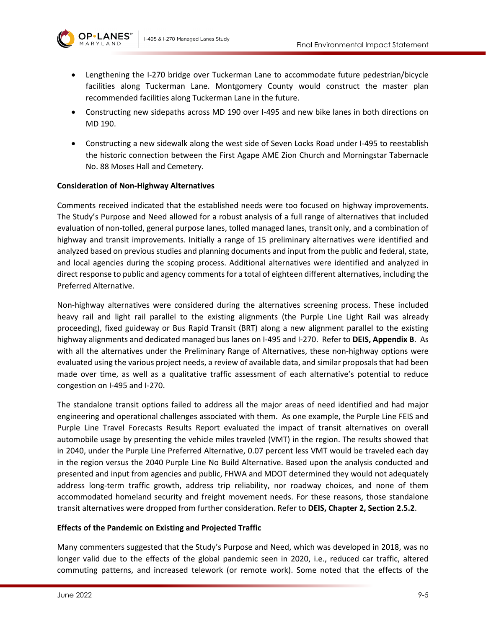

- Lengthening the I-270 bridge over Tuckerman Lane to accommodate future pedestrian/bicycle facilities along Tuckerman Lane. Montgomery County would construct the master plan recommended facilities along Tuckerman Lane in the future.
- Constructing new sidepaths across MD 190 over I-495 and new bike lanes in both directions on MD 190.
- Constructing a new sidewalk along the west side of Seven Locks Road under I-495 to reestablish the historic connection between the First Agape AME Zion Church and Morningstar Tabernacle No. 88 Moses Hall and Cemetery.

### **Consideration of Non-Highway Alternatives**

Comments received indicated that the established needs were too focused on highway improvements. The Study's Purpose and Need allowed for a robust analysis of a full range of alternatives that included evaluation of non-tolled, general purpose lanes, tolled managed lanes, transit only, and a combination of highway and transit improvements. Initially a range of 15 preliminary alternatives were identified and analyzed based on previous studies and planning documents and input from the public and federal, state, and local agencies during the scoping process. Additional alternatives were identified and analyzed in direct response to public and agency comments for a total of eighteen different alternatives, including the Preferred Alternative.

Non-highway alternatives were considered during the alternatives screening process. These included heavy rail and light rail parallel to the existing alignments (the Purple Line Light Rail was already proceeding), fixed guideway or Bus Rapid Transit (BRT) along a new alignment parallel to the existing highway alignments and dedicated managed bus lanes on I-495 and I-270. Refer to **DEIS, Appendix B**. As with all the alternatives under the Preliminary Range of Alternatives, these non-highway options were evaluated using the various project needs, a review of available data, and similar proposals that had been made over time, as well as a qualitative traffic assessment of each alternative's potential to reduce congestion on I-495 and I-270.

The standalone transit options failed to address all the major areas of need identified and had major engineering and operational challenges associated with them. As one example, the Purple Line FEIS and Purple Line Travel Forecasts Results Report evaluated the impact of transit alternatives on overall automobile usage by presenting the vehicle miles traveled (VMT) in the region. The results showed that in 2040, under the Purple Line Preferred Alternative, 0.07 percent less VMT would be traveled each day in the region versus the 2040 Purple Line No Build Alternative. Based upon the analysis conducted and presented and input from agencies and public, FHWA and MDOT determined they would not adequately address long-term traffic growth, address trip reliability, nor roadway choices, and none of them accommodated homeland security and freight movement needs. For these reasons, those standalone transit alternatives were dropped from further consideration. Refer to **DEIS, Chapter 2, Section 2.5.2**.

#### **Effects of the Pandemic on Existing and Projected Traffic**

Many commenters suggested that the Study's Purpose and Need, which was developed in 2018, was no longer valid due to the effects of the global pandemic seen in 2020, i.e., reduced car traffic, altered commuting patterns, and increased telework (or remote work). Some noted that the effects of the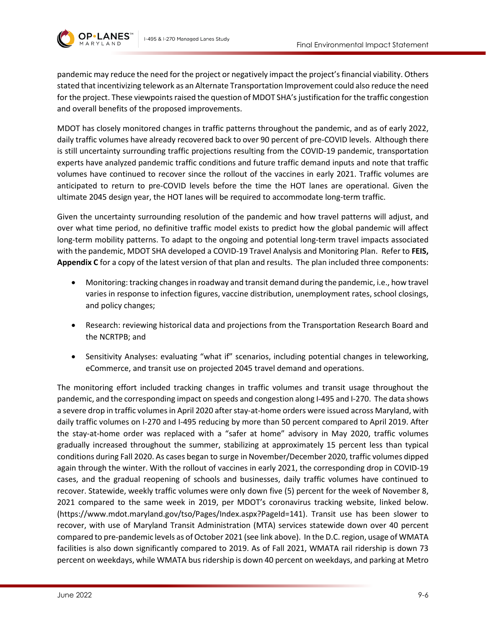

pandemic may reduce the need for the project or negatively impact the project's financial viability. Others stated that incentivizing telework as an Alternate Transportation Improvement could also reduce the need for the project. These viewpoints raised the question of MDOT SHA's justification for the traffic congestion and overall benefits of the proposed improvements.

MDOT has closely monitored changes in traffic patterns throughout the pandemic, and as of early 2022, daily traffic volumes have already recovered back to over 90 percent of pre-COVID levels. Although there is still uncertainty surrounding traffic projections resulting from the COVID-19 pandemic, transportation experts have analyzed pandemic traffic conditions and future traffic demand inputs and note that traffic volumes have continued to recover since the rollout of the vaccines in early 2021. Traffic volumes are anticipated to return to pre-COVID levels before the time the HOT lanes are operational. Given the ultimate 2045 design year, the HOT lanes will be required to accommodate long-term traffic.

Given the uncertainty surrounding resolution of the pandemic and how travel patterns will adjust, and over what time period, no definitive traffic model exists to predict how the global pandemic will affect long-term mobility patterns. To adapt to the ongoing and potential long-term travel impacts associated with the pandemic, MDOT SHA developed a COVID-19 Travel Analysis and Monitoring Plan. Refer to **FEIS, Appendix C** for a copy of the latest version of that plan and results. The plan included three components:

- Monitoring: tracking changes in roadway and transit demand during the pandemic, i.e., how travel varies in response to infection figures, vaccine distribution, unemployment rates, school closings, and policy changes;
- Research: reviewing historical data and projections from the Transportation Research Board and the NCRTPB; and
- Sensitivity Analyses: evaluating "what if" scenarios, including potential changes in teleworking, eCommerce, and transit use on projected 2045 travel demand and operations.

The monitoring effort included tracking changes in traffic volumes and transit usage throughout the pandemic, and the corresponding impact on speeds and congestion along I-495 and I-270. The data shows a severe drop in traffic volumes in April 2020 after stay-at-home orders were issued across Maryland, with daily traffic volumes on I-270 and I-495 reducing by more than 50 percent compared to April 2019. After the stay-at-home order was replaced with a "safer at home" advisory in May 2020, traffic volumes gradually increased throughout the summer, stabilizing at approximately 15 percent less than typical conditions during Fall 2020. As cases began to surge in November/December 2020, traffic volumes dipped again through the winter. With the rollout of vaccines in early 2021, the corresponding drop in COVID-19 cases, and the gradual reopening of schools and businesses, daily traffic volumes have continued to recover. Statewide, weekly traffic volumes were only down five (5) percent for the week of November 8, 2021 compared to the same week in 2019, per MDOT's coronavirus tracking website, linked below. (https://www.mdot.maryland.gov/tso/Pages/Index.aspx?PageId=141). Transit use has been slower to recover, with use of Maryland Transit Administration (MTA) services statewide down over 40 percent compared to pre-pandemic levels as of October 2021 (see link above). In the D.C. region, usage of WMATA facilities is also down significantly compared to 2019. As of Fall 2021, WMATA rail ridership is down 73 percent on weekdays, while WMATA bus ridership is down 40 percent on weekdays, and parking at Metro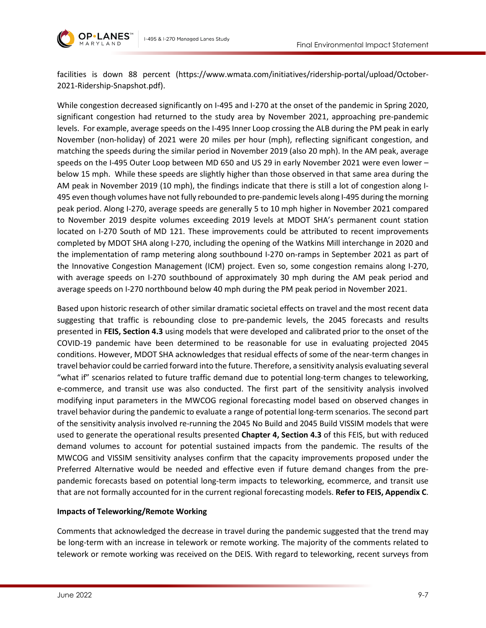

**OP•LANES** 

facilities is down 88 percent (https://www.wmata.com/initiatives/ridership-portal/upload/October-2021-Ridership-Snapshot.pdf).

While congestion decreased significantly on I-495 and I-270 at the onset of the pandemic in Spring 2020, significant congestion had returned to the study area by November 2021, approaching pre-pandemic levels. For example, average speeds on the I-495 Inner Loop crossing the ALB during the PM peak in early November (non-holiday) of 2021 were 20 miles per hour (mph), reflecting significant congestion, and matching the speeds during the similar period in November 2019 (also 20 mph). In the AM peak, average speeds on the I-495 Outer Loop between MD 650 and US 29 in early November 2021 were even lower – below 15 mph. While these speeds are slightly higher than those observed in that same area during the AM peak in November 2019 (10 mph), the findings indicate that there is still a lot of congestion along I-495 even though volumes have not fully rebounded to pre-pandemic levels along I-495 during the morning peak period. Along I-270, average speeds are generally 5 to 10 mph higher in November 2021 compared to November 2019 despite volumes exceeding 2019 levels at MDOT SHA's permanent count station located on I-270 South of MD 121. These improvements could be attributed to recent improvements completed by MDOT SHA along I-270, including the opening of the Watkins Mill interchange in 2020 and the implementation of ramp metering along southbound I-270 on-ramps in September 2021 as part of the Innovative Congestion Management (ICM) project. Even so, some congestion remains along I-270, with average speeds on I-270 southbound of approximately 30 mph during the AM peak period and average speeds on I-270 northbound below 40 mph during the PM peak period in November 2021.

Based upon historic research of other similar dramatic societal effects on travel and the most recent data suggesting that traffic is rebounding close to pre-pandemic levels, the 2045 forecasts and results presented in **FEIS, Section 4.3** using models that were developed and calibrated prior to the onset of the COVID-19 pandemic have been determined to be reasonable for use in evaluating projected 2045 conditions. However, MDOT SHA acknowledges that residual effects of some of the near-term changes in travel behavior could be carried forward into the future. Therefore, a sensitivity analysis evaluating several "what if" scenarios related to future traffic demand due to potential long-term changes to teleworking, e-commerce, and transit use was also conducted. The first part of the sensitivity analysis involved modifying input parameters in the MWCOG regional forecasting model based on observed changes in travel behavior during the pandemic to evaluate a range of potential long-term scenarios. The second part of the sensitivity analysis involved re-running the 2045 No Build and 2045 Build VISSIM models that were used to generate the operational results presented **Chapter 4, Section 4.3** of this FEIS, but with reduced demand volumes to account for potential sustained impacts from the pandemic. The results of the MWCOG and VISSIM sensitivity analyses confirm that the capacity improvements proposed under the Preferred Alternative would be needed and effective even if future demand changes from the prepandemic forecasts based on potential long-term impacts to teleworking, ecommerce, and transit use that are not formally accounted for in the current regional forecasting models. **Refer to FEIS, Appendix C**.

### **Impacts of Teleworking/Remote Working**

Comments that acknowledged the decrease in travel during the pandemic suggested that the trend may be long-term with an increase in telework or remote working. The majority of the comments related to telework or remote working was received on the DEIS. With regard to teleworking, recent surveys from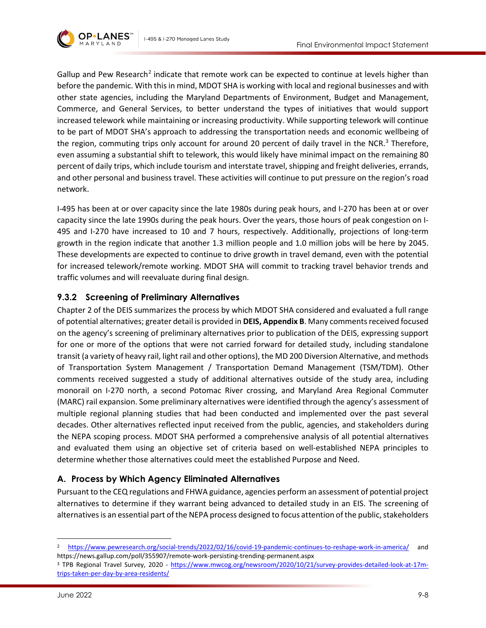

Gallup and Pew Research<sup>[2](#page-7-0)</sup> indicate that remote work can be expected to continue at levels higher than before the pandemic. With this in mind, MDOT SHA is working with local and regional businesses and with other state agencies, including the Maryland Departments of Environment, Budget and Management, Commerce, and General Services, to better understand the types of initiatives that would support increased telework while maintaining or increasing productivity. While supporting telework will continue to be part of MDOT SHA's approach to addressing the transportation needs and economic wellbeing of the region, commuting trips only account for around 20 percent of daily travel in the NCR.<sup>[3](#page-7-1)</sup> Therefore, even assuming a substantial shift to telework, this would likely have minimal impact on the remaining 80 percent of daily trips, which include tourism and interstate travel, shipping and freight deliveries, errands, and other personal and business travel. These activities will continue to put pressure on the region's road network.

I-495 has been at or over capacity since the late 1980s during peak hours, and I-270 has been at or over capacity since the late 1990s during the peak hours. Over the years, those hours of peak congestion on I-495 and I-270 have increased to 10 and 7 hours, respectively. Additionally, projections of long-term growth in the region indicate that another 1.3 million people and 1.0 million jobs will be here by 2045. These developments are expected to continue to drive growth in travel demand, even with the potential for increased telework/remote working. MDOT SHA will commit to tracking travel behavior trends and traffic volumes and will reevaluate during final design.

# **9.3.2 Screening of Preliminary Alternatives**

Chapter 2 of the DEIS summarizes the process by which MDOT SHA considered and evaluated a full range of potential alternatives; greater detail is provided in **DEIS, Appendix B**. Many comments received focused on the agency's screening of preliminary alternatives prior to publication of the DEIS, expressing support for one or more of the options that were not carried forward for detailed study, including standalone transit (a variety of heavy rail, light rail and other options), the MD 200 Diversion Alternative, and methods of Transportation System Management / Transportation Demand Management (TSM/TDM). Other comments received suggested a study of additional alternatives outside of the study area, including monorail on I-270 north, a second Potomac River crossing, and Maryland Area Regional Commuter (MARC) rail expansion. Some preliminary alternatives were identified through the agency's assessment of multiple regional planning studies that had been conducted and implemented over the past several decades. Other alternatives reflected input received from the public, agencies, and stakeholders during the NEPA scoping process. MDOT SHA performed a comprehensive analysis of all potential alternatives and evaluated them using an objective set of criteria based on well-established NEPA principles to determine whether those alternatives could meet the established Purpose and Need.

# **A. Process by Which Agency Eliminated Alternatives**

Pursuant to the CEQ regulations and FHWA guidance, agencies perform an assessment of potential project alternatives to determine if they warrant being advanced to detailed study in an EIS. The screening of alternatives is an essential part of the NEPA process designed to focus attention of the public, stakeholders

<span id="page-7-0"></span><sup>2</sup> <https://www.pewresearch.org/social-trends/2022/02/16/covid-19-pandemic-continues-to-reshape-work-in-america/> and https://news.gallup.com/poll/355907/remote-work-persisting-trending-permanent.aspx

<span id="page-7-1"></span><sup>3</sup> TPB Regional Travel Survey, 2020 - [https://www.mwcog.org/newsroom/2020/10/21/survey-provides-detailed-look-at-17m](https://www.mwcog.org/newsroom/2020/10/21/survey-provides-detailed-look-at-17m-trips-taken-per-day-by-area-residents/)[trips-taken-per-day-by-area-residents/](https://www.mwcog.org/newsroom/2020/10/21/survey-provides-detailed-look-at-17m-trips-taken-per-day-by-area-residents/)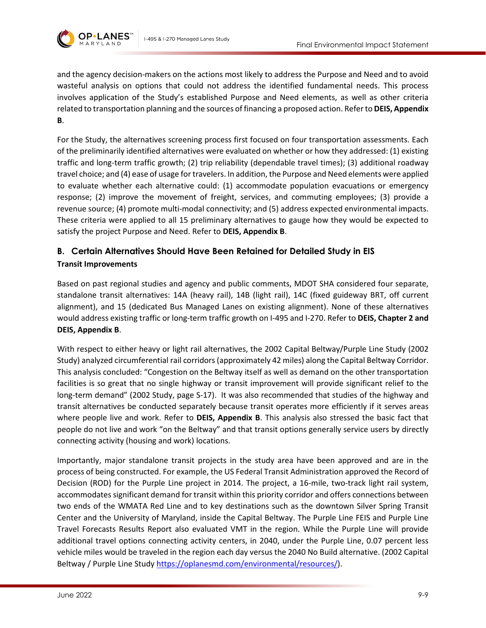

and the agency decision-makers on the actions most likely to address the Purpose and Need and to avoid wasteful analysis on options that could not address the identified fundamental needs. This process involves application of the Study's established Purpose and Need elements, as well as other criteria related to transportation planning and the sources of financing a proposed action. Refer to **DEIS, Appendix B**.

For the Study, the alternatives screening process first focused on four transportation assessments. Each of the preliminarily identified alternatives were evaluated on whether or how they addressed: (1) existing traffic and long-term traffic growth; (2) trip reliability (dependable travel times); (3) additional roadway travel choice; and (4) ease of usage for travelers. In addition, the Purpose and Need elements were applied to evaluate whether each alternative could: (1) accommodate population evacuations or emergency response; (2) improve the movement of freight, services, and commuting employees; (3) provide a revenue source; (4) promote multi-modal connectivity; and (5) address expected environmental impacts. These criteria were applied to all 15 preliminary alternatives to gauge how they would be expected to satisfy the project Purpose and Need. Refer to **DEIS, Appendix B**.

# <span id="page-8-0"></span>**B. Certain Alternatives Should Have Been Retained for Detailed Study in EIS Transit Improvements**

Based on past regional studies and agency and public comments, MDOT SHA considered four separate, standalone transit alternatives: 14A (heavy rail), 14B (light rail), 14C (fixed guideway BRT, off current alignment), and 15 (dedicated Bus Managed Lanes on existing alignment). None of these alternatives would address existing traffic or long-term traffic growth on I-495 and I-270. Refer to **DEIS, Chapter 2 and DEIS, Appendix B**.

With respect to either heavy or light rail alternatives, the 2002 Capital Beltway/Purple Line Study (2002 Study) analyzed circumferential rail corridors (approximately 42 miles) along the Capital Beltway Corridor. This analysis concluded: "Congestion on the Beltway itself as well as demand on the other transportation facilities is so great that no single highway or transit improvement will provide significant relief to the long-term demand" (2002 Study, page S-17). It was also recommended that studies of the highway and transit alternatives be conducted separately because transit operates more efficiently if it serves areas where people live and work. Refer to **DEIS, Appendix B**. This analysis also stressed the basic fact that people do not live and work "on the Beltway" and that transit options generally service users by directly connecting activity (housing and work) locations.

Importantly, major standalone transit projects in the study area have been approved and are in the process of being constructed. For example, the US Federal Transit Administration approved the Record of Decision (ROD) for the Purple Line project in 2014. The project, a 16-mile, two-track light rail system, accommodates significant demand for transit within this priority corridor and offers connections between two ends of the WMATA Red Line and to key destinations such as the downtown Silver Spring Transit Center and the University of Maryland, inside the Capital Beltway. The Purple Line FEIS and Purple Line Travel Forecasts Results Report also evaluated VMT in the region. While the Purple Line will provide additional travel options connecting activity centers, in 2040, under the Purple Line, 0.07 percent less vehicle miles would be traveled in the region each day versus the 2040 No Build alternative. (2002 Capital Beltway / Purple Line Study [https://oplanesmd.com/environmental/resources/\)](https://oplanesmd.com/environmental/resources/).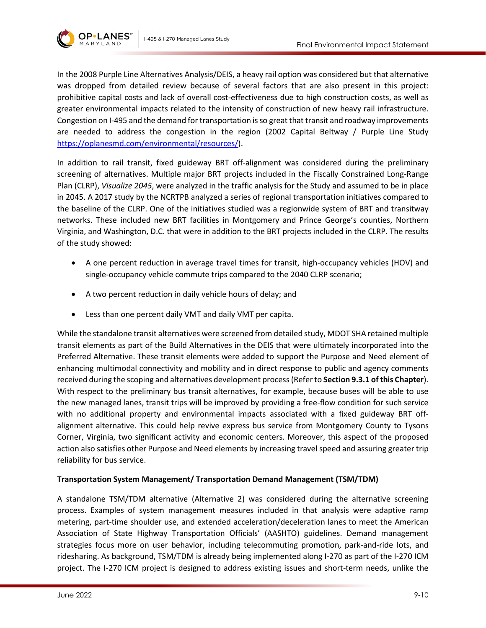

In the 2008 Purple Line Alternatives Analysis/DEIS, a heavy rail option was considered but that alternative was dropped from detailed review because of several factors that are also present in this project: prohibitive capital costs and lack of overall cost-effectiveness due to high construction costs, as well as greater environmental impacts related to the intensity of construction of new heavy rail infrastructure. Congestion on I-495 and the demand for transportation is so great that transit and roadway improvements are needed to address the congestion in the region (2002 Capital Beltway / Purple Line Study [https://oplanesmd.com/environmental/resources/\)](https://oplanesmd.com/environmental/resources/).

In addition to rail transit, fixed guideway BRT off-alignment was considered during the preliminary screening of alternatives. Multiple major BRT projects included in the Fiscally Constrained Long-Range Plan (CLRP), *Visualize 2045*, were analyzed in the traffic analysis for the Study and assumed to be in place in 2045. A 2017 study by the NCRTPB analyzed a series of regional transportation initiatives compared to the baseline of the CLRP. One of the initiatives studied was a regionwide system of BRT and transitway networks. These included new BRT facilities in Montgomery and Prince George's counties, Northern Virginia, and Washington, D.C. that were in addition to the BRT projects included in the CLRP. The results of the study showed:

- A one percent reduction in average travel times for transit, high-occupancy vehicles (HOV) and single-occupancy vehicle commute trips compared to the 2040 CLRP scenario;
- A two percent reduction in daily vehicle hours of delay; and
- Less than one percent daily VMT and daily VMT per capita.

While the standalone transit alternatives were screened from detailed study, MDOT SHA retained multiple transit elements as part of the Build Alternatives in the DEIS that were ultimately incorporated into the Preferred Alternative. These transit elements were added to support the Purpose and Need element of enhancing multimodal connectivity and mobility and in direct response to public and agency comments received during the scoping and alternatives development process (Refer to **Sectio[n 9.3.1](#page-1-2) of this Chapter**). With respect to the preliminary bus transit alternatives, for example, because buses will be able to use the new managed lanes, transit trips will be improved by providing a free-flow condition for such service with no additional property and environmental impacts associated with a fixed guideway BRT offalignment alternative. This could help revive express bus service from Montgomery County to Tysons Corner, Virginia, two significant activity and economic centers. Moreover, this aspect of the proposed action also satisfies other Purpose and Need elements by increasing travel speed and assuring greater trip reliability for bus service.

### **Transportation System Management/ Transportation Demand Management (TSM/TDM)**

A standalone TSM/TDM alternative (Alternative 2) was considered during the alternative screening process. Examples of system management measures included in that analysis were adaptive ramp metering, part-time shoulder use, and extended acceleration/deceleration lanes to meet the American Association of State Highway Transportation Officials' (AASHTO) guidelines. Demand management strategies focus more on user behavior, including telecommuting promotion, park-and-ride lots, and ridesharing. As background, TSM/TDM is already being implemented along I-270 as part of the I-270 ICM project. The I-270 ICM project is designed to address existing issues and short-term needs, unlike the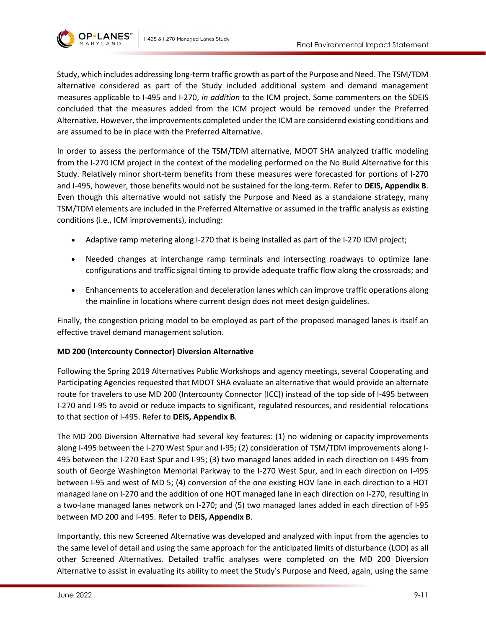

**OP**•LANE

Study, which includes addressing long-term traffic growth as part of the Purpose and Need. The TSM/TDM alternative considered as part of the Study included additional system and demand management measures applicable to I-495 and I-270, *in addition* to the ICM project. Some commenters on the SDEIS concluded that the measures added from the ICM project would be removed under the Preferred Alternative. However, the improvements completed under the ICM are considered existing conditions and are assumed to be in place with the Preferred Alternative.

In order to assess the performance of the TSM/TDM alternative, MDOT SHA analyzed traffic modeling from the I-270 ICM project in the context of the modeling performed on the No Build Alternative for this Study. Relatively minor short-term benefits from these measures were forecasted for portions of I-270 and I-495, however, those benefits would not be sustained for the long-term. Refer to **DEIS, Appendix B**. Even though this alternative would not satisfy the Purpose and Need as a standalone strategy, many TSM/TDM elements are included in the Preferred Alternative or assumed in the traffic analysis as existing conditions (i.e., ICM improvements), including:

- Adaptive ramp metering along I-270 that is being installed as part of the I-270 ICM project;
- Needed changes at interchange ramp terminals and intersecting roadways to optimize lane configurations and traffic signal timing to provide adequate traffic flow along the crossroads; and
- Enhancements to acceleration and deceleration lanes which can improve traffic operations along the mainline in locations where current design does not meet design guidelines.

Finally, the congestion pricing model to be employed as part of the proposed managed lanes is itself an effective travel demand management solution.

### **MD 200 (Intercounty Connector) Diversion Alternative**

Following the Spring 2019 Alternatives Public Workshops and agency meetings, several Cooperating and Participating Agencies requested that MDOT SHA evaluate an alternative that would provide an alternate route for travelers to use MD 200 (Intercounty Connector [ICC]) instead of the top side of I-495 between I-270 and I-95 to avoid or reduce impacts to significant, regulated resources, and residential relocations to that section of I-495. Refer to **DEIS, Appendix B***.*

The MD 200 Diversion Alternative had several key features: (1) no widening or capacity improvements along I-495 between the I-270 West Spur and I-95; (2) consideration of TSM/TDM improvements along I-495 between the I-270 East Spur and I-95; (3) two managed lanes added in each direction on I-495 from south of George Washington Memorial Parkway to the I-270 West Spur, and in each direction on I-495 between I-95 and west of MD 5; (4) conversion of the one existing HOV lane in each direction to a HOT managed lane on I-270 and the addition of one HOT managed lane in each direction on I-270, resulting in a two-lane managed lanes network on I-270; and (5) two managed lanes added in each direction of I-95 between MD 200 and I-495. Refer to **DEIS, Appendix B**.

Importantly, this new Screened Alternative was developed and analyzed with input from the agencies to the same level of detail and using the same approach for the anticipated limits of disturbance (LOD) as all other Screened Alternatives. Detailed traffic analyses were completed on the MD 200 Diversion Alternative to assist in evaluating its ability to meet the Study's Purpose and Need, again, using the same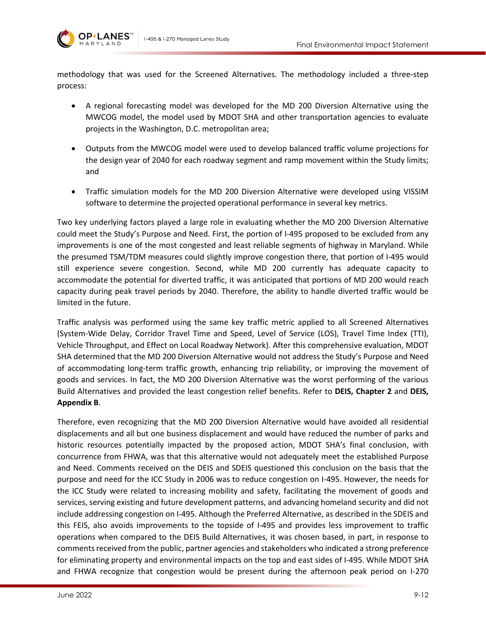

methodology that was used for the Screened Alternatives. The methodology included a three-step process:

- A regional forecasting model was developed for the MD 200 Diversion Alternative using the MWCOG model, the model used by MDOT SHA and other transportation agencies to evaluate projects in the Washington, D.C. metropolitan area;
- Outputs from the MWCOG model were used to develop balanced traffic volume projections for the design year of 2040 for each roadway segment and ramp movement within the Study limits; and
- Traffic simulation models for the MD 200 Diversion Alternative were developed using VISSIM software to determine the projected operational performance in several key metrics.

Two key underlying factors played a large role in evaluating whether the MD 200 Diversion Alternative could meet the Study's Purpose and Need. First, the portion of I-495 proposed to be excluded from any improvements is one of the most congested and least reliable segments of highway in Maryland. While the presumed TSM/TDM measures could slightly improve congestion there, that portion of I-495 would still experience severe congestion. Second, while MD 200 currently has adequate capacity to accommodate the potential for diverted traffic, it was anticipated that portions of MD 200 would reach capacity during peak travel periods by 2040. Therefore, the ability to handle diverted traffic would be limited in the future.

Traffic analysis was performed using the same key traffic metric applied to all Screened Alternatives (System-Wide Delay, Corridor Travel Time and Speed, Level of Service (LOS), Travel Time Index (TTI), Vehicle Throughput, and Effect on Local Roadway Network). After this comprehensive evaluation, MDOT SHA determined that the MD 200 Diversion Alternative would not address the Study's Purpose and Need of accommodating long-term traffic growth, enhancing trip reliability, or improving the movement of goods and services. In fact, the MD 200 Diversion Alternative was the worst performing of the various Build Alternatives and provided the least congestion relief benefits. Refer to **DEIS, Chapter 2** and **DEIS, Appendix B**.

Therefore, even recognizing that the MD 200 Diversion Alternative would have avoided all residential displacements and all but one business displacement and would have reduced the number of parks and historic resources potentially impacted by the proposed action, MDOT SHA's final conclusion, with concurrence from FHWA, was that this alternative would not adequately meet the established Purpose and Need. Comments received on the DEIS and SDEIS questioned this conclusion on the basis that the purpose and need for the ICC Study in 2006 was to reduce congestion on I-495. However, the needs for the ICC Study were related to increasing mobility and safety, facilitating the movement of goods and services, serving existing and future development patterns, and advancing homeland security and did not include addressing congestion on I-495. Although the Preferred Alternative, as described in the SDEIS and this FEIS, also avoids improvements to the topside of I-495 and provides less improvement to traffic operations when compared to the DEIS Build Alternatives, it was chosen based, in part, in response to comments received from the public, partner agencies and stakeholders who indicated a strong preference for eliminating property and environmental impacts on the top and east sides of I-495. While MDOT SHA and FHWA recognize that congestion would be present during the afternoon peak period on I-270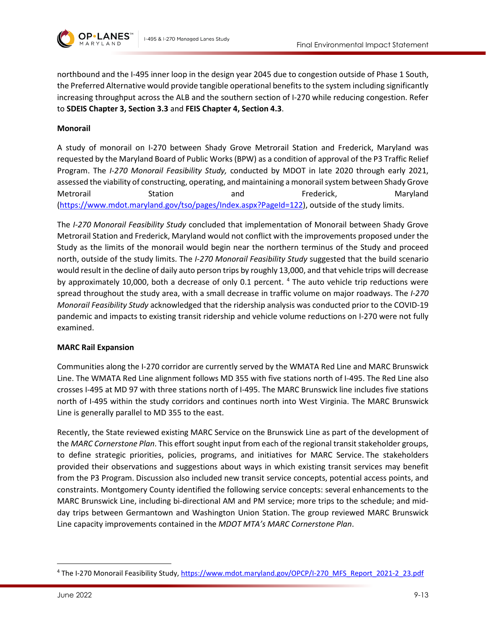

northbound and the I-495 inner loop in the design year 2045 due to congestion outside of Phase 1 South, the Preferred Alternative would provide tangible operational benefits to the system including significantly increasing throughput across the ALB and the southern section of I-270 while reducing congestion. Refer to **SDEIS Chapter 3, Section 3.3** and **FEIS Chapter 4, Section 4.3**.

### **Monorail**

A study of monorail on I-270 between Shady Grove Metrorail Station and Frederick, Maryland was requested by the Maryland Board of Public Works (BPW) as a condition of approval of the P3 Traffic Relief Program. The *I-270 Monorail Feasibility Study,* conducted by MDOT in late 2020 through early 2021, assessed the viability of constructing, operating, and maintaining a monorail system between Shady Grove Metrorail **Station** Station and Frederick, Maryland [\(https://www.mdot.maryland.gov/tso/pages/Index.aspx?PageId=122\)](https://www.mdot.maryland.gov/tso/pages/Index.aspx?PageId=122), outside of the study limits.

The *I-270 Monorail Feasibility Study* concluded that implementation of Monorail between Shady Grove Metrorail Station and Frederick, Maryland would not conflict with the improvements proposed under the Study as the limits of the monorail would begin near the northern terminus of the Study and proceed north, outside of the study limits. The *I-270 Monorail Feasibility Study* suggested that the build scenario would result in the decline of daily auto person trips by roughly 13,000, and that vehicle trips will decrease by approximately 10,000, both a decrease of only 0.1 percent. [4](#page-12-0) The auto vehicle trip reductions were spread throughout the study area, with a small decrease in traffic volume on major roadways. The *I-270 Monorail Feasibility Study* acknowledged that the ridership analysis was conducted prior to the COVID-19 pandemic and impacts to existing transit ridership and vehicle volume reductions on I-270 were not fully examined.

#### **MARC Rail Expansion**

Communities along the I-270 corridor are currently served by the WMATA Red Line and MARC Brunswick Line. The WMATA Red Line alignment follows MD 355 with five stations north of I-495. The Red Line also crosses I-495 at MD 97 with three stations north of I-495. The MARC Brunswick line includes five stations north of I-495 within the study corridors and continues north into West Virginia. The MARC Brunswick Line is generally parallel to MD 355 to the east.

Recently, the State reviewed existing MARC Service on the Brunswick Line as part of the development of the *MARC Cornerstone Plan*. This effort sought input from each of the regional transit stakeholder groups, to define strategic priorities, policies, programs, and initiatives for MARC Service. The stakeholders provided their observations and suggestions about ways in which existing transit services may benefit from the P3 Program. Discussion also included new transit service concepts, potential access points, and constraints. Montgomery County identified the following service concepts: several enhancements to the MARC Brunswick Line, including bi-directional AM and PM service; more trips to the schedule; and midday trips between Germantown and Washington Union Station. The group reviewed MARC Brunswick Line capacity improvements contained in the *MDOT MTA's MARC Cornerstone Plan*.

<span id="page-12-0"></span><sup>4</sup> The I-270 Monorail Feasibility Study, [https://www.mdot.maryland.gov/OPCP/I-270\\_MFS\\_Report\\_2021-2\\_23.pdf](https://www.mdot.maryland.gov/OPCP/I-270_MFS_Report_2021-2_23.pdf)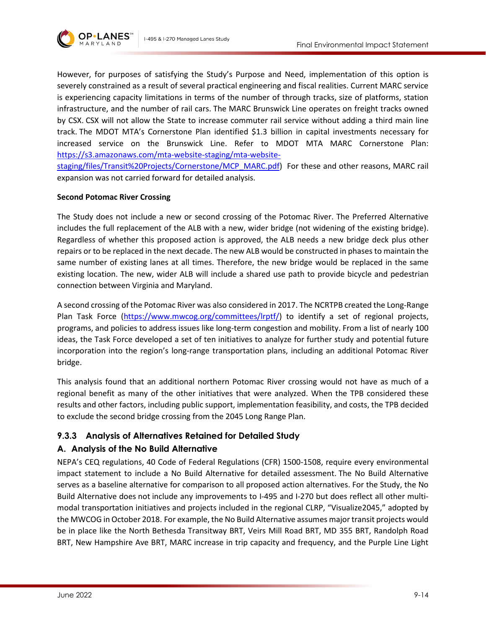

However, for purposes of satisfying the Study's Purpose and Need, implementation of this option is severely constrained as a result of several practical engineering and fiscal realities. Current MARC service is experiencing capacity limitations in terms of the number of through tracks, size of platforms, station infrastructure, and the number of rail cars. The MARC Brunswick Line operates on freight tracks owned by CSX. CSX will not allow the State to increase commuter rail service without adding a third main line track. The MDOT MTA's Cornerstone Plan identified \$1.3 billion in capital investments necessary for increased service on the Brunswick Line. Refer to MDOT MTA MARC Cornerstone Plan: [https://s3.amazonaws.com/mta-website-staging/mta-website-](https://s3.amazonaws.com/mta-website-staging/mta-website-staging/files/Transit%20Projects/Cornerstone/MCP_MARC.pdf)

[staging/files/Transit%20Projects/Cornerstone/MCP\\_MARC.pdf\)](https://s3.amazonaws.com/mta-website-staging/mta-website-staging/files/Transit%20Projects/Cornerstone/MCP_MARC.pdf) For these and other reasons, MARC rail expansion was not carried forward for detailed analysis.

### **Second Potomac River Crossing**

The Study does not include a new or second crossing of the Potomac River. The Preferred Alternative includes the full replacement of the ALB with a new, wider bridge (not widening of the existing bridge). Regardless of whether this proposed action is approved, the ALB needs a new bridge deck plus other repairs or to be replaced in the next decade. The new ALB would be constructed in phases to maintain the same number of existing lanes at all times. Therefore, the new bridge would be replaced in the same existing location. The new, wider ALB will include a shared use path to provide bicycle and pedestrian connection between Virginia and Maryland.

A second crossing of the Potomac River was also considered in 2017. The NCRTPB created the Long-Range Plan Task Force [\(https://www.mwcog.org/committees/lrptf/\)](https://www.mwcog.org/committees/lrptf/) to identify a set of regional projects, programs, and policies to address issues like long-term congestion and mobility. From a list of nearly 100 ideas, the Task Force developed a set of ten initiatives to analyze for further study and potential future incorporation into the region's long-range transportation plans, including an additional Potomac River bridge.

This analysis found that an additional northern Potomac River crossing would not have as much of a regional benefit as many of the other initiatives that were analyzed. When the TPB considered these results and other factors, including public support, implementation feasibility, and costs, the TPB decided to exclude the second bridge crossing from the 2045 Long Range Plan.

# <span id="page-13-0"></span>**9.3.3 Analysis of Alternatives Retained for Detailed Study**

# **A. Analysis of the No Build Alternative**

NEPA's CEQ regulations, 40 Code of Federal Regulations (CFR) 1500-1508, require every environmental impact statement to include a No Build Alternative for detailed assessment. The No Build Alternative serves as a baseline alternative for comparison to all proposed action alternatives. For the Study, the No Build Alternative does not include any improvements to I-495 and I-270 but does reflect all other multimodal transportation initiatives and projects included in the regional CLRP, "Visualize2045," adopted by the MWCOG in October 2018. For example, the No Build Alternative assumes major transit projects would be in place like the North Bethesda Transitway BRT, Veirs Mill Road BRT, MD 355 BRT, Randolph Road BRT, New Hampshire Ave BRT, MARC increase in trip capacity and frequency, and the Purple Line Light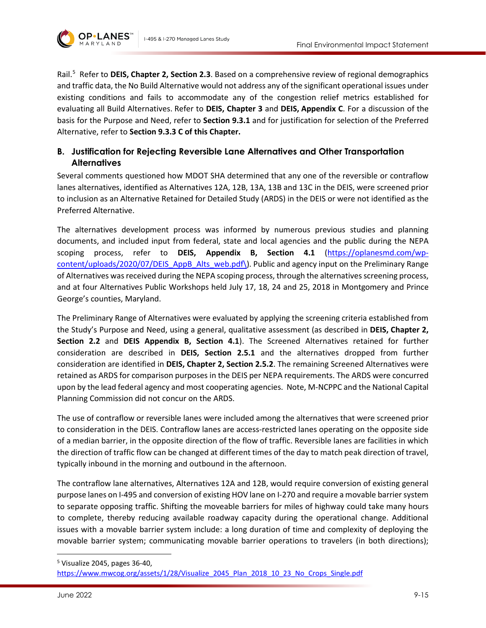



Rail. [5](#page-14-0) Refer to **DEIS, Chapter 2, Section 2.3**. Based on a comprehensive review of regional demographics and traffic data, the No Build Alternative would not address any of the significant operational issues under existing conditions and fails to accommodate any of the congestion relief metrics established for evaluating all Build Alternatives. Refer to **DEIS, Chapter 3** and **DEIS, Appendix C**. For a discussion of the basis for the Purpose and Need, refer to **Section [9.3.1](#page-1-2)** and for justification for selection of the Preferred Alternative, refer to **Section 9.3.3 [C](#page-15-0) of this Chapter.**

# **B. Justification for Rejecting Reversible Lane Alternatives and Other Transportation Alternatives**

Several comments questioned how MDOT SHA determined that any one of the reversible or contraflow lanes alternatives, identified as Alternatives 12A, 12B, 13A, 13B and 13C in the DEIS, were screened prior to inclusion as an Alternative Retained for Detailed Study (ARDS) in the DEIS or were not identified as the Preferred Alternative.

The alternatives development process was informed by numerous previous studies and planning documents, and included input from federal, state and local agencies and the public during the NEPA scoping process, refer to **DEIS, Appendix B, Section 4.1** [\(https://oplanesmd.com/wp](https://oplanesmd.com/wp-content/uploads/2020/07/DEIS_AppB_Alts_web.pdf/)[content/uploads/2020/07/DEIS\\_AppB\\_Alts\\_web.pdf\\)](https://oplanesmd.com/wp-content/uploads/2020/07/DEIS_AppB_Alts_web.pdf/). Public and agency input on the Preliminary Range of Alternatives was received during the NEPA scoping process, through the alternatives screening process, and at four Alternatives Public Workshops held July 17, 18, 24 and 25, 2018 in Montgomery and Prince George's counties, Maryland.

The Preliminary Range of Alternatives were evaluated by applying the screening criteria established from the Study's Purpose and Need, using a general, qualitative assessment (as described in **DEIS, Chapter 2, Section 2.2** and **DEIS Appendix B, Section 4.1**). The Screened Alternatives retained for further consideration are described in **DEIS, Section 2.5.1** and the alternatives dropped from further consideration are identified in **DEIS, Chapter 2, Section 2.5.2**. The remaining Screened Alternatives were retained as ARDS for comparison purposes in the DEIS per NEPA requirements. The ARDS were concurred upon by the lead federal agency and most cooperating agencies. Note, M-NCPPC and the National Capital Planning Commission did not concur on the ARDS.

The use of contraflow or reversible lanes were included among the alternatives that were screened prior to consideration in the DEIS. Contraflow lanes are access-restricted lanes operating on the opposite side of a median barrier, in the opposite direction of the flow of traffic. Reversible lanes are facilities in which the direction of traffic flow can be changed at different times of the day to match peak direction of travel, typically inbound in the morning and outbound in the afternoon.

The contraflow lane alternatives, Alternatives 12A and 12B, would require conversion of existing general purpose lanes on I-495 and conversion of existing HOV lane on I-270 and require a movable barrier system to separate opposing traffic. Shifting the moveable barriers for miles of highway could take many hours to complete, thereby reducing available roadway capacity during the operational change. Additional issues with a movable barrier system include: a long duration of time and complexity of deploying the movable barrier system; communicating movable barrier operations to travelers (in both directions);

<span id="page-14-0"></span> $5$  Visualize 2045, pages 36-40,

https://www.mwcog.org/assets/1/28/Visualize\_2045\_Plan\_2018\_10\_23\_No\_Crops\_Single.pdf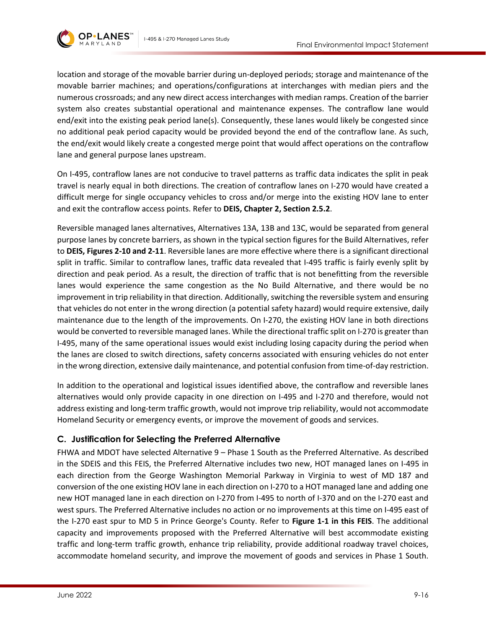

location and storage of the movable barrier during un-deployed periods; storage and maintenance of the movable barrier machines; and operations/configurations at interchanges with median piers and the numerous crossroads; and any new direct access interchanges with median ramps. Creation of the barrier system also creates substantial operational and maintenance expenses. The contraflow lane would end/exit into the existing peak period lane(s). Consequently, these lanes would likely be congested since no additional peak period capacity would be provided beyond the end of the contraflow lane. As such, the end/exit would likely create a congested merge point that would affect operations on the contraflow lane and general purpose lanes upstream.

On I-495, contraflow lanes are not conducive to travel patterns as traffic data indicates the split in peak travel is nearly equal in both directions. The creation of contraflow lanes on I-270 would have created a difficult merge for single occupancy vehicles to cross and/or merge into the existing HOV lane to enter and exit the contraflow access points. Refer to **DEIS, Chapter 2, Section 2.5.2**.

Reversible managed lanes alternatives, Alternatives 13A, 13B and 13C, would be separated from general purpose lanes by concrete barriers, as shown in the typical section figures for the Build Alternatives, refer to **DEIS, Figures 2-10 and 2-11**. Reversible lanes are more effective where there is a significant directional split in traffic. Similar to contraflow lanes, traffic data revealed that I-495 traffic is fairly evenly split by direction and peak period. As a result, the direction of traffic that is not benefitting from the reversible lanes would experience the same congestion as the No Build Alternative, and there would be no improvement in trip reliability in that direction. Additionally, switching the reversible system and ensuring that vehicles do not enter in the wrong direction (a potential safety hazard) would require extensive, daily maintenance due to the length of the improvements. On I-270, the existing HOV lane in both directions would be converted to reversible managed lanes. While the directional traffic split on I-270 is greater than I-495, many of the same operational issues would exist including losing capacity during the period when the lanes are closed to switch directions, safety concerns associated with ensuring vehicles do not enter in the wrong direction, extensive daily maintenance, and potential confusion from time-of-day restriction.

In addition to the operational and logistical issues identified above, the contraflow and reversible lanes alternatives would only provide capacity in one direction on I-495 and I-270 and therefore, would not address existing and long-term traffic growth, would not improve trip reliability, would not accommodate Homeland Security or emergency events, or improve the movement of goods and services.

# <span id="page-15-0"></span>**C. Justification for Selecting the Preferred Alternative**

FHWA and MDOT have selected Alternative 9 – Phase 1 South as the Preferred Alternative. As described in the SDEIS and this FEIS, the Preferred Alternative includes two new, HOT managed lanes on I-495 in each direction from the George Washington Memorial Parkway in Virginia to west of MD 187 and conversion of the one existing HOV lane in each direction on I-270 to a HOT managed lane and adding one new HOT managed lane in each direction on I-270 from I-495 to north of I-370 and on the I-270 east and west spurs. The Preferred Alternative includes no action or no improvements at this time on I-495 east of the I-270 east spur to MD 5 in Prince George's County. Refer to **Figure 1-1 in this FEIS**. The additional capacity and improvements proposed with the Preferred Alternative will best accommodate existing traffic and long-term traffic growth, enhance trip reliability, provide additional roadway travel choices, accommodate homeland security, and improve the movement of goods and services in Phase 1 South.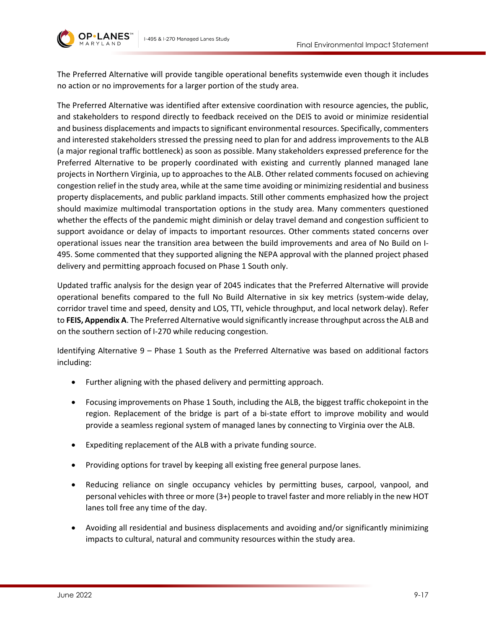

The Preferred Alternative will provide tangible operational benefits systemwide even though it includes no action or no improvements for a larger portion of the study area.

The Preferred Alternative was identified after extensive coordination with resource agencies, the public, and stakeholders to respond directly to feedback received on the DEIS to avoid or minimize residential and business displacements and impacts to significant environmental resources. Specifically, commenters and interested stakeholders stressed the pressing need to plan for and address improvements to the ALB (a major regional traffic bottleneck) as soon as possible. Many stakeholders expressed preference for the Preferred Alternative to be properly coordinated with existing and currently planned managed lane projects in Northern Virginia, up to approaches to the ALB. Other related comments focused on achieving congestion relief in the study area, while at the same time avoiding or minimizing residential and business property displacements, and public parkland impacts. Still other comments emphasized how the project should maximize multimodal transportation options in the study area. Many commenters questioned whether the effects of the pandemic might diminish or delay travel demand and congestion sufficient to support avoidance or delay of impacts to important resources. Other comments stated concerns over operational issues near the transition area between the build improvements and area of No Build on I-495. Some commented that they supported aligning the NEPA approval with the planned project phased delivery and permitting approach focused on Phase 1 South only.

Updated traffic analysis for the design year of 2045 indicates that the Preferred Alternative will provide operational benefits compared to the full No Build Alternative in six key metrics (system-wide delay, corridor travel time and speed, density and LOS, TTI, vehicle throughput, and local network delay). Refer to **FEIS, Appendix A**. The Preferred Alternative would significantly increase throughput across the ALB and on the southern section of I-270 while reducing congestion.

Identifying Alternative 9 – Phase 1 South as the Preferred Alternative was based on additional factors including:

- Further aligning with the phased delivery and permitting approach.
- Focusing improvements on Phase 1 South, including the ALB, the biggest traffic chokepoint in the region. Replacement of the bridge is part of a bi-state effort to improve mobility and would provide a seamless regional system of managed lanes by connecting to Virginia over the ALB.
- Expediting replacement of the ALB with a private funding source.
- Providing options for travel by keeping all existing free general purpose lanes.
- Reducing reliance on single occupancy vehicles by permitting buses, carpool, vanpool, and personal vehicles with three or more (3+) people to travel faster and more reliably in the new HOT lanes toll free any time of the day.
- Avoiding all residential and business displacements and avoiding and/or significantly minimizing impacts to cultural, natural and community resources within the study area.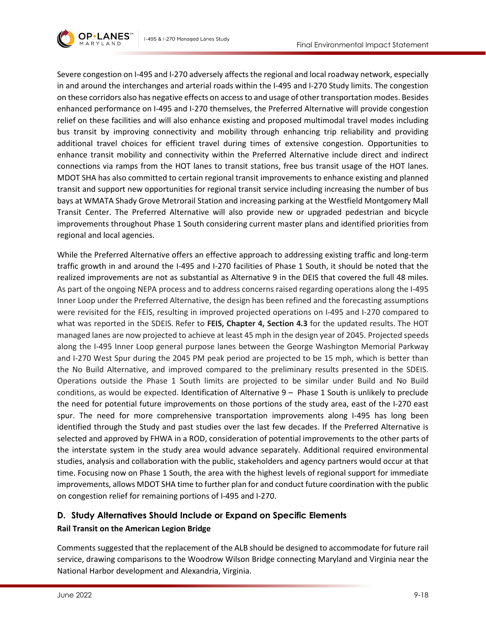



Severe congestion on I-495 and I-270 adversely affects the regional and local roadway network, especially in and around the interchanges and arterial roads within the I-495 and I-270 Study limits. The congestion on these corridors also has negative effects on access to and usage of other transportation modes. Besides enhanced performance on I-495 and I-270 themselves, the Preferred Alternative will provide congestion relief on these facilities and will also enhance existing and proposed multimodal travel modes including bus transit by improving connectivity and mobility through enhancing trip reliability and providing additional travel choices for efficient travel during times of extensive congestion. Opportunities to enhance transit mobility and connectivity within the Preferred Alternative include direct and indirect connections via ramps from the HOT lanes to transit stations, free bus transit usage of the HOT lanes. MDOT SHA has also committed to certain regional transit improvements to enhance existing and planned transit and support new opportunities for regional transit service including increasing the number of bus bays at WMATA Shady Grove Metrorail Station and increasing parking at the Westfield Montgomery Mall Transit Center. The Preferred Alternative will also provide new or upgraded pedestrian and bicycle improvements throughout Phase 1 South considering current master plans and identified priorities from regional and local agencies.

While the Preferred Alternative offers an effective approach to addressing existing traffic and long-term traffic growth in and around the I-495 and I-270 facilities of Phase 1 South, it should be noted that the realized improvements are not as substantial as Alternative 9 in the DEIS that covered the full 48 miles. As part of the ongoing NEPA process and to address concerns raised regarding operations along the I-495 Inner Loop under the Preferred Alternative, the design has been refined and the forecasting assumptions were revisited for the FEIS, resulting in improved projected operations on I-495 and I-270 compared to what was reported in the SDEIS. Refer to **FEIS, Chapter 4, Section 4.3** for the updated results. The HOT managed lanes are now projected to achieve at least 45 mph in the design year of 2045. Projected speeds along the I-495 Inner Loop general purpose lanes between the George Washington Memorial Parkway and I-270 West Spur during the 2045 PM peak period are projected to be 15 mph, which is better than the No Build Alternative, and improved compared to the preliminary results presented in the SDEIS. Operations outside the Phase 1 South limits are projected to be similar under Build and No Build conditions, as would be expected. Identification of Alternative 9 – Phase 1 South is unlikely to preclude the need for potential future improvements on those portions of the study area, east of the I-270 east spur. The need for more comprehensive transportation improvements along I-495 has long been identified through the Study and past studies over the last few decades. If the Preferred Alternative is selected and approved by FHWA in a ROD, consideration of potential improvements to the other parts of the interstate system in the study area would advance separately. Additional required environmental studies, analysis and collaboration with the public, stakeholders and agency partners would occur at that time. Focusing now on Phase 1 South, the area with the highest levels of regional support for immediate improvements, allows MDOT SHA time to further plan for and conduct future coordination with the public on congestion relief for remaining portions of I-495 and I-270.

# **D. Study Alternatives Should Include or Expand on Specific Elements Rail Transit on the American Legion Bridge**

Comments suggested that the replacement of the ALB should be designed to accommodate for future rail service, drawing comparisons to the Woodrow Wilson Bridge connecting Maryland and Virginia near the National Harbor development and Alexandria, Virginia.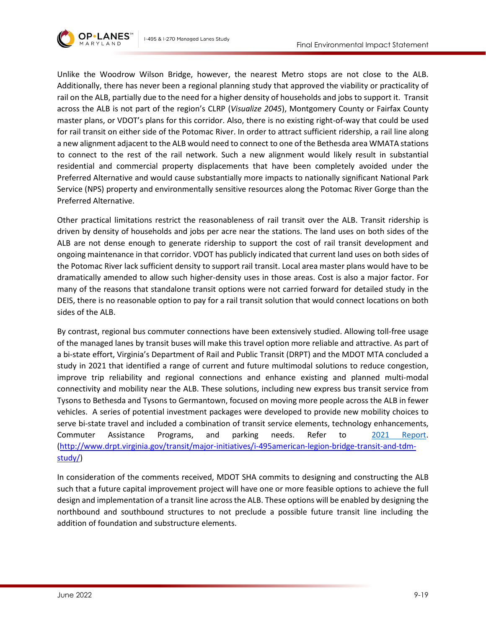



Unlike the Woodrow Wilson Bridge, however, the nearest Metro stops are not close to the ALB. Additionally, there has never been a regional planning study that approved the viability or practicality of rail on the ALB, partially due to the need for a higher density of households and jobs to support it. Transit across the ALB is not part of the region's CLRP (*Visualize 2045*), Montgomery County or Fairfax County master plans, or VDOT's plans for this corridor. Also, there is no existing right-of-way that could be used for rail transit on either side of the Potomac River. In order to attract sufficient ridership, a rail line along a new alignment adjacent to the ALB would need to connect to one of the Bethesda area WMATA stations to connect to the rest of the rail network. Such a new alignment would likely result in substantial residential and commercial property displacements that have been completely avoided under the Preferred Alternative and would cause substantially more impacts to nationally significant National Park Service (NPS) property and environmentally sensitive resources along the Potomac River Gorge than the Preferred Alternative.

Other practical limitations restrict the reasonableness of rail transit over the ALB. Transit ridership is driven by density of households and jobs per acre near the stations. The land uses on both sides of the ALB are not dense enough to generate ridership to support the cost of rail transit development and ongoing maintenance in that corridor. VDOT has publicly indicated that current land uses on both sides of the Potomac River lack sufficient density to support rail transit. Local area master plans would have to be dramatically amended to allow such higher-density uses in those areas. Cost is also a major factor. For many of the reasons that standalone transit options were not carried forward for detailed study in the DEIS, there is no reasonable option to pay for a rail transit solution that would connect locations on both sides of the ALB.

By contrast, regional bus commuter connections have been extensively studied. Allowing toll-free usage of the managed lanes by transit buses will make this travel option more reliable and attractive. As part of a bi-state effort, Virginia's Department of Rail and Public Transit (DRPT) and the MDOT MTA concluded a study in 2021 that identified a range of current and future multimodal solutions to reduce congestion, improve trip reliability and regional connections and enhance existing and planned multi-modal connectivity and mobility near the ALB. These solutions, including new express bus transit service from Tysons to Bethesda and Tysons to Germantown, focused on moving more people across the ALB in fewer vehicles. A series of potential investment packages were developed to provide new mobility choices to serve bi-state travel and included a combination of transit service elements, technology enhancements, Commuter Assistance Programs, and parking needs. Refer to [2021 Report.](http://www.drpt.virginia.gov/media/3375/i495_alb_transittdm_study_finalreport_030521_combined.pdf) [\(http://www.drpt.virginia.gov/transit/major-initiatives/i-495american-legion-bridge-transit-and-tdm](http://www.drpt.virginia.gov/transit/major-initiatives/i-495american-legion-bridge-transit-and-tdm-study/)[study/\)](http://www.drpt.virginia.gov/transit/major-initiatives/i-495american-legion-bridge-transit-and-tdm-study/)

In consideration of the comments received, MDOT SHA commits to designing and constructing the ALB such that a future capital improvement project will have one or more feasible options to achieve the full design and implementation of a transit line across the ALB. These options will be enabled by designing the northbound and southbound structures to not preclude a possible future transit line including the addition of foundation and substructure elements.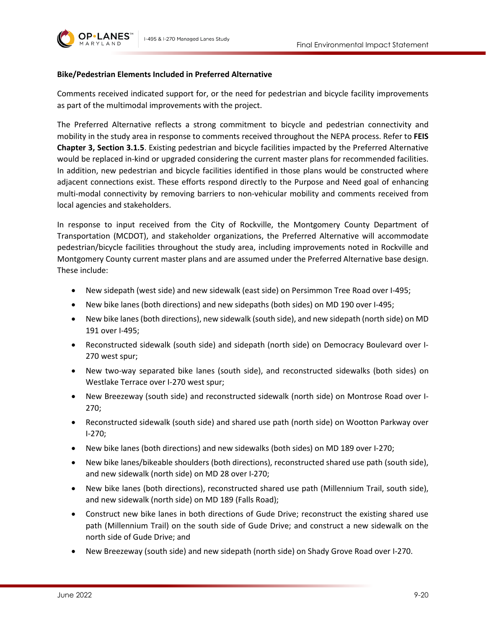



**OP•LANES** 

### **Bike/Pedestrian Elements Included in Preferred Alternative**

Comments received indicated support for, or the need for pedestrian and bicycle facility improvements as part of the multimodal improvements with the project.

The Preferred Alternative reflects a strong commitment to bicycle and pedestrian connectivity and mobility in the study area in response to comments received throughout the NEPA process. Refer to **FEIS Chapter 3, Section 3.1.5**. Existing pedestrian and bicycle facilities impacted by the Preferred Alternative would be replaced in-kind or upgraded considering the current master plans for recommended facilities. In addition, new pedestrian and bicycle facilities identified in those plans would be constructed where adjacent connections exist. These efforts respond directly to the Purpose and Need goal of enhancing multi-modal connectivity by removing barriers to non-vehicular mobility and comments received from local agencies and stakeholders.

In response to input received from the City of Rockville, the Montgomery County Department of Transportation (MCDOT), and stakeholder organizations, the Preferred Alternative will accommodate pedestrian/bicycle facilities throughout the study area, including improvements noted in Rockville and Montgomery County current master plans and are assumed under the Preferred Alternative base design. These include:

- New sidepath (west side) and new sidewalk (east side) on Persimmon Tree Road over I-495;
- New bike lanes (both directions) and new sidepaths (both sides) on MD 190 over I-495;
- New bike lanes (both directions), new sidewalk (south side), and new sidepath (north side) on MD 191 over I-495;
- Reconstructed sidewalk (south side) and sidepath (north side) on Democracy Boulevard over I-270 west spur;
- New two-way separated bike lanes (south side), and reconstructed sidewalks (both sides) on Westlake Terrace over I-270 west spur;
- New Breezeway (south side) and reconstructed sidewalk (north side) on Montrose Road over I-270;
- Reconstructed sidewalk (south side) and shared use path (north side) on Wootton Parkway over I-270;
- New bike lanes (both directions) and new sidewalks (both sides) on MD 189 over I-270;
- New bike lanes/bikeable shoulders (both directions), reconstructed shared use path (south side), and new sidewalk (north side) on MD 28 over I-270;
- New bike lanes (both directions), reconstructed shared use path (Millennium Trail, south side), and new sidewalk (north side) on MD 189 (Falls Road);
- Construct new bike lanes in both directions of Gude Drive; reconstruct the existing shared use path (Millennium Trail) on the south side of Gude Drive; and construct a new sidewalk on the north side of Gude Drive; and
- New Breezeway (south side) and new sidepath (north side) on Shady Grove Road over I-270.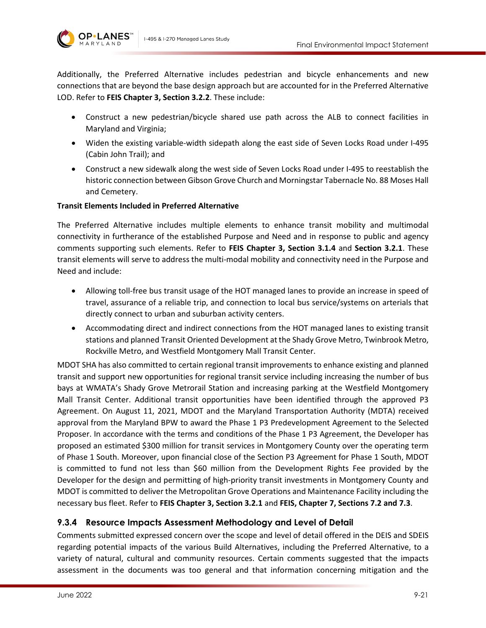

**OP•LANES** 

Additionally, the Preferred Alternative includes pedestrian and bicycle enhancements and new connections that are beyond the base design approach but are accounted for in the Preferred Alternative LOD. Refer to **FEIS Chapter 3, Section 3.2.2**. These include:

- Construct a new pedestrian/bicycle shared use path across the ALB to connect facilities in Maryland and Virginia;
- Widen the existing variable-width sidepath along the east side of Seven Locks Road under I-495 (Cabin John Trail); and
- Construct a new sidewalk along the west side of Seven Locks Road under I-495 to reestablish the historic connection between Gibson Grove Church and Morningstar Tabernacle No. 88 Moses Hall and Cemetery.

### **Transit Elements Included in Preferred Alternative**

The Preferred Alternative includes multiple elements to enhance transit mobility and multimodal connectivity in furtherance of the established Purpose and Need and in response to public and agency comments supporting such elements. Refer to **FEIS Chapter 3, Section 3.1.4** and **Section 3.2.1**. These transit elements will serve to address the multi-modal mobility and connectivity need in the Purpose and Need and include:

- Allowing toll-free bus transit usage of the HOT managed lanes to provide an increase in speed of travel, assurance of a reliable trip, and connection to local bus service/systems on arterials that directly connect to urban and suburban activity centers.
- Accommodating direct and indirect connections from the HOT managed lanes to existing transit stations and planned Transit Oriented Development at the Shady Grove Metro, Twinbrook Metro, Rockville Metro, and Westfield Montgomery Mall Transit Center.

MDOT SHA has also committed to certain regional transit improvements to enhance existing and planned transit and support new opportunities for regional transit service including increasing the number of bus bays at WMATA's Shady Grove Metrorail Station and increasing parking at the Westfield Montgomery Mall Transit Center. Additional transit opportunities have been identified through the approved P3 Agreement. On August 11, 2021, MDOT and the Maryland Transportation Authority (MDTA) received approval from the Maryland BPW to award the Phase 1 P3 Predevelopment Agreement to the Selected Proposer. In accordance with the terms and conditions of the Phase 1 P3 Agreement, the Developer has proposed an estimated \$300 million for transit services in Montgomery County over the operating term of Phase 1 South. Moreover, upon financial close of the Section P3 Agreement for Phase 1 South, MDOT is committed to fund not less than \$60 million from the Development Rights Fee provided by the Developer for the design and permitting of high-priority transit investments in Montgomery County and MDOT is committed to deliver the Metropolitan Grove Operations and Maintenance Facility including the necessary bus fleet. Refer to **FEIS Chapter 3, Section 3.2.1** and **FEIS, Chapter 7, Sections 7.2 and 7.3**.

# **9.3.4 Resource Impacts Assessment Methodology and Level of Detail**

Comments submitted expressed concern over the scope and level of detail offered in the DEIS and SDEIS regarding potential impacts of the various Build Alternatives, including the Preferred Alternative, to a variety of natural, cultural and community resources. Certain comments suggested that the impacts assessment in the documents was too general and that information concerning mitigation and the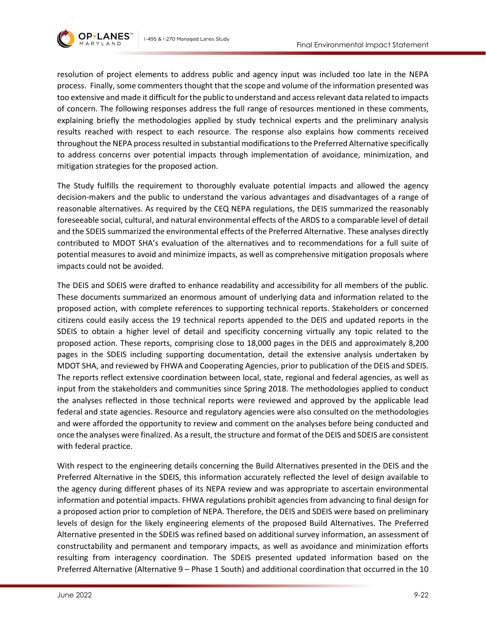

resolution of project elements to address public and agency input was included too late in the NEPA process. Finally, some commenters thought that the scope and volume of the information presented was too extensive and made it difficult for the public to understand and access relevant data related to impacts of concern. The following responses address the full range of resources mentioned in these comments, explaining briefly the methodologies applied by study technical experts and the preliminary analysis results reached with respect to each resource. The response also explains how comments received throughout the NEPA process resulted in substantial modifications to the Preferred Alternative specifically to address concerns over potential impacts through implementation of avoidance, minimization, and mitigation strategies for the proposed action.

The Study fulfills the requirement to thoroughly evaluate potential impacts and allowed the agency decision-makers and the public to understand the various advantages and disadvantages of a range of reasonable alternatives. As required by the CEQ NEPA regulations, the DEIS summarized the reasonably foreseeable social, cultural, and natural environmental effects of the ARDS to a comparable level of detail and the SDEIS summarized the environmental effects of the Preferred Alternative. These analyses directly contributed to MDOT SHA's evaluation of the alternatives and to recommendations for a full suite of potential measures to avoid and minimize impacts, as well as comprehensive mitigation proposals where impacts could not be avoided.

The DEIS and SDEIS were drafted to enhance readability and accessibility for all members of the public. These documents summarized an enormous amount of underlying data and information related to the proposed action, with complete references to supporting technical reports. Stakeholders or concerned citizens could easily access the 19 technical reports appended to the DEIS and updated reports in the SDEIS to obtain a higher level of detail and specificity concerning virtually any topic related to the proposed action. These reports, comprising close to 18,000 pages in the DEIS and approximately 8,200 pages in the SDEIS including supporting documentation, detail the extensive analysis undertaken by MDOT SHA, and reviewed by FHWA and Cooperating Agencies, prior to publication of the DEIS and SDEIS. The reports reflect extensive coordination between local, state, regional and federal agencies, as well as input from the stakeholders and communities since Spring 2018. The methodologies applied to conduct the analyses reflected in those technical reports were reviewed and approved by the applicable lead federal and state agencies. Resource and regulatory agencies were also consulted on the methodologies and were afforded the opportunity to review and comment on the analyses before being conducted and once the analyses were finalized. As a result, the structure and format of the DEIS and SDEIS are consistent with federal practice.

With respect to the engineering details concerning the Build Alternatives presented in the DEIS and the Preferred Alternative in the SDEIS, this information accurately reflected the level of design available to the agency during different phases of its NEPA review and was appropriate to ascertain environmental information and potential impacts. FHWA regulations prohibit agencies from advancing to final design for a proposed action prior to completion of NEPA. Therefore, the DEIS and SDEIS were based on preliminary levels of design for the likely engineering elements of the proposed Build Alternatives. The Preferred Alternative presented in the SDEIS was refined based on additional survey information, an assessment of constructability and permanent and temporary impacts, as well as avoidance and minimization efforts resulting from interagency coordination. The SDEIS presented updated information based on the Preferred Alternative (Alternative 9 – Phase 1 South) and additional coordination that occurred in the 10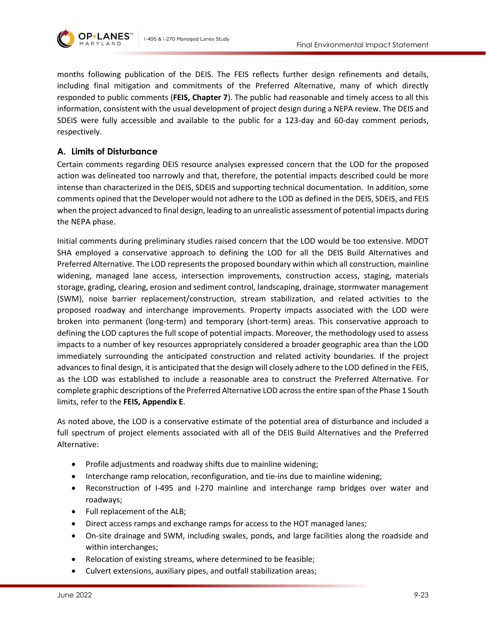

months following publication of the DEIS. The FEIS reflects further design refinements and details, including final mitigation and commitments of the Preferred Alternative, many of which directly responded to public comments (**FEIS, Chapter 7**). The public had reasonable and timely access to all this information, consistent with the usual development of project design during a NEPA review. The DEIS and SDEIS were fully accessible and available to the public for a 123-day and 60-day comment periods, respectively.

# **A. Limits of Disturbance**

Certain comments regarding DEIS resource analyses expressed concern that the LOD for the proposed action was delineated too narrowly and that, therefore, the potential impacts described could be more intense than characterized in the DEIS, SDEIS and supporting technical documentation. In addition, some comments opined that the Developer would not adhere to the LOD as defined in the DEIS, SDEIS, and FEIS when the project advanced to final design, leading to an unrealistic assessment of potential impacts during the NEPA phase.

Initial comments during preliminary studies raised concern that the LOD would be too extensive. MDOT SHA employed a conservative approach to defining the LOD for all the DEIS Build Alternatives and Preferred Alternative. The LOD represents the proposed boundary within which all construction, mainline widening, managed lane access, intersection improvements, construction access, staging, materials storage, grading, clearing, erosion and sediment control, landscaping, drainage, stormwater management (SWM), noise barrier replacement/construction, stream stabilization, and related activities to the proposed roadway and interchange improvements. Property impacts associated with the LOD were broken into permanent (long-term) and temporary (short-term) areas. This conservative approach to defining the LOD captures the full scope of potential impacts. Moreover, the methodology used to assess impacts to a number of key resources appropriately considered a broader geographic area than the LOD immediately surrounding the anticipated construction and related activity boundaries. If the project advances to final design, it is anticipated that the design will closely adhere to the LOD defined in the FEIS, as the LOD was established to include a reasonable area to construct the Preferred Alternative. For complete graphic descriptions of the Preferred Alternative LOD across the entire span of the Phase 1 South limits, refer to the **FEIS, Appendix E**.

As noted above, the LOD is a conservative estimate of the potential area of disturbance and included a full spectrum of project elements associated with all of the DEIS Build Alternatives and the Preferred Alternative:

- Profile adjustments and roadway shifts due to mainline widening;
- Interchange ramp relocation, reconfiguration, and tie-ins due to mainline widening;
- Reconstruction of I-495 and I-270 mainline and interchange ramp bridges over water and roadways;
- Full replacement of the ALB;
- Direct access ramps and exchange ramps for access to the HOT managed lanes;
- On-site drainage and SWM, including swales, ponds, and large facilities along the roadside and within interchanges;
- Relocation of existing streams, where determined to be feasible;
- Culvert extensions, auxiliary pipes, and outfall stabilization areas;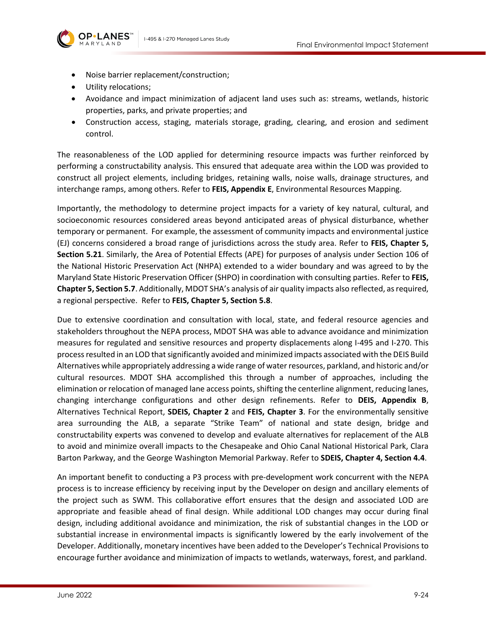

- Noise barrier replacement/construction;
- Utility relocations;
- Avoidance and impact minimization of adjacent land uses such as: streams, wetlands, historic properties, parks, and private properties; and
- Construction access, staging, materials storage, grading, clearing, and erosion and sediment control.

The reasonableness of the LOD applied for determining resource impacts was further reinforced by performing a constructability analysis. This ensured that adequate area within the LOD was provided to construct all project elements, including bridges, retaining walls, noise walls, drainage structures, and interchange ramps, among others. Refer to **FEIS, Appendix E**, Environmental Resources Mapping.

Importantly, the methodology to determine project impacts for a variety of key natural, cultural, and socioeconomic resources considered areas beyond anticipated areas of physical disturbance, whether temporary or permanent. For example, the assessment of community impacts and environmental justice (EJ) concerns considered a broad range of jurisdictions across the study area. Refer to **FEIS, Chapter 5, Section 5.21**. Similarly, the Area of Potential Effects (APE) for purposes of analysis under Section 106 of the National Historic Preservation Act (NHPA) extended to a wider boundary and was agreed to by the Maryland State Historic Preservation Officer (SHPO) in coordination with consulting parties. Refer to **FEIS, Chapter 5, Section 5.7**. Additionally, MDOT SHA's analysis of air quality impacts also reflected, as required, a regional perspective. Refer to **FEIS, Chapter 5, Section 5.8**.

Due to extensive coordination and consultation with local, state, and federal resource agencies and stakeholders throughout the NEPA process, MDOT SHA was able to advance avoidance and minimization measures for regulated and sensitive resources and property displacements along I-495 and I-270. This process resulted in an LOD that significantly avoided and minimized impacts associated with the DEIS Build Alternatives while appropriately addressing a wide range of water resources, parkland, and historic and/or cultural resources. MDOT SHA accomplished this through a number of approaches, including the elimination or relocation of managed lane access points, shifting the centerline alignment, reducing lanes, changing interchange configurations and other design refinements. Refer to **DEIS, Appendix B**, Alternatives Technical Report, **SDEIS, Chapter 2** and **FEIS, Chapter 3**. For the environmentally sensitive area surrounding the ALB, a separate "Strike Team" of national and state design, bridge and constructability experts was convened to develop and evaluate alternatives for replacement of the ALB to avoid and minimize overall impacts to the Chesapeake and Ohio Canal National Historical Park, Clara Barton Parkway, and the George Washington Memorial Parkway. Refer to **SDEIS, Chapter 4, Section 4.4**.

An important benefit to conducting a P3 process with pre-development work concurrent with the NEPA process is to increase efficiency by receiving input by the Developer on design and ancillary elements of the project such as SWM. This collaborative effort ensures that the design and associated LOD are appropriate and feasible ahead of final design. While additional LOD changes may occur during final design, including additional avoidance and minimization, the risk of substantial changes in the LOD or substantial increase in environmental impacts is significantly lowered by the early involvement of the Developer. Additionally, monetary incentives have been added to the Developer's Technical Provisions to encourage further avoidance and minimization of impacts to wetlands, waterways, forest, and parkland.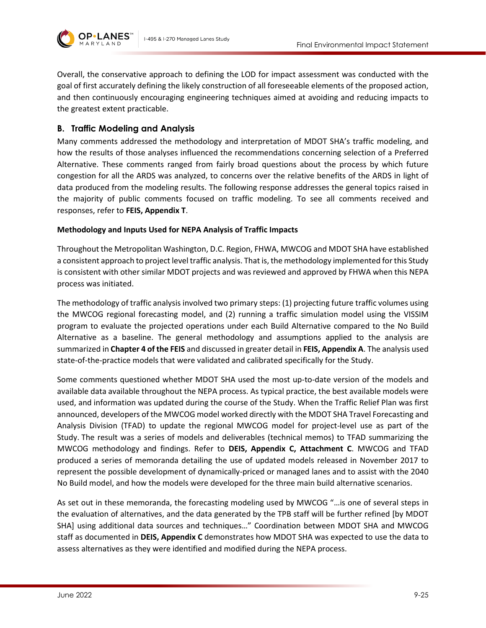

Overall, the conservative approach to defining the LOD for impact assessment was conducted with the goal of first accurately defining the likely construction of all foreseeable elements of the proposed action, and then continuously encouraging engineering techniques aimed at avoiding and reducing impacts to the greatest extent practicable.

# **B. Traffic Modeling and Analysis**

**OP•LANES** 

Many comments addressed the methodology and interpretation of MDOT SHA's traffic modeling, and how the results of those analyses influenced the recommendations concerning selection of a Preferred Alternative. These comments ranged from fairly broad questions about the process by which future congestion for all the ARDS was analyzed, to concerns over the relative benefits of the ARDS in light of data produced from the modeling results. The following response addresses the general topics raised in the majority of public comments focused on traffic modeling. To see all comments received and responses, refer to **FEIS, Appendix T**.

### **Methodology and Inputs Used for NEPA Analysis of Traffic Impacts**

Throughout the Metropolitan Washington, D.C. Region, FHWA, MWCOG and MDOT SHA have established a consistent approach to project level traffic analysis. That is, the methodology implemented for this Study is consistent with other similar MDOT projects and was reviewed and approved by FHWA when this NEPA process was initiated.

The methodology of traffic analysis involved two primary steps: (1) projecting future traffic volumes using the MWCOG regional forecasting model, and (2) running a traffic simulation model using the VISSIM program to evaluate the projected operations under each Build Alternative compared to the No Build Alternative as a baseline. The general methodology and assumptions applied to the analysis are summarized in **Chapter 4 of the FEIS** and discussed in greater detail in **FEIS, Appendix A**. The analysis used state-of-the-practice models that were validated and calibrated specifically for the Study.

Some comments questioned whether MDOT SHA used the most up-to-date version of the models and available data available throughout the NEPA process. As typical practice, the best available models were used, and information was updated during the course of the Study. When the Traffic Relief Plan was first announced, developers of the MWCOG model worked directly with the MDOT SHA Travel Forecasting and Analysis Division (TFAD) to update the regional MWCOG model for project-level use as part of the Study. The result was a series of models and deliverables (technical memos) to TFAD summarizing the MWCOG methodology and findings. Refer to **DEIS, Appendix C, Attachment C**. MWCOG and TFAD produced a series of memoranda detailing the use of updated models released in November 2017 to represent the possible development of dynamically-priced or managed lanes and to assist with the 2040 No Build model, and how the models were developed for the three main build alternative scenarios.

As set out in these memoranda, the forecasting modeling used by MWCOG "…is one of several steps in the evaluation of alternatives, and the data generated by the TPB staff will be further refined [by MDOT SHA] using additional data sources and techniques…" Coordination between MDOT SHA and MWCOG staff as documented in **DEIS, Appendix C** demonstrates how MDOT SHA was expected to use the data to assess alternatives as they were identified and modified during the NEPA process.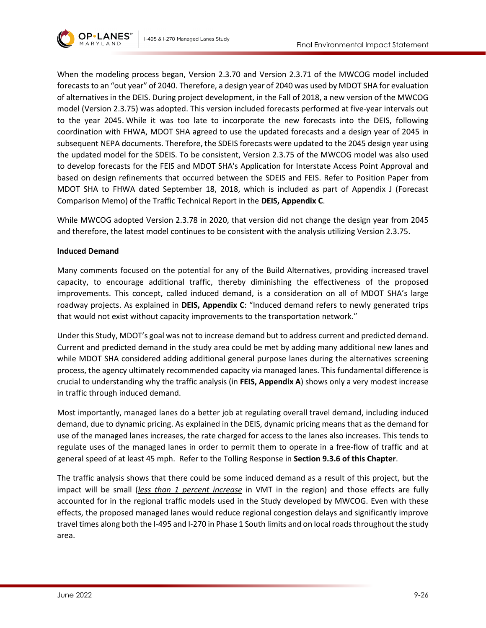

When the modeling process began, Version 2.3.70 and Version 2.3.71 of the MWCOG model included forecasts to an "out year" of 2040. Therefore, a design year of 2040 was used by MDOT SHA for evaluation of alternatives in the DEIS. During project development, in the Fall of 2018, a new version of the MWCOG model (Version 2.3.75) was adopted. This version included forecasts performed at five-year intervals out to the year 2045. While it was too late to incorporate the new forecasts into the DEIS, following coordination with FHWA, MDOT SHA agreed to use the updated forecasts and a design year of 2045 in subsequent NEPA documents. Therefore, the SDEIS forecasts were updated to the 2045 design year using the updated model for the SDEIS. To be consistent, Version 2.3.75 of the MWCOG model was also used to develop forecasts for the FEIS and MDOT SHA's Application for Interstate Access Point Approval and based on design refinements that occurred between the SDEIS and FEIS. Refer to Position Paper from MDOT SHA to FHWA dated September 18, 2018, which is included as part of Appendix J (Forecast Comparison Memo) of the Traffic Technical Report in the **DEIS, Appendix C**.

While MWCOG adopted Version 2.3.78 in 2020, that version did not change the design year from 2045 and therefore, the latest model continues to be consistent with the analysis utilizing Version 2.3.75.

### **Induced Demand**

Many comments focused on the potential for any of the Build Alternatives, providing increased travel capacity, to encourage additional traffic, thereby diminishing the effectiveness of the proposed improvements. This concept, called induced demand, is a consideration on all of MDOT SHA's large roadway projects. As explained in **DEIS, Appendix C**: "Induced demand refers to newly generated trips that would not exist without capacity improvements to the transportation network."

Under this Study, MDOT's goal was not to increase demand but to address current and predicted demand. Current and predicted demand in the study area could be met by adding many additional new lanes and while MDOT SHA considered adding additional general purpose lanes during the alternatives screening process, the agency ultimately recommended capacity via managed lanes. This fundamental difference is crucial to understanding why the traffic analysis (in **FEIS, Appendix A**) shows only a very modest increase in traffic through induced demand.

Most importantly, managed lanes do a better job at regulating overall travel demand, including induced demand, due to dynamic pricing. As explained in the DEIS, dynamic pricing means that as the demand for use of the managed lanes increases, the rate charged for access to the lanes also increases. This tends to regulate uses of the managed lanes in order to permit them to operate in a free-flow of traffic and at general speed of at least 45 mph. Refer to the Tolling Response in **Section [9.3.6](#page-63-0) of this Chapter**.

The traffic analysis shows that there could be some induced demand as a result of this project, but the impact will be small (*less than 1 percent increase* in VMT in the region) and those effects are fully accounted for in the regional traffic models used in the Study developed by MWCOG. Even with these effects, the proposed managed lanes would reduce regional congestion delays and significantly improve travel times along both the I-495 and I-270 in Phase 1 South limits and on local roads throughout the study area.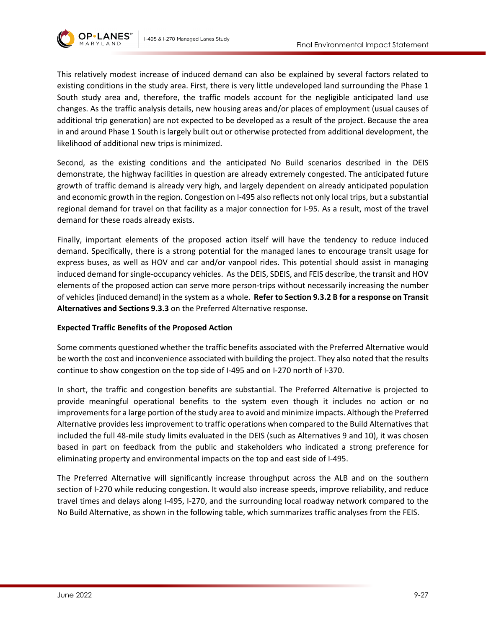

This relatively modest increase of induced demand can also be explained by several factors related to existing conditions in the study area. First, there is very little undeveloped land surrounding the Phase 1 South study area and, therefore, the traffic models account for the negligible anticipated land use changes. As the traffic analysis details, new housing areas and/or places of employment (usual causes of additional trip generation) are not expected to be developed as a result of the project. Because the area in and around Phase 1 South is largely built out or otherwise protected from additional development, the likelihood of additional new trips is minimized.

Second, as the existing conditions and the anticipated No Build scenarios described in the DEIS demonstrate, the highway facilities in question are already extremely congested. The anticipated future growth of traffic demand is already very high, and largely dependent on already anticipated population and economic growth in the region. Congestion on I-495 also reflects not only local trips, but a substantial regional demand for travel on that facility as a major connection for I-95. As a result, most of the travel demand for these roads already exists.

Finally, important elements of the proposed action itself will have the tendency to reduce induced demand. Specifically, there is a strong potential for the managed lanes to encourage transit usage for express buses, as well as HOV and car and/or vanpool rides. This potential should assist in managing induced demand for single-occupancy vehicles. As the DEIS, SDEIS, and FEIS describe, the transit and HOV elements of the proposed action can serve more person-trips without necessarily increasing the number of vehicles (induced demand) in the system as a whole. **Refer to Section 9.3.2 [B](#page-8-0) for a response on Transit Alternatives and Section[s 9.3.3](#page-13-0)** on the Preferred Alternative response.

### **Expected Traffic Benefits of the Proposed Action**

Some comments questioned whether the traffic benefits associated with the Preferred Alternative would be worth the cost and inconvenience associated with building the project. They also noted that the results continue to show congestion on the top side of I-495 and on I-270 north of I-370.

In short, the traffic and congestion benefits are substantial. The Preferred Alternative is projected to provide meaningful operational benefits to the system even though it includes no action or no improvements for a large portion of the study area to avoid and minimize impacts. Although the Preferred Alternative provides less improvement to traffic operations when compared to the Build Alternatives that included the full 48-mile study limits evaluated in the DEIS (such as Alternatives 9 and 10), it was chosen based in part on feedback from the public and stakeholders who indicated a strong preference for eliminating property and environmental impacts on the top and east side of I-495.

The Preferred Alternative will significantly increase throughput across the ALB and on the southern section of I-270 while reducing congestion. It would also increase speeds, improve reliability, and reduce travel times and delays along I-495, I-270, and the surrounding local roadway network compared to the No Build Alternative, as shown in the following table, which summarizes traffic analyses from the FEIS.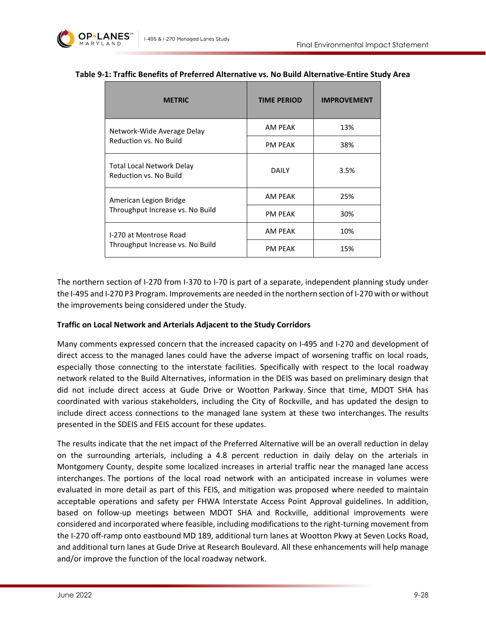

| <b>METRIC</b>                                              | <b>TIME PERIOD</b> | <b>IMPROVEMENT</b> |
|------------------------------------------------------------|--------------------|--------------------|
| Network-Wide Average Delay<br>Reduction vs. No Build       | AM PEAK            | 13%                |
|                                                            | <b>PM PEAK</b>     | 38%                |
| <b>Total Local Network Delay</b><br>Reduction vs. No Build | <b>DAILY</b>       | 3.5%               |
| American Legion Bridge<br>Throughput Increase vs. No Build | AM PEAK            | 25%                |
|                                                            | <b>PM PEAK</b>     | 30%                |
| I-270 at Montrose Road<br>Throughput Increase vs. No Build | AM PEAK            | 10%                |
|                                                            | <b>PM PEAK</b>     | 15%                |

### **Table 9-1: Traffic Benefits of Preferred Alternative vs. No Build Alternative-Entire Study Area**

The northern section of I-270 from I-370 to I-70 is part of a separate, independent planning study under the I-495 and I-270 P3 Program. Improvements are needed in the northern section of I-270 with or without the improvements being considered under the Study.

#### **Traffic on Local Network and Arterials Adjacent to the Study Corridors**

Many comments expressed concern that the increased capacity on I-495 and I-270 and development of direct access to the managed lanes could have the adverse impact of worsening traffic on local roads, especially those connecting to the interstate facilities. Specifically with respect to the local roadway network related to the Build Alternatives, information in the DEIS was based on preliminary design that did not include direct access at Gude Drive or Wootton Parkway. Since that time, MDOT SHA has coordinated with various stakeholders, including the City of Rockville, and has updated the design to include direct access connections to the managed lane system at these two interchanges. The results presented in the SDEIS and FEIS account for these updates.

The results indicate that the net impact of the Preferred Alternative will be an overall reduction in delay on the surrounding arterials, including a 4.8 percent reduction in daily delay on the arterials in Montgomery County, despite some localized increases in arterial traffic near the managed lane access interchanges. The portions of the local road network with an anticipated increase in volumes were evaluated in more detail as part of this FEIS, and mitigation was proposed where needed to maintain acceptable operations and safety per FHWA Interstate Access Point Approval guidelines. In addition, based on follow-up meetings between MDOT SHA and Rockville, additional improvements were considered and incorporated where feasible, including modifications to the right-turning movement from the I-270 off-ramp onto eastbound MD 189, additional turn lanes at Wootton Pkwy at Seven Locks Road, and additional turn lanes at Gude Drive at Research Boulevard. All these enhancements will help manage and/or improve the function of the local roadway network.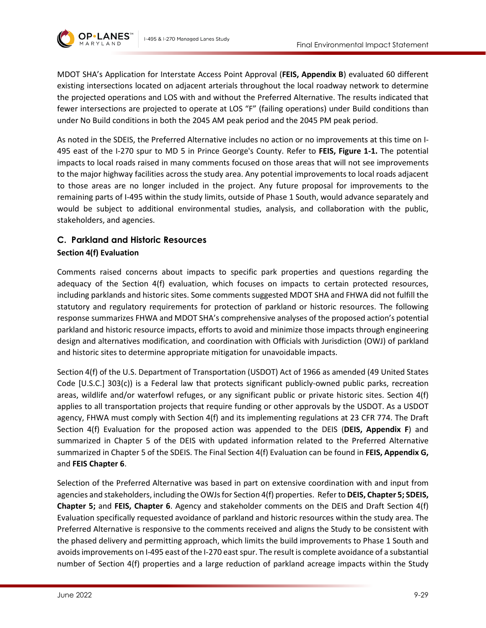

MDOT SHA's Application for Interstate Access Point Approval (**FEIS, Appendix B**) evaluated 60 different existing intersections located on adjacent arterials throughout the local roadway network to determine the projected operations and LOS with and without the Preferred Alternative. The results indicated that fewer intersections are projected to operate at LOS "F" (failing operations) under Build conditions than under No Build conditions in both the 2045 AM peak period and the 2045 PM peak period.

As noted in the SDEIS, the Preferred Alternative includes no action or no improvements at this time on I-495 east of the I-270 spur to MD 5 in Prince George's County. Refer to **FEIS, Figure 1-1.** The potential impacts to local roads raised in many comments focused on those areas that will not see improvements to the major highway facilities across the study area. Any potential improvements to local roads adjacent to those areas are no longer included in the project. Any future proposal for improvements to the remaining parts of I-495 within the study limits, outside of Phase 1 South, would advance separately and would be subject to additional environmental studies, analysis, and collaboration with the public, stakeholders, and agencies.

# **C. Parkland and Historic Resources**

### **Section 4(f) Evaluation**

Comments raised concerns about impacts to specific park properties and questions regarding the adequacy of the Section 4(f) evaluation, which focuses on impacts to certain protected resources, including parklands and historic sites. Some comments suggested MDOT SHA and FHWA did not fulfill the statutory and regulatory requirements for protection of parkland or historic resources. The following response summarizes FHWA and MDOT SHA's comprehensive analyses of the proposed action's potential parkland and historic resource impacts, efforts to avoid and minimize those impacts through engineering design and alternatives modification, and coordination with Officials with Jurisdiction (OWJ) of parkland and historic sites to determine appropriate mitigation for unavoidable impacts.

Section 4(f) of the U.S. Department of Transportation (USDOT) Act of 1966 as amended (49 United States Code [U.S.C.] 303(c)) is a Federal law that protects significant publicly-owned public parks, recreation areas, wildlife and/or waterfowl refuges, or any significant public or private historic sites. Section 4(f) applies to all transportation projects that require funding or other approvals by the USDOT. As a USDOT agency, FHWA must comply with Section 4(f) and its implementing regulations at 23 CFR 774. The Draft Section 4(f) Evaluation for the proposed action was appended to the DEIS (**DEIS, Appendix F**) and summarized in Chapter 5 of the DEIS with updated information related to the Preferred Alternative summarized in Chapter 5 of the SDEIS. The Final Section 4(f) Evaluation can be found in **FEIS, Appendix G,**  and **FEIS Chapter 6**.

Selection of the Preferred Alternative was based in part on extensive coordination with and input from agencies and stakeholders, including the OWJs for Section 4(f) properties. Refer to **DEIS, Chapter 5; SDEIS, Chapter 5;** and **FEIS, Chapter 6**. Agency and stakeholder comments on the DEIS and Draft Section 4(f) Evaluation specifically requested avoidance of parkland and historic resources within the study area. The Preferred Alternative is responsive to the comments received and aligns the Study to be consistent with the phased delivery and permitting approach, which limits the build improvements to Phase 1 South and avoids improvements on I-495 east of the I-270 east spur. The result is complete avoidance of a substantial number of Section 4(f) properties and a large reduction of parkland acreage impacts within the Study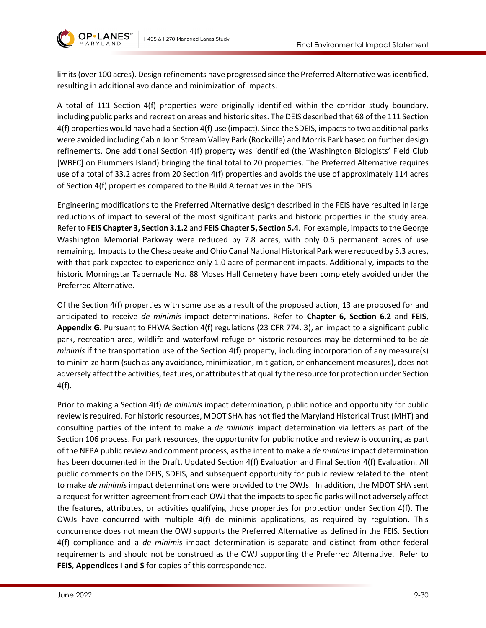

limits(over 100 acres). Design refinements have progressed since the Preferred Alternative was identified, resulting in additional avoidance and minimization of impacts.

A total of 111 Section 4(f) properties were originally identified within the corridor study boundary, including public parks and recreation areas and historic sites. The DEIS described that 68 of the 111 Section 4(f) properties would have had a Section 4(f) use (impact). Since the SDEIS, impacts to two additional parks were avoided including Cabin John Stream Valley Park (Rockville) and Morris Park based on further design refinements. One additional Section 4(f) property was identified (the Washington Biologists' Field Club [WBFC] on Plummers Island) bringing the final total to 20 properties. The Preferred Alternative requires use of a total of 33.2 acres from 20 Section 4(f) properties and avoids the use of approximately 114 acres of Section 4(f) properties compared to the Build Alternatives in the DEIS.

Engineering modifications to the Preferred Alternative design described in the FEIS have resulted in large reductions of impact to several of the most significant parks and historic properties in the study area. Refer to **FEIS Chapter 3, Section 3.1.2** and **FEIS Chapter 5, Section 5.4**. For example, impacts to the George Washington Memorial Parkway were reduced by 7.8 acres, with only 0.6 permanent acres of use remaining. Impacts to the Chesapeake and Ohio Canal National Historical Park were reduced by 5.3 acres, with that park expected to experience only 1.0 acre of permanent impacts. Additionally, impacts to the historic Morningstar Tabernacle No. 88 Moses Hall Cemetery have been completely avoided under the Preferred Alternative.

Of the Section 4(f) properties with some use as a result of the proposed action, 13 are proposed for and anticipated to receive *de minimis* impact determinations. Refer to **Chapter 6, Section 6.2** and **FEIS, Appendix G**. Pursuant to FHWA Section 4(f) regulations (23 CFR 774. 3), an impact to a significant public park, recreation area, wildlife and waterfowl refuge or historic resources may be determined to be *de minimis* if the transportation use of the Section 4(f) property, including incorporation of any measure(s) to minimize harm (such as any avoidance, minimization, mitigation, or enhancement measures), does not adversely affect the activities, features, or attributes that qualify the resource for protection under Section 4(f).

Prior to making a Section 4(f) *de minimis* impact determination, public notice and opportunity for public review is required. For historic resources, MDOT SHA has notified the Maryland Historical Trust (MHT) and consulting parties of the intent to make a *de minimis* impact determination via letters as part of the Section 106 process. For park resources, the opportunity for public notice and review is occurring as part of the NEPA public review and comment process, as the intent to make a *de minimis*impact determination has been documented in the Draft, Updated Section 4(f) Evaluation and Final Section 4(f) Evaluation. All public comments on the DEIS, SDEIS, and subsequent opportunity for public review related to the intent to make *de minimis* impact determinations were provided to the OWJs. In addition, the MDOT SHA sent a request for written agreement from each OWJ that the impacts to specific parks will not adversely affect the features, attributes, or activities qualifying those properties for protection under Section 4(f). The OWJs have concurred with multiple 4(f) de minimis applications, as required by regulation. This concurrence does not mean the OWJ supports the Preferred Alternative as defined in the FEIS. Section 4(f) compliance and a *de minimis* impact determination is separate and distinct from other federal requirements and should not be construed as the OWJ supporting the Preferred Alternative. Refer to **FEIS**, **Appendices I and S** for copies of this correspondence.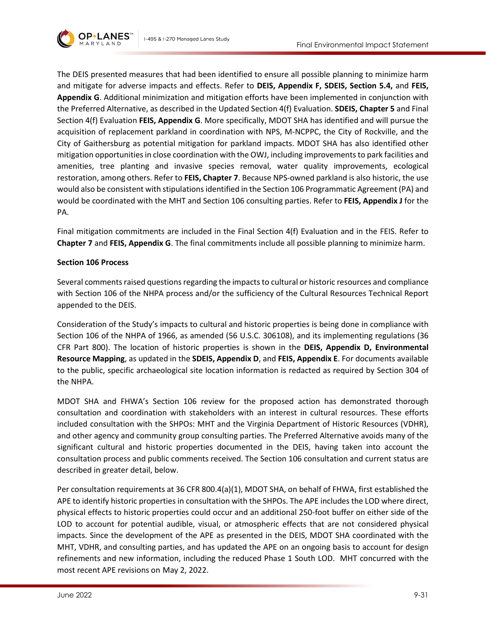

The DEIS presented measures that had been identified to ensure all possible planning to minimize harm and mitigate for adverse impacts and effects. Refer to **DEIS, Appendix F, SDEIS, Section 5.4,** and **FEIS, Appendix G**. Additional minimization and mitigation efforts have been implemented in conjunction with the Preferred Alternative, as described in the Updated Section 4(f) Evaluation. **SDEIS, Chapter 5** and Final Section 4(f) Evaluation **FEIS, Appendix G**. More specifically, MDOT SHA has identified and will pursue the acquisition of replacement parkland in coordination with NPS, M-NCPPC, the City of Rockville, and the City of Gaithersburg as potential mitigation for parkland impacts. MDOT SHA has also identified other mitigation opportunities in close coordination with the OWJ, including improvements to park facilities and amenities, tree planting and invasive species removal, water quality improvements, ecological restoration, among others. Refer to **FEIS, Chapter 7**. Because NPS-owned parkland is also historic, the use would also be consistent with stipulations identified in the Section 106 Programmatic Agreement (PA) and would be coordinated with the MHT and Section 106 consulting parties. Refer to **FEIS, Appendix J** for the PA.

Final mitigation commitments are included in the Final Section 4(f) Evaluation and in the FEIS. Refer to **Chapter 7** and **FEIS, Appendix G**. The final commitments include all possible planning to minimize harm.

### **Section 106 Process**

Several comments raised questions regarding the impacts to cultural or historic resources and compliance with Section 106 of the NHPA process and/or the sufficiency of the Cultural Resources Technical Report appended to the DEIS.

Consideration of the Study's impacts to cultural and historic properties is being done in compliance with Section 106 of the NHPA of 1966, as amended (56 U.S.C. 306108), and its implementing regulations (36 CFR Part 800). The location of historic properties is shown in the **DEIS, Appendix D, Environmental Resource Mapping**, as updated in the **SDEIS, Appendix D**, and **FEIS, Appendix E**. For documents available to the public, specific archaeological site location information is redacted as required by Section 304 of the NHPA.

MDOT SHA and FHWA's Section 106 review for the proposed action has demonstrated thorough consultation and coordination with stakeholders with an interest in cultural resources. These efforts included consultation with the SHPOs: MHT and the Virginia Department of Historic Resources (VDHR), and other agency and community group consulting parties. The Preferred Alternative avoids many of the significant cultural and historic properties documented in the DEIS, having taken into account the consultation process and public comments received. The Section 106 consultation and current status are described in greater detail, below.

Per consultation requirements at 36 CFR 800.4(a)(1), MDOT SHA, on behalf of FHWA, first established the APE to identify historic properties in consultation with the SHPOs. The APE includes the LOD where direct, physical effects to historic properties could occur and an additional 250-foot buffer on either side of the LOD to account for potential audible, visual, or atmospheric effects that are not considered physical impacts. Since the development of the APE as presented in the DEIS, MDOT SHA coordinated with the MHT, VDHR, and consulting parties, and has updated the APE on an ongoing basis to account for design refinements and new information, including the reduced Phase 1 South LOD. MHT concurred with the most recent APE revisions on May 2, 2022.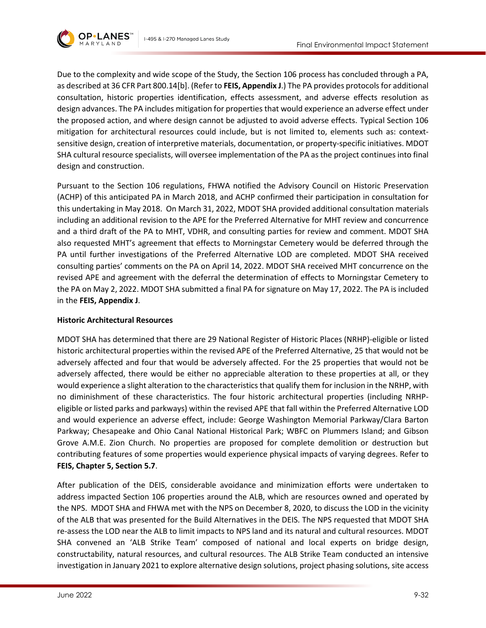

Due to the complexity and wide scope of the Study, the Section 106 process has concluded through a PA, as described at 36 CFR Part 800.14[b]. (Refer to **FEIS, Appendix J**.) The PA provides protocols for additional consultation, historic properties identification, effects assessment, and adverse effects resolution as design advances. The PA includes mitigation for properties that would experience an adverse effect under the proposed action, and where design cannot be adjusted to avoid adverse effects. Typical Section 106 mitigation for architectural resources could include, but is not limited to, elements such as: contextsensitive design, creation of interpretive materials, documentation, or property-specific initiatives. MDOT SHA cultural resource specialists, will oversee implementation of the PA as the project continues into final design and construction.

Pursuant to the Section 106 regulations, FHWA notified the Advisory Council on Historic Preservation (ACHP) of this anticipated PA in March 2018, and ACHP confirmed their participation in consultation for this undertaking in May 2018. On March 31, 2022, MDOT SHA provided additional consultation materials including an additional revision to the APE for the Preferred Alternative for MHT review and concurrence and a third draft of the PA to MHT, VDHR, and consulting parties for review and comment. MDOT SHA also requested MHT's agreement that effects to Morningstar Cemetery would be deferred through the PA until further investigations of the Preferred Alternative LOD are completed. MDOT SHA received consulting parties' comments on the PA on April 14, 2022. MDOT SHA received MHT concurrence on the revised APE and agreement with the deferral the determination of effects to Morningstar Cemetery to the PA on May 2, 2022. MDOT SHA submitted a final PA for signature on May 17, 2022. The PA is included in the **FEIS, Appendix J**.

### **Historic Architectural Resources**

MDOT SHA has determined that there are 29 National Register of Historic Places (NRHP)-eligible or listed historic architectural properties within the revised APE of the Preferred Alternative, 25 that would not be adversely affected and four that would be adversely affected. For the 25 properties that would not be adversely affected, there would be either no appreciable alteration to these properties at all, or they would experience a slight alteration to the characteristics that qualify them for inclusion in the NRHP, with no diminishment of these characteristics. The four historic architectural properties (including NRHPeligible or listed parks and parkways) within the revised APE that fall within the Preferred Alternative LOD and would experience an adverse effect, include: George Washington Memorial Parkway/Clara Barton Parkway; Chesapeake and Ohio Canal National Historical Park; WBFC on Plummers Island; and Gibson Grove A.M.E. Zion Church. No properties are proposed for complete demolition or destruction but contributing features of some properties would experience physical impacts of varying degrees. Refer to **FEIS, Chapter 5, Section 5.7**.

After publication of the DEIS, considerable avoidance and minimization efforts were undertaken to address impacted Section 106 properties around the ALB, which are resources owned and operated by the NPS. MDOT SHA and FHWA met with the NPS on December 8, 2020, to discuss the LOD in the vicinity of the ALB that was presented for the Build Alternatives in the DEIS. The NPS requested that MDOT SHA re-assess the LOD near the ALB to limit impacts to NPS land and its natural and cultural resources. MDOT SHA convened an 'ALB Strike Team' composed of national and local experts on bridge design, constructability, natural resources, and cultural resources. The ALB Strike Team conducted an intensive investigation in January 2021 to explore alternative design solutions, project phasing solutions, site access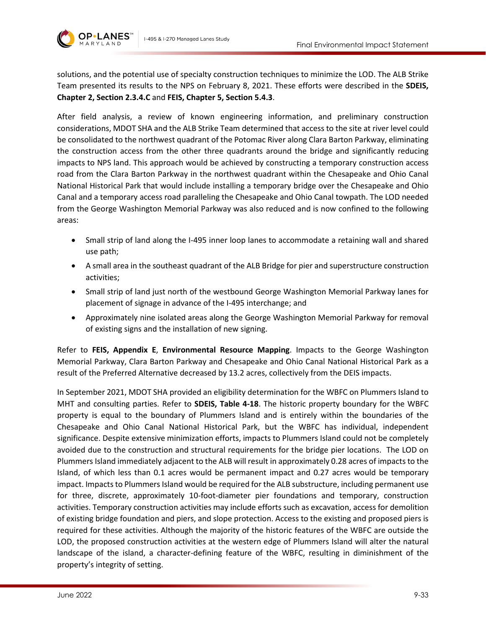

solutions, and the potential use of specialty construction techniques to minimize the LOD. The ALB Strike Team presented its results to the NPS on February 8, 2021. These efforts were described in the **SDEIS, Chapter 2, Section 2.3.4.C** and **FEIS, Chapter 5, Section 5.4.3**.

After field analysis, a review of known engineering information, and preliminary construction considerations, MDOT SHA and the ALB Strike Team determined that access to the site at river level could be consolidated to the northwest quadrant of the Potomac River along Clara Barton Parkway, eliminating the construction access from the other three quadrants around the bridge and significantly reducing impacts to NPS land. This approach would be achieved by constructing a temporary construction access road from the Clara Barton Parkway in the northwest quadrant within the Chesapeake and Ohio Canal National Historical Park that would include installing a temporary bridge over the Chesapeake and Ohio Canal and a temporary access road paralleling the Chesapeake and Ohio Canal towpath. The LOD needed from the George Washington Memorial Parkway was also reduced and is now confined to the following areas:

- Small strip of land along the I-495 inner loop lanes to accommodate a retaining wall and shared use path;
- A small area in the southeast quadrant of the ALB Bridge for pier and superstructure construction activities;
- Small strip of land just north of the westbound George Washington Memorial Parkway lanes for placement of signage in advance of the I-495 interchange; and
- Approximately nine isolated areas along the George Washington Memorial Parkway for removal of existing signs and the installation of new signing.

Refer to **FEIS, Appendix E**, **Environmental Resource Mapping**. Impacts to the George Washington Memorial Parkway, Clara Barton Parkway and Chesapeake and Ohio Canal National Historical Park as a result of the Preferred Alternative decreased by 13.2 acres, collectively from the DEIS impacts.

In September 2021, MDOT SHA provided an eligibility determination for the WBFC on Plummers Island to MHT and consulting parties. Refer to **SDEIS, Table 4-18**. The historic property boundary for the WBFC property is equal to the boundary of Plummers Island and is entirely within the boundaries of the Chesapeake and Ohio Canal National Historical Park, but the WBFC has individual, independent significance. Despite extensive minimization efforts, impacts to Plummers Island could not be completely avoided due to the construction and structural requirements for the bridge pier locations. The LOD on Plummers Island immediately adjacent to the ALB will result in approximately 0.28 acres of impacts to the Island, of which less than 0.1 acres would be permanent impact and 0.27 acres would be temporary impact. Impacts to Plummers Island would be required for the ALB substructure, including permanent use for three, discrete, approximately 10-foot-diameter pier foundations and temporary, construction activities. Temporary construction activities may include efforts such as excavation, access for demolition of existing bridge foundation and piers, and slope protection. Access to the existing and proposed piers is required for these activities. Although the majority of the historic features of the WBFC are outside the LOD, the proposed construction activities at the western edge of Plummers Island will alter the natural landscape of the island, a character-defining feature of the WBFC, resulting in diminishment of the property's integrity of setting.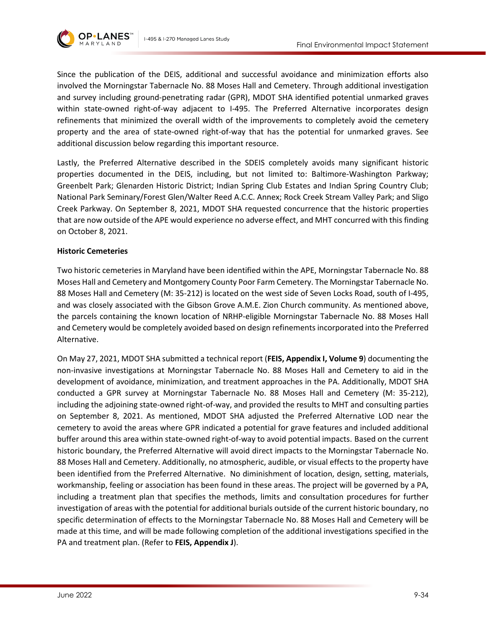

**OP•LANES** 

Since the publication of the DEIS, additional and successful avoidance and minimization efforts also involved the Morningstar Tabernacle No. 88 Moses Hall and Cemetery. Through additional investigation and survey including ground-penetrating radar (GPR), MDOT SHA identified potential unmarked graves within state-owned right-of-way adjacent to I-495. The Preferred Alternative incorporates design refinements that minimized the overall width of the improvements to completely avoid the cemetery property and the area of state-owned right-of-way that has the potential for unmarked graves. See additional discussion below regarding this important resource.

Lastly, the Preferred Alternative described in the SDEIS completely avoids many significant historic properties documented in the DEIS, including, but not limited to: Baltimore-Washington Parkway; Greenbelt Park; Glenarden Historic District; Indian Spring Club Estates and Indian Spring Country Club; National Park Seminary/Forest Glen/Walter Reed A.C.C. Annex; Rock Creek Stream Valley Park; and Sligo Creek Parkway. On September 8, 2021, MDOT SHA requested concurrence that the historic properties that are now outside of the APE would experience no adverse effect, and MHT concurred with this finding on October 8, 2021.

### **Historic Cemeteries**

Two historic cemeteries in Maryland have been identified within the APE, Morningstar Tabernacle No. 88 Moses Hall and Cemetery and Montgomery County Poor Farm Cemetery. The Morningstar Tabernacle No. 88 Moses Hall and Cemetery (M: 35-212) is located on the west side of Seven Locks Road, south of I-495, and was closely associated with the Gibson Grove A.M.E. Zion Church community. As mentioned above, the parcels containing the known location of NRHP-eligible Morningstar Tabernacle No. 88 Moses Hall and Cemetery would be completely avoided based on design refinements incorporated into the Preferred Alternative.

On May 27, 2021, MDOT SHA submitted a technical report (**FEIS, Appendix I, Volume 9**) documenting the non-invasive investigations at Morningstar Tabernacle No. 88 Moses Hall and Cemetery to aid in the development of avoidance, minimization, and treatment approaches in the PA. Additionally, MDOT SHA conducted a GPR survey at Morningstar Tabernacle No. 88 Moses Hall and Cemetery (M: 35-212), including the adjoining state-owned right-of-way, and provided the results to MHT and consulting parties on September 8, 2021. As mentioned, MDOT SHA adjusted the Preferred Alternative LOD near the cemetery to avoid the areas where GPR indicated a potential for grave features and included additional buffer around this area within state-owned right-of-way to avoid potential impacts. Based on the current historic boundary, the Preferred Alternative will avoid direct impacts to the Morningstar Tabernacle No. 88 Moses Hall and Cemetery. Additionally, no atmospheric, audible, or visual effects to the property have been identified from the Preferred Alternative. No diminishment of location, design, setting, materials, workmanship, feeling or association has been found in these areas. The project will be governed by a PA, including a treatment plan that specifies the methods, limits and consultation procedures for further investigation of areas with the potential for additional burials outside of the current historic boundary, no specific determination of effects to the Morningstar Tabernacle No. 88 Moses Hall and Cemetery will be made at this time, and will be made following completion of the additional investigations specified in the PA and treatment plan. (Refer to **FEIS, Appendix J**).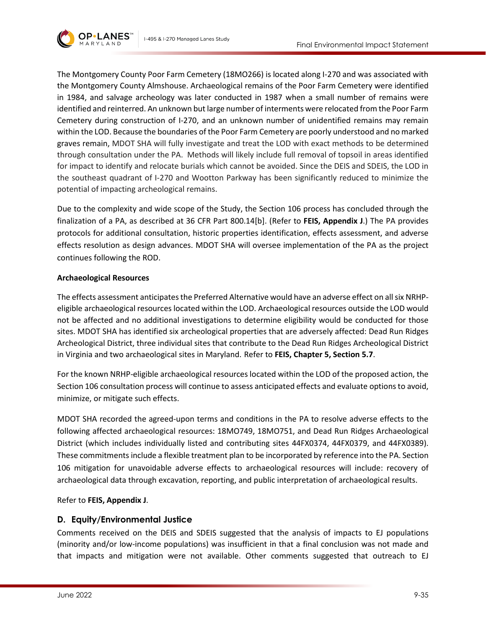



The Montgomery County Poor Farm Cemetery (18MO266) is located along I-270 and was associated with the Montgomery County Almshouse. Archaeological remains of the Poor Farm Cemetery were identified in 1984, and salvage archeology was later conducted in 1987 when a small number of remains were identified and reinterred. An unknown but large number of interments were relocated from the Poor Farm Cemetery during construction of I-270, and an unknown number of unidentified remains may remain within the LOD. Because the boundaries of the Poor Farm Cemetery are poorly understood and no marked graves remain, MDOT SHA will fully investigate and treat the LOD with exact methods to be determined through consultation under the PA. Methods will likely include full removal of topsoil in areas identified for impact to identify and relocate burials which cannot be avoided. Since the DEIS and SDEIS, the LOD in the southeast quadrant of I-270 and Wootton Parkway has been significantly reduced to minimize the potential of impacting archeological remains.

Due to the complexity and wide scope of the Study, the Section 106 process has concluded through the finalization of a PA, as described at 36 CFR Part 800.14[b]. (Refer to **FEIS, Appendix J**.) The PA provides protocols for additional consultation, historic properties identification, effects assessment, and adverse effects resolution as design advances. MDOT SHA will oversee implementation of the PA as the project continues following the ROD.

### **Archaeological Resources**

The effects assessment anticipates the Preferred Alternative would have an adverse effect on all six NRHPeligible archaeological resources located within the LOD. Archaeological resources outside the LOD would not be affected and no additional investigations to determine eligibility would be conducted for those sites. MDOT SHA has identified six archeological properties that are adversely affected: Dead Run Ridges Archeological District, three individual sites that contribute to the Dead Run Ridges Archeological District in Virginia and two archaeological sites in Maryland. Refer to **FEIS, Chapter 5, Section 5.7**.

For the known NRHP-eligible archaeological resources located within the LOD of the proposed action, the Section 106 consultation process will continue to assess anticipated effects and evaluate options to avoid, minimize, or mitigate such effects.

MDOT SHA recorded the agreed-upon terms and conditions in the PA to resolve adverse effects to the following affected archaeological resources: 18MO749, 18MO751, and Dead Run Ridges Archaeological District (which includes individually listed and contributing sites 44FX0374, 44FX0379, and 44FX0389). These commitments include a flexible treatment plan to be incorporated by reference into the PA. Section 106 mitigation for unavoidable adverse effects to archaeological resources will include: recovery of archaeological data through excavation, reporting, and public interpretation of archaeological results.

Refer to **FEIS, Appendix J**.

# **D. Equity/Environmental Justice**

Comments received on the DEIS and SDEIS suggested that the analysis of impacts to EJ populations (minority and/or low-income populations) was insufficient in that a final conclusion was not made and that impacts and mitigation were not available. Other comments suggested that outreach to EJ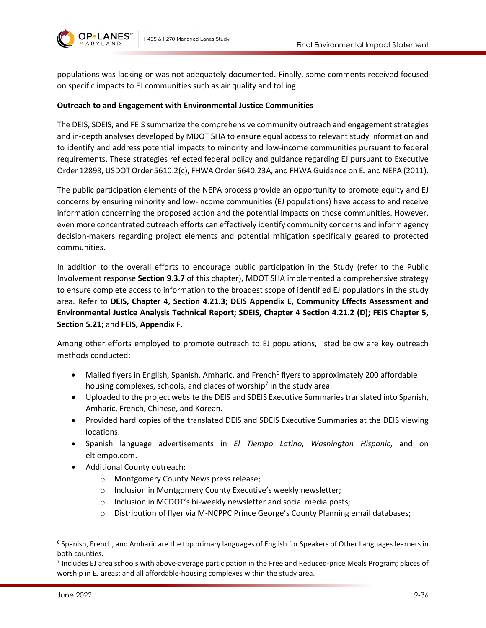

populations was lacking or was not adequately documented. Finally, some comments received focused on specific impacts to EJ communities such as air quality and tolling.

### **Outreach to and Engagement with Environmental Justice Communities**

The DEIS, SDEIS, and FEIS summarize the comprehensive community outreach and engagement strategies and in-depth analyses developed by MDOT SHA to ensure equal access to relevant study information and to identify and address potential impacts to minority and low-income communities pursuant to federal requirements. These strategies reflected federal policy and guidance regarding EJ pursuant to Executive Order 12898, USDOT Order 5610.2(c), FHWA Order 6640.23A, and FHWA Guidance on EJ and NEPA (2011).

The public participation elements of the NEPA process provide an opportunity to promote equity and EJ concerns by ensuring minority and low-income communities (EJ populations) have access to and receive information concerning the proposed action and the potential impacts on those communities. However, even more concentrated outreach efforts can effectively identify community concerns and inform agency decision-makers regarding project elements and potential mitigation specifically geared to protected communities.

In addition to the overall efforts to encourage public participation in the Study (refer to the Public Involvement response **Section [9.3.7](#page-67-0)** of this chapter), MDOT SHA implemented a comprehensive strategy to ensure complete access to information to the broadest scope of identified EJ populations in the study area. Refer to **DEIS, Chapter 4, Section 4.21.3; DEIS Appendix E, Community Effects Assessment and Environmental Justice Analysis Technical Report; SDEIS, Chapter 4 Section 4.21.2 (D); FEIS Chapter 5, Section 5.21;** and **FEIS, Appendix F**.

Among other efforts employed to promote outreach to EJ populations, listed below are key outreach methods conducted:

- Mailed flyers in English, Spanish, Amharic, and French<sup>6</sup> flyers to approximately 200 affordable housing complexes, schools, and places of worship<sup>[7](#page-35-1)</sup> in the study area.
- Uploaded to the project website the DEIS and SDEIS Executive Summaries translated into Spanish, Amharic, French, Chinese, and Korean.
- Provided hard copies of the translated DEIS and SDEIS Executive Summaries at the DEIS viewing locations.
- Spanish language advertisements in *El Tiempo Latino*, *Washington Hispanic*, and on eltiempo.com.
- Additional County outreach:
	- o Montgomery County News press release;
	- o Inclusion in Montgomery County Executive's weekly newsletter;
	- o Inclusion in MCDOT's bi-weekly newsletter and social media posts;
	- o Distribution of flyer via M-NCPPC Prince George's County Planning email databases;

<span id="page-35-0"></span> $6$  Spanish, French, and Amharic are the top primary languages of English for Speakers of Other Languages learners in both counties.

<span id="page-35-1"></span><sup>7</sup> Includes EJ area schools with above-average participation in the Free and Reduced-price Meals Program; places of worship in EJ areas; and all affordable-housing complexes within the study area.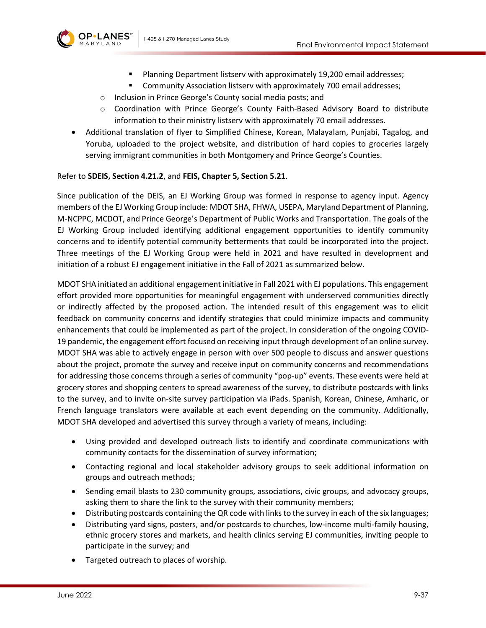



- **Planning Department listserv with approximately 19,200 email addresses;**
- Community Association listserv with approximately 700 email addresses;
- o Inclusion in Prince George's County social media posts; and
- o Coordination with Prince George's County Faith-Based Advisory Board to distribute information to their ministry listserv with approximately 70 email addresses.
- Additional translation of flyer to Simplified Chinese, Korean, Malayalam, Punjabi, Tagalog, and Yoruba, uploaded to the project website, and distribution of hard copies to groceries largely serving immigrant communities in both Montgomery and Prince George's Counties.

#### Refer to **SDEIS, Section 4.21.2**, and **FEIS, Chapter 5, Section 5.21**.

Since publication of the DEIS, an EJ Working Group was formed in response to agency input. Agency members of the EJ Working Group include: MDOT SHA, FHWA, USEPA, Maryland Department of Planning, M-NCPPC, MCDOT, and Prince George's Department of Public Works and Transportation. The goals of the EJ Working Group included identifying additional engagement opportunities to identify community concerns and to identify potential community betterments that could be incorporated into the project. Three meetings of the EJ Working Group were held in 2021 and have resulted in development and initiation of a robust EJ engagement initiative in the Fall of 2021 as summarized below.

MDOT SHA initiated an additional engagement initiative in Fall 2021 with EJ populations. This engagement effort provided more opportunities for meaningful engagement with underserved communities directly or indirectly affected by the proposed action. The intended result of this engagement was to elicit feedback on community concerns and identify strategies that could minimize impacts and community enhancements that could be implemented as part of the project. In consideration of the ongoing COVID-19 pandemic, the engagement effort focused on receiving input through development of an online survey. MDOT SHA was able to actively engage in person with over 500 people to discuss and answer questions about the project, promote the survey and receive input on community concerns and recommendations for addressing those concerns through a series of community "pop-up" events. These events were held at grocery stores and shopping centers to spread awareness of the survey, to distribute postcards with links to the survey, and to invite on-site survey participation via iPads. Spanish, Korean, Chinese, Amharic, or French language translators were available at each event depending on the community. Additionally, MDOT SHA developed and advertised this survey through a variety of means, including:

- Using provided and developed outreach lists to identify and coordinate communications with community contacts for the dissemination of survey information;
- Contacting regional and local stakeholder advisory groups to seek additional information on groups and outreach methods;
- Sending email blasts to 230 community groups, associations, civic groups, and advocacy groups, asking them to share the link to the survey with their community members;
- Distributing postcards containing the QR code with links to the survey in each of the six languages;
- Distributing yard signs, posters, and/or postcards to churches, low-income multi-family housing, ethnic grocery stores and markets, and health clinics serving EJ communities, inviting people to participate in the survey; and
- Targeted outreach to places of worship.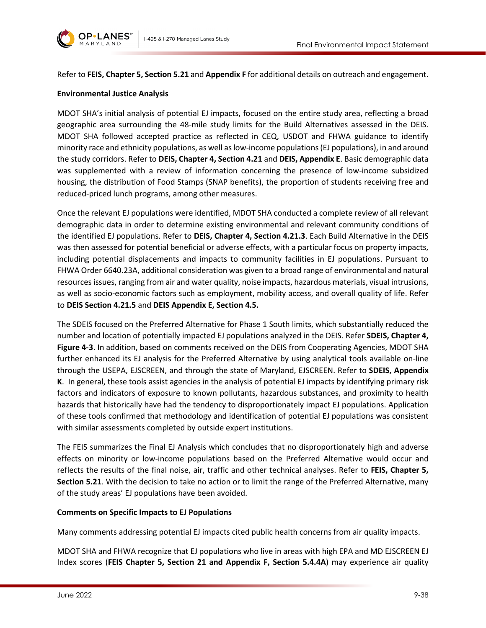

Refer to **FEIS, Chapter 5, Section 5.21** and **Appendix F** for additional details on outreach and engagement.

#### **Environmental Justice Analysis**

MDOT SHA's initial analysis of potential EJ impacts, focused on the entire study area, reflecting a broad geographic area surrounding the 48-mile study limits for the Build Alternatives assessed in the DEIS. MDOT SHA followed accepted practice as reflected in CEQ, USDOT and FHWA guidance to identify minority race and ethnicity populations, as well as low-income populations (EJ populations), in and around the study corridors. Refer to **DEIS, Chapter 4, Section 4.21** and **DEIS, Appendix E**. Basic demographic data was supplemented with a review of information concerning the presence of low-income subsidized housing, the distribution of Food Stamps (SNAP benefits), the proportion of students receiving free and reduced-priced lunch programs, among other measures.

Once the relevant EJ populations were identified, MDOT SHA conducted a complete review of all relevant demographic data in order to determine existing environmental and relevant community conditions of the identified EJ populations. Refer to **DEIS, Chapter 4, Section 4.21.3**. Each Build Alternative in the DEIS was then assessed for potential beneficial or adverse effects, with a particular focus on property impacts, including potential displacements and impacts to community facilities in EJ populations. Pursuant to FHWA Order 6640.23A, additional consideration was given to a broad range of environmental and natural resources issues, ranging from air and water quality, noise impacts, hazardous materials, visual intrusions, as well as socio-economic factors such as employment, mobility access, and overall quality of life. Refer to **DEIS Section 4.21.5** and **DEIS Appendix E, Section 4.5.**

The SDEIS focused on the Preferred Alternative for Phase 1 South limits, which substantially reduced the number and location of potentially impacted EJ populations analyzed in the DEIS. Refer **SDEIS, Chapter 4, Figure 4-3**. In addition, based on comments received on the DEIS from Cooperating Agencies, MDOT SHA further enhanced its EJ analysis for the Preferred Alternative by using analytical tools available on-line through the USEPA, EJSCREEN, and through the state of Maryland, EJSCREEN. Refer to **SDEIS, Appendix K**. In general, these tools assist agencies in the analysis of potential EJ impacts by identifying primary risk factors and indicators of exposure to known pollutants, hazardous substances, and proximity to health hazards that historically have had the tendency to disproportionately impact EJ populations. Application of these tools confirmed that methodology and identification of potential EJ populations was consistent with similar assessments completed by outside expert institutions.

The FEIS summarizes the Final EJ Analysis which concludes that no disproportionately high and adverse effects on minority or low-income populations based on the Preferred Alternative would occur and reflects the results of the final noise, air, traffic and other technical analyses. Refer to **FEIS, Chapter 5, Section 5.21**. With the decision to take no action or to limit the range of the Preferred Alternative, many of the study areas' EJ populations have been avoided.

#### **Comments on Specific Impacts to EJ Populations**

Many comments addressing potential EJ impacts cited public health concerns from air quality impacts.

MDOT SHA and FHWA recognize that EJ populations who live in areas with high EPA and MD EJSCREEN EJ Index scores (**FEIS Chapter 5, Section 21 and Appendix F, Section 5.4.4A**) may experience air quality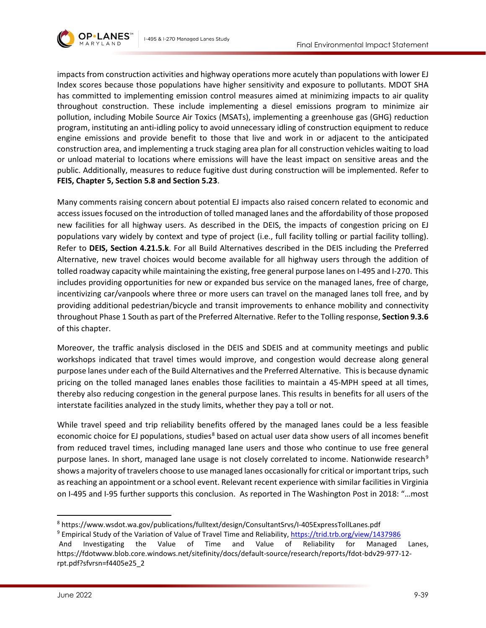

impacts from construction activities and highway operations more acutely than populations with lower EJ Index scores because those populations have higher sensitivity and exposure to pollutants. MDOT SHA has committed to implementing emission control measures aimed at minimizing impacts to air quality throughout construction. These include implementing a diesel emissions program to minimize air pollution, including Mobile Source Air Toxics (MSATs), implementing a greenhouse gas (GHG) reduction program, instituting an anti-idling policy to avoid unnecessary idling of construction equipment to reduce engine emissions and provide benefit to those that live and work in or adjacent to the anticipated construction area, and implementing a truck staging area plan for all construction vehicles waiting to load or unload material to locations where emissions will have the least impact on sensitive areas and the public. Additionally, measures to reduce fugitive dust during construction will be implemented. Refer to **FEIS, Chapter 5, Section 5.8 and Section 5.23**.

Many comments raising concern about potential EJ impacts also raised concern related to economic and access issues focused on the introduction of tolled managed lanes and the affordability of those proposed new facilities for all highway users. As described in the DEIS, the impacts of congestion pricing on EJ populations vary widely by context and type of project (i.e., full facility tolling or partial facility tolling). Refer to **DEIS, Section 4.21.5.k**. For all Build Alternatives described in the DEIS including the Preferred Alternative, new travel choices would become available for all highway users through the addition of tolled roadway capacity while maintaining the existing, free general purpose lanes on I-495 and I-270. This includes providing opportunities for new or expanded bus service on the managed lanes, free of charge, incentivizing car/vanpools where three or more users can travel on the managed lanes toll free, and by providing additional pedestrian/bicycle and transit improvements to enhance mobility and connectivity throughout Phase 1 South as part of the Preferred Alternative. Refer to the Tolling response, **Sectio[n 9.3.6](#page-63-0)** of this chapter.

Moreover, the traffic analysis disclosed in the DEIS and SDEIS and at community meetings and public workshops indicated that travel times would improve, and congestion would decrease along general purpose lanes under each of the Build Alternatives and the Preferred Alternative. This is because dynamic pricing on the tolled managed lanes enables those facilities to maintain a 45-MPH speed at all times, thereby also reducing congestion in the general purpose lanes. This results in benefits for all users of the interstate facilities analyzed in the study limits, whether they pay a toll or not.

While travel speed and trip reliability benefits offered by the managed lanes could be a less feasible economic choice for EJ populations, studies<sup>[8](#page-38-0)</sup> based on actual user data show users of all incomes benefit from reduced travel times, including managed lane users and those who continue to use free general purpose lanes. In short, managed lane usage is not closely correlated to income. Nationwide research<sup>[9](#page-38-1)</sup> shows a majority of travelers choose to use managed lanes occasionally for critical or important trips, such as reaching an appointment or a school event. Relevant recent experience with similar facilities in Virginia on I-495 and I-95 further supports this conclusion. As reported in The Washington Post in 2018: "…most

<span id="page-38-0"></span><sup>8</sup> https://www.wsdot.wa.gov/publications/fulltext/design/ConsultantSrvs/I-405ExpressTollLanes.pdf

<span id="page-38-1"></span><sup>&</sup>lt;sup>9</sup> Empirical Study of the Variation of Value of Travel Time and Reliability[, https://trid.trb.org/view/1437986](https://trid.trb.org/view/1437986)

And Investigating the Value of Time and Value of Reliability for Managed Lanes, https://fdotwww.blob.core.windows.net/sitefinity/docs/default-source/research/reports/fdot-bdv29-977-12 rpt.pdf?sfvrsn=f4405e25\_2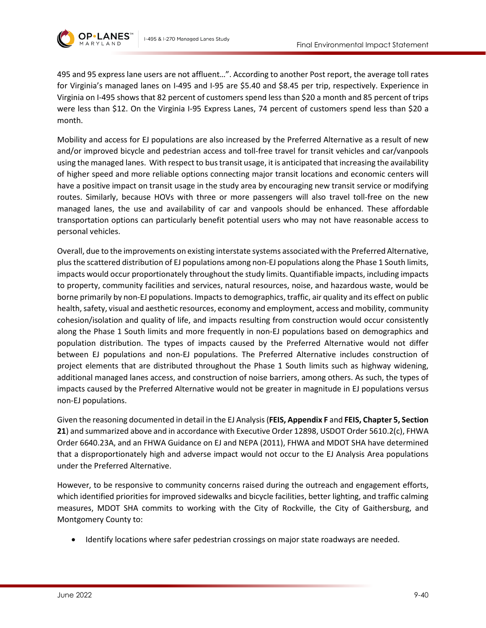

495 and 95 express lane users are not affluent…". According to another Post report, the average toll rates for Virginia's managed lanes on I-495 and I-95 are \$5.40 and \$8.45 per trip, respectively. Experience in Virginia on I-495 shows that 82 percent of customers spend less than \$20 a month and 85 percent of trips were less than \$12. On the Virginia I-95 Express Lanes, 74 percent of customers spend less than \$20 a month.

Mobility and access for EJ populations are also increased by the Preferred Alternative as a result of new and/or improved bicycle and pedestrian access and toll-free travel for transit vehicles and car/vanpools using the managed lanes. With respect to bus transit usage, it is anticipated that increasing the availability of higher speed and more reliable options connecting major transit locations and economic centers will have a positive impact on transit usage in the study area by encouraging new transit service or modifying routes. Similarly, because HOVs with three or more passengers will also travel toll-free on the new managed lanes, the use and availability of car and vanpools should be enhanced. These affordable transportation options can particularly benefit potential users who may not have reasonable access to personal vehicles.

Overall, due to the improvements on existing interstate systems associated with the Preferred Alternative, plus the scattered distribution of EJ populations among non-EJ populations along the Phase 1 South limits, impacts would occur proportionately throughout the study limits. Quantifiable impacts, including impacts to property, community facilities and services, natural resources, noise, and hazardous waste, would be borne primarily by non-EJ populations. Impacts to demographics, traffic, air quality and its effect on public health, safety, visual and aesthetic resources, economy and employment, access and mobility, community cohesion/isolation and quality of life, and impacts resulting from construction would occur consistently along the Phase 1 South limits and more frequently in non-EJ populations based on demographics and population distribution. The types of impacts caused by the Preferred Alternative would not differ between EJ populations and non-EJ populations. The Preferred Alternative includes construction of project elements that are distributed throughout the Phase 1 South limits such as highway widening, additional managed lanes access, and construction of noise barriers, among others. As such, the types of impacts caused by the Preferred Alternative would not be greater in magnitude in EJ populations versus non-EJ populations.

Given the reasoning documented in detail in the EJ Analysis (**FEIS, Appendix F** and **FEIS, Chapter 5, Section 21**) and summarized above and in accordance with Executive Order 12898, USDOT Order 5610.2(c), FHWA Order 6640.23A, and an FHWA Guidance on EJ and NEPA (2011), FHWA and MDOT SHA have determined that a disproportionately high and adverse impact would not occur to the EJ Analysis Area populations under the Preferred Alternative.

However, to be responsive to community concerns raised during the outreach and engagement efforts, which identified priorities for improved sidewalks and bicycle facilities, better lighting, and traffic calming measures, MDOT SHA commits to working with the City of Rockville, the City of Gaithersburg, and Montgomery County to:

• Identify locations where safer pedestrian crossings on major state roadways are needed.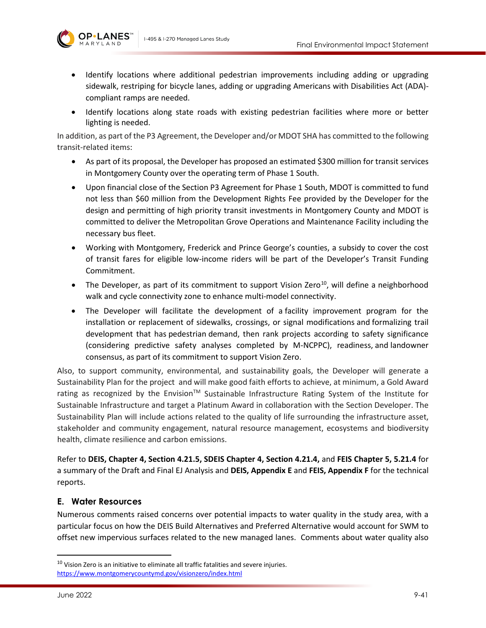

- Identify locations where additional pedestrian improvements including adding or upgrading sidewalk, restriping for bicycle lanes, adding or upgrading Americans with Disabilities Act (ADA) compliant ramps are needed.
- Identify locations along state roads with existing pedestrian facilities where more or better lighting is needed.

In addition, as part of the P3 Agreement, the Developer and/or MDOT SHA has committed to the following transit-related items:

- As part of its proposal, the Developer has proposed an estimated \$300 million for transit services in Montgomery County over the operating term of Phase 1 South.
- Upon financial close of the Section P3 Agreement for Phase 1 South, MDOT is committed to fund not less than \$60 million from the Development Rights Fee provided by the Developer for the design and permitting of high priority transit investments in Montgomery County and MDOT is committed to deliver the Metropolitan Grove Operations and Maintenance Facility including the necessary bus fleet.
- Working with Montgomery, Frederick and Prince George's counties, a subsidy to cover the cost of transit fares for eligible low-income riders will be part of the Developer's Transit Funding Commitment.
- The Developer, as part of its commitment to support Vision Zero<sup>10</sup>, will define a neighborhood walk and cycle connectivity zone to enhance multi-model connectivity.
- The Developer will facilitate the development of a facility improvement program for the installation or replacement of sidewalks, crossings, or signal modifications and formalizing trail development that has pedestrian demand, then rank projects according to safety significance (considering predictive safety analyses completed by M-NCPPC), readiness, and landowner consensus, as part of its commitment to support Vision Zero.

Also, to support community, environmental, and sustainability goals, the Developer will generate a Sustainability Plan for the project and will make good faith efforts to achieve, at minimum, a Gold Award rating as recognized by the Envision™ Sustainable Infrastructure Rating System of the Institute for Sustainable Infrastructure and target a Platinum Award in collaboration with the Section Developer. The Sustainability Plan will include actions related to the quality of life surrounding the infrastructure asset, stakeholder and community engagement, natural resource management, ecosystems and biodiversity health, climate resilience and carbon emissions.

Refer to **DEIS, Chapter 4, Section 4.21.5, SDEIS Chapter 4, Section 4.21.4,** and **FEIS Chapter 5, 5.21.4** for a summary of the Draft and Final EJ Analysis and **DEIS, Appendix E** and **FEIS, Appendix F** for the technical reports.

# **E. Water Resources**

Numerous comments raised concerns over potential impacts to water quality in the study area, with a particular focus on how the DEIS Build Alternatives and Preferred Alternative would account for SWM to offset new impervious surfaces related to the new managed lanes. Comments about water quality also

<span id="page-40-0"></span> $10$  Vision Zero is an initiative to eliminate all traffic fatalities and severe injuries. <https://www.montgomerycountymd.gov/visionzero/index.html>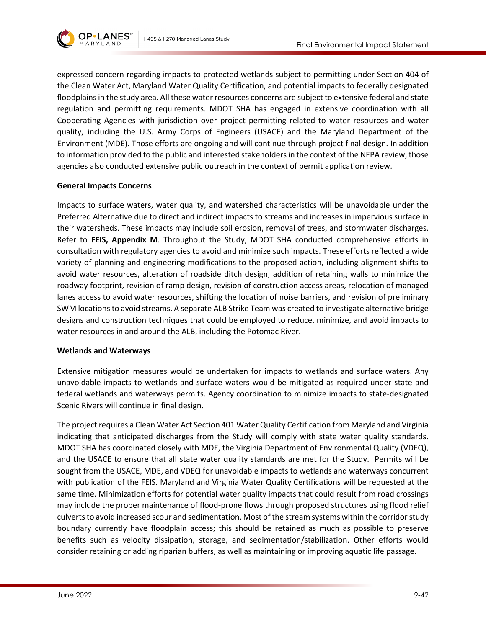

expressed concern regarding impacts to protected wetlands subject to permitting under Section 404 of the Clean Water Act, Maryland Water Quality Certification, and potential impacts to federally designated floodplains in the study area. All these water resources concerns are subject to extensive federal and state regulation and permitting requirements. MDOT SHA has engaged in extensive coordination with all Cooperating Agencies with jurisdiction over project permitting related to water resources and water quality, including the U.S. Army Corps of Engineers (USACE) and the Maryland Department of the Environment (MDE). Those efforts are ongoing and will continue through project final design. In addition to information provided to the public and interested stakeholders in the context of the NEPA review, those agencies also conducted extensive public outreach in the context of permit application review.

### **General Impacts Concerns**

Impacts to surface waters, water quality, and watershed characteristics will be unavoidable under the Preferred Alternative due to direct and indirect impacts to streams and increases in impervious surface in their watersheds. These impacts may include soil erosion, removal of trees, and stormwater discharges. Refer to **FEIS, Appendix M**. Throughout the Study, MDOT SHA conducted comprehensive efforts in consultation with regulatory agencies to avoid and minimize such impacts. These efforts reflected a wide variety of planning and engineering modifications to the proposed action, including alignment shifts to avoid water resources, alteration of roadside ditch design, addition of retaining walls to minimize the roadway footprint, revision of ramp design, revision of construction access areas, relocation of managed lanes access to avoid water resources, shifting the location of noise barriers, and revision of preliminary SWM locations to avoid streams. A separate ALB Strike Team was created to investigate alternative bridge designs and construction techniques that could be employed to reduce, minimize, and avoid impacts to water resources in and around the ALB, including the Potomac River.

#### **Wetlands and Waterways**

Extensive mitigation measures would be undertaken for impacts to wetlands and surface waters. Any unavoidable impacts to wetlands and surface waters would be mitigated as required under state and federal wetlands and waterways permits. Agency coordination to minimize impacts to state-designated Scenic Rivers will continue in final design.

The project requires a Clean Water Act Section 401 Water Quality Certification from Maryland and Virginia indicating that anticipated discharges from the Study will comply with state water quality standards. MDOT SHA has coordinated closely with MDE, the Virginia Department of Environmental Quality (VDEQ), and the USACE to ensure that all state water quality standards are met for the Study. Permits will be sought from the USACE, MDE, and VDEQ for unavoidable impacts to wetlands and waterways concurrent with publication of the FEIS. Maryland and Virginia Water Quality Certifications will be requested at the same time. Minimization efforts for potential water quality impacts that could result from road crossings may include the proper maintenance of flood-prone flows through proposed structures using flood relief culverts to avoid increased scour and sedimentation. Most of the stream systems within the corridor study boundary currently have floodplain access; this should be retained as much as possible to preserve benefits such as velocity dissipation, storage, and sedimentation/stabilization. Other efforts would consider retaining or adding riparian buffers, as well as maintaining or improving aquatic life passage.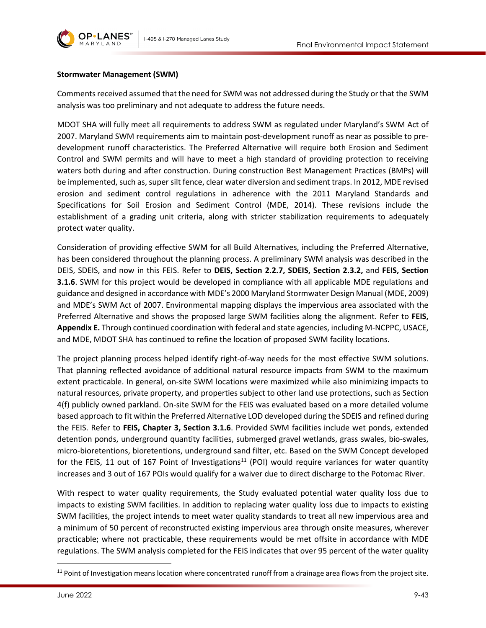

#### **Stormwater Management (SWM)**

Comments received assumed that the need for SWM was not addressed during the Study or that the SWM analysis was too preliminary and not adequate to address the future needs.

MDOT SHA will fully meet all requirements to address SWM as regulated under Maryland's SWM Act of 2007. Maryland SWM requirements aim to maintain post-development runoff as near as possible to predevelopment runoff characteristics. The Preferred Alternative will require both Erosion and Sediment Control and SWM permits and will have to meet a high standard of providing protection to receiving waters both during and after construction. During construction Best Management Practices (BMPs) will be implemented, such as, super silt fence, clear water diversion and sediment traps. In 2012, MDE revised erosion and sediment control regulations in adherence with the 2011 Maryland Standards and Specifications for Soil Erosion and Sediment Control (MDE, 2014). These revisions include the establishment of a grading unit criteria, along with stricter stabilization requirements to adequately protect water quality.

Consideration of providing effective SWM for all Build Alternatives, including the Preferred Alternative, has been considered throughout the planning process. A preliminary SWM analysis was described in the DEIS, SDEIS, and now in this FEIS. Refer to **DEIS, Section 2.2.7, SDEIS, Section 2.3.2,** and **FEIS, Section 3.1.6**. SWM for this project would be developed in compliance with all applicable MDE regulations and guidance and designed in accordance with MDE's 2000 Maryland Stormwater Design Manual (MDE, 2009) and MDE's SWM Act of 2007. Environmental mapping displays the impervious area associated with the Preferred Alternative and shows the proposed large SWM facilities along the alignment. Refer to **FEIS, Appendix E.** Through continued coordination with federal and state agencies, including M-NCPPC, USACE, and MDE, MDOT SHA has continued to refine the location of proposed SWM facility locations.

The project planning process helped identify right-of-way needs for the most effective SWM solutions. That planning reflected avoidance of additional natural resource impacts from SWM to the maximum extent practicable. In general, on-site SWM locations were maximized while also minimizing impacts to natural resources, private property, and properties subject to other land use protections, such as Section 4(f) publicly owned parkland. On-site SWM for the FEIS was evaluated based on a more detailed volume based approach to fit within the Preferred Alternative LOD developed during the SDEIS and refined during the FEIS. Refer to **FEIS, Chapter 3, Section 3.1.6**. Provided SWM facilities include wet ponds, extended detention ponds, underground quantity facilities, submerged gravel wetlands, grass swales, bio-swales, micro-bioretentions, bioretentions, underground sand filter, etc. Based on the SWM Concept developed for the FEIS, [11](#page-42-0) out of 167 Point of Investigations<sup>11</sup> (POI) would require variances for water quantity increases and 3 out of 167 POIs would qualify for a waiver due to direct discharge to the Potomac River.

With respect to water quality requirements, the Study evaluated potential water quality loss due to impacts to existing SWM facilities. In addition to replacing water quality loss due to impacts to existing SWM facilities, the project intends to meet water quality standards to treat all new impervious area and a minimum of 50 percent of reconstructed existing impervious area through onsite measures, wherever practicable; where not practicable, these requirements would be met offsite in accordance with MDE regulations. The SWM analysis completed for the FEIS indicates that over 95 percent of the water quality

<span id="page-42-0"></span> $11$  Point of Investigation means location where concentrated runoff from a drainage area flows from the project site.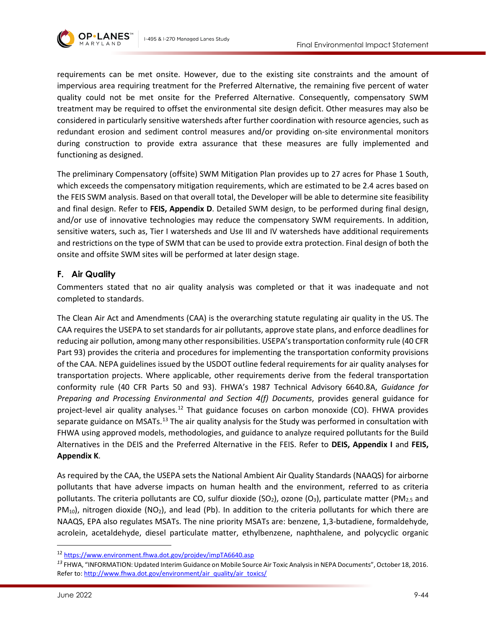

requirements can be met onsite. However, due to the existing site constraints and the amount of impervious area requiring treatment for the Preferred Alternative, the remaining five percent of water quality could not be met onsite for the Preferred Alternative. Consequently, compensatory SWM treatment may be required to offset the environmental site design deficit. Other measures may also be considered in particularly sensitive watersheds after further coordination with resource agencies, such as redundant erosion and sediment control measures and/or providing on-site environmental monitors during construction to provide extra assurance that these measures are fully implemented and functioning as designed.

The preliminary Compensatory (offsite) SWM Mitigation Plan provides up to 27 acres for Phase 1 South, which exceeds the compensatory mitigation requirements, which are estimated to be 2.4 acres based on the FEIS SWM analysis. Based on that overall total, the Developer will be able to determine site feasibility and final design. Refer to **FEIS, Appendix D**. Detailed SWM design, to be performed during final design, and/or use of innovative technologies may reduce the compensatory SWM requirements. In addition, sensitive waters, such as, Tier I watersheds and Use III and IV watersheds have additional requirements and restrictions on the type of SWM that can be used to provide extra protection. Final design of both the onsite and offsite SWM sites will be performed at later design stage.

# **F. Air Quality**

Commenters stated that no air quality analysis was completed or that it was inadequate and not completed to standards.

The Clean Air Act and Amendments (CAA) is the overarching statute regulating air quality in the US. The CAA requires the USEPA to set standards for air pollutants, approve state plans, and enforce deadlines for reducing air pollution, among many other responsibilities. USEPA's transportation conformity rule (40 CFR Part 93) provides the criteria and procedures for implementing the transportation conformity provisions of the CAA. NEPA guidelines issued by the USDOT outline federal requirements for air quality analyses for transportation projects. Where applicable, other requirements derive from the federal transportation conformity rule (40 CFR Parts 50 and 93). FHWA's 1987 Technical Advisory 6640.8A, *Guidance for Preparing and Processing Environmental and Section 4(f) Documents*, provides general guidance for project-level air quality analyses.<sup>[12](#page-43-0)</sup> That guidance focuses on carbon monoxide (CO). FHWA provides separate guidance on MSATs.<sup>[13](#page-43-1)</sup> The air quality analysis for the Study was performed in consultation with FHWA using approved models, methodologies, and guidance to analyze required pollutants for the Build Alternatives in the DEIS and the Preferred Alternative in the FEIS. Refer to **DEIS, Appendix I** and **FEIS, Appendix K**.

As required by the CAA, the USEPA sets the National Ambient Air Quality Standards (NAAQS) for airborne pollutants that have adverse impacts on human health and the environment, referred to as criteria pollutants. The criteria pollutants are CO, sulfur dioxide (SO<sub>2</sub>), ozone (O<sub>3</sub>), particulate matter (PM<sub>2.5</sub> and  $PM_{10}$ ), nitrogen dioxide (NO<sub>2</sub>), and lead (Pb). In addition to the criteria pollutants for which there are NAAQS, EPA also regulates MSATs. The nine priority MSATs are: benzene, 1,3-butadiene, formaldehyde, acrolein, acetaldehyde, diesel particulate matter, ethylbenzene, naphthalene, and polycyclic organic

<span id="page-43-0"></span><sup>12</sup> <https://www.environment.fhwa.dot.gov/projdev/impTA6640.asp>

<span id="page-43-1"></span>*<sup>13</sup>* FHWA, "INFORMATION: Updated Interim Guidance on Mobile Source Air Toxic Analysis in NEPA Documents", October 18, 2016. Refer to: [http://www.fhwa.dot.gov/environment/air\\_quality/air\\_toxics/](http://www.fhwa.dot.gov/environment/air_quality/air_toxics/)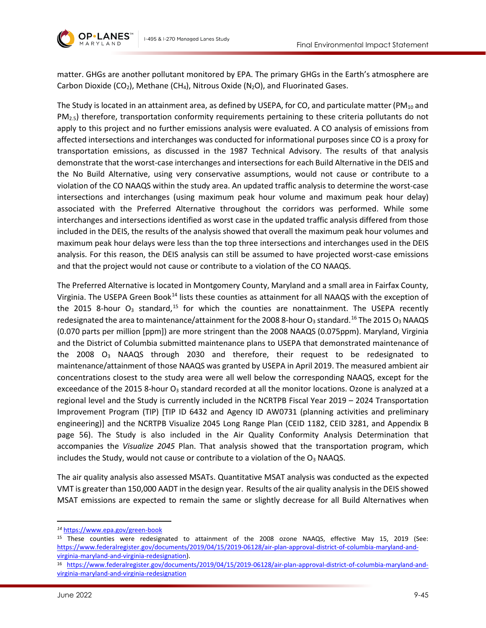

matter. GHGs are another pollutant monitored by EPA. The primary GHGs in the Earth's atmosphere are Carbon Dioxide (CO<sub>2</sub>), Methane (CH<sub>4</sub>), Nitrous Oxide (N<sub>2</sub>O), and Fluorinated Gases.

The Study is located in an attainment area, as defined by USEPA, for CO, and particulate matter (PM<sub>10</sub> and  $PM_{2.5}$ ) therefore, transportation conformity requirements pertaining to these criteria pollutants do not apply to this project and no further emissions analysis were evaluated. A CO analysis of emissions from affected intersections and interchanges was conducted for informational purposes since CO is a proxy for transportation emissions, as discussed in the 1987 Technical Advisory. The results of that analysis demonstrate that the worst-case interchanges and intersections for each Build Alternative in the DEIS and the No Build Alternative, using very conservative assumptions, would not cause or contribute to a violation of the CO NAAQS within the study area. An updated traffic analysis to determine the worst-case intersections and interchanges (using maximum peak hour volume and maximum peak hour delay) associated with the Preferred Alternative throughout the corridors was performed. While some interchanges and intersections identified as worst case in the updated traffic analysis differed from those included in the DEIS, the results of the analysis showed that overall the maximum peak hour volumes and maximum peak hour delays were less than the top three intersections and interchanges used in the DEIS analysis. For this reason, the DEIS analysis can still be assumed to have projected worst-case emissions and that the project would not cause or contribute to a violation of the CO NAAQS.

The Preferred Alternative is located in Montgomery County, Maryland and a small area in Fairfax County, Virginia. The USEPA Green Book<sup>14</sup> lists these counties as attainment for all NAAQS with the exception of the 20[15](#page-44-1) 8-hour  $O_3$  standard,<sup>15</sup> for which the counties are nonattainment. The USEPA recently redesignated the area to maintenance/attainment for the 2008 8-hour O<sub>3</sub> standard.<sup>[16](#page-44-2)</sup> The 2015 O<sub>3</sub> NAAQS (0.070 parts per million [ppm]) are more stringent than the 2008 NAAQS (0.075ppm). Maryland, Virginia and the District of Columbia submitted maintenance plans to USEPA that demonstrated maintenance of the 2008  $O_3$  NAAQS through 2030 and therefore, their request to be redesignated to maintenance/attainment of those NAAQS was granted by USEPA in April 2019. The measured ambient air concentrations closest to the study area were all well below the corresponding NAAQS, except for the exceedance of the 2015 8-hour  $O_3$  standard recorded at all the monitor locations. Ozone is analyzed at a regional level and the Study is currently included in the NCRTPB Fiscal Year 2019 – 2024 Transportation Improvement Program (TIP) [TIP ID 6432 and Agency ID AW0731 (planning activities and preliminary engineering)] and the NCRTPB Visualize 2045 Long Range Plan (CEID 1182, CEID 3281, and Appendix B page 56). The Study is also included in the Air Quality Conformity Analysis Determination that accompanies the *Visualize 2045* Plan. That analysis showed that the transportation program, which includes the Study, would not cause or contribute to a violation of the  $O_3$  NAAQS.

The air quality analysis also assessed MSATs. Quantitative MSAT analysis was conducted as the expected VMT is greater than 150,000 AADT in the design year. Results of the air quality analysis in the DEIS showed MSAT emissions are expected to remain the same or slightly decrease for all Build Alternatives when

<span id="page-44-0"></span>*<sup>14</sup>* <https://www.epa.gov/green-book>

<span id="page-44-1"></span><sup>&</sup>lt;sup>15</sup> These counties were redesignated to attainment of the 2008 ozone NAAQS, effective May 15, 2019 (See: [https://www.federalregister.gov/documents/2019/04/15/2019-06128/air-plan-approval-district-of-columbia-maryland-and](https://www.federalregister.gov/documents/2019/04/15/2019-06128/air-plan-approval-district-of-columbia-maryland-and-virginia-maryland-and-virginia-redesignation)[virginia-maryland-and-virginia-redesignation\)](https://www.federalregister.gov/documents/2019/04/15/2019-06128/air-plan-approval-district-of-columbia-maryland-and-virginia-maryland-and-virginia-redesignation).

<span id="page-44-2"></span><sup>16</sup> [https://www.federalregister.gov/documents/2019/04/15/2019-06128/air-plan-approval-district-of-columbia-maryland-and](https://www.federalregister.gov/documents/2019/04/15/2019-06128/air-plan-approval-district-of-columbia-maryland-and-virginia-maryland-and-virginia-redesignation)[virginia-maryland-and-virginia-redesignation](https://www.federalregister.gov/documents/2019/04/15/2019-06128/air-plan-approval-district-of-columbia-maryland-and-virginia-maryland-and-virginia-redesignation)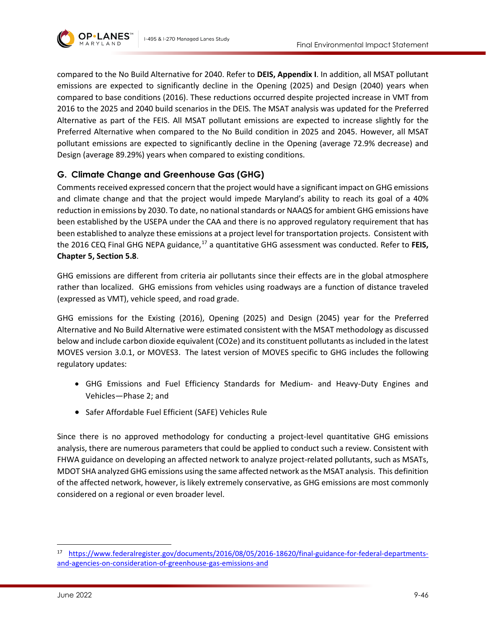

compared to the No Build Alternative for 2040. Refer to **DEIS, Appendix I**. In addition, all MSAT pollutant emissions are expected to significantly decline in the Opening (2025) and Design (2040) years when compared to base conditions (2016). These reductions occurred despite projected increase in VMT from 2016 to the 2025 and 2040 build scenarios in the DEIS. The MSAT analysis was updated for the Preferred Alternative as part of the FEIS. All MSAT pollutant emissions are expected to increase slightly for the Preferred Alternative when compared to the No Build condition in 2025 and 2045. However, all MSAT pollutant emissions are expected to significantly decline in the Opening (average 72.9% decrease) and Design (average 89.29%) years when compared to existing conditions.

# **G. Climate Change and Greenhouse Gas (GHG)**

Comments received expressed concern that the project would have a significant impact on GHG emissions and climate change and that the project would impede Maryland's ability to reach its goal of a 40% reduction in emissions by 2030. To date, no national standards or NAAQS for ambient GHG emissions have been established by the USEPA under the CAA and there is no approved regulatory requirement that has been established to analyze these emissions at a project level for transportation projects. Consistent with the 2016 CEQ Final GHG NEPA guidance, [17](#page-45-0) a quantitative GHG assessment was conducted. Refer to **FEIS, Chapter 5, Section 5.8**.

GHG emissions are different from criteria air pollutants since their effects are in the global atmosphere rather than localized. GHG emissions from vehicles using roadways are a function of distance traveled (expressed as VMT), vehicle speed, and road grade.

GHG emissions for the Existing (2016), Opening (2025) and Design (2045) year for the Preferred Alternative and No Build Alternative were estimated consistent with the MSAT methodology as discussed below and include carbon dioxide equivalent (CO2e) and its constituent pollutants as included in the latest MOVES version 3.0.1, or MOVES3. The latest version of MOVES specific to GHG includes the following regulatory updates:

- GHG Emissions and Fuel Efficiency Standards for Medium- and Heavy-Duty Engines and Vehicles—Phase 2; and
- Safer Affordable Fuel Efficient (SAFE) Vehicles Rule

Since there is no approved methodology for conducting a project-level quantitative GHG emissions analysis, there are numerous parameters that could be applied to conduct such a review. Consistent with FHWA guidance on developing an affected network to analyze project-related pollutants, such as MSATs, MDOT SHA analyzed GHG emissions using the same affected network as the MSAT analysis. This definition of the affected network, however, is likely extremely conservative, as GHG emissions are most commonly considered on a regional or even broader level.

<span id="page-45-0"></span><sup>17</sup> [https://www.federalregister.gov/documents/2016/08/05/2016-18620/final-guidance-for-federal-departments](https://www.federalregister.gov/documents/2016/08/05/2016-18620/final-guidance-for-federal-departments-and-agencies-on-consideration-of-greenhouse-gas-emissions-and)[and-agencies-on-consideration-of-greenhouse-gas-emissions-and](https://www.federalregister.gov/documents/2016/08/05/2016-18620/final-guidance-for-federal-departments-and-agencies-on-consideration-of-greenhouse-gas-emissions-and)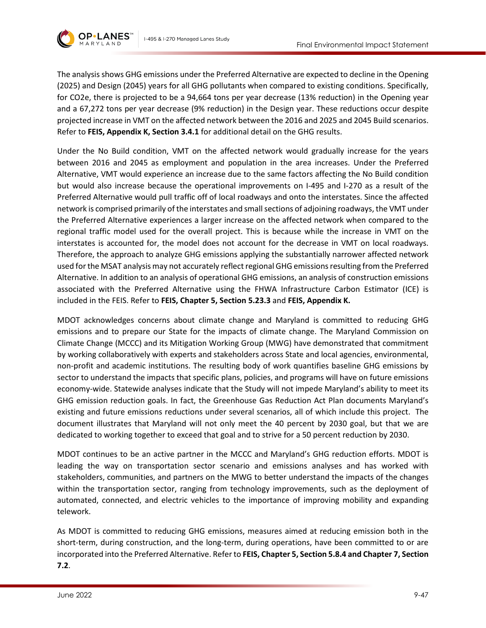

The analysis shows GHG emissions under the Preferred Alternative are expected to decline in the Opening (2025) and Design (2045) years for all GHG pollutants when compared to existing conditions. Specifically, for CO2e, there is projected to be a 94,664 tons per year decrease (13% reduction) in the Opening year and a 67,272 tons per year decrease (9% reduction) in the Design year. These reductions occur despite projected increase in VMT on the affected network between the 2016 and 2025 and 2045 Build scenarios. Refer to **FEIS, Appendix K, Section 3.4.1** for additional detail on the GHG results.

Under the No Build condition, VMT on the affected network would gradually increase for the years between 2016 and 2045 as employment and population in the area increases. Under the Preferred Alternative, VMT would experience an increase due to the same factors affecting the No Build condition but would also increase because the operational improvements on I-495 and I-270 as a result of the Preferred Alternative would pull traffic off of local roadways and onto the interstates. Since the affected network is comprised primarily of the interstates and small sections of adjoining roadways, the VMT under the Preferred Alternative experiences a larger increase on the affected network when compared to the regional traffic model used for the overall project. This is because while the increase in VMT on the interstates is accounted for, the model does not account for the decrease in VMT on local roadways. Therefore, the approach to analyze GHG emissions applying the substantially narrower affected network used for the MSAT analysis may not accurately reflect regional GHG emissions resulting from the Preferred Alternative. In addition to an analysis of operational GHG emissions, an analysis of construction emissions associated with the Preferred Alternative using the FHWA Infrastructure Carbon Estimator (ICE) is included in the FEIS. Refer to **FEIS, Chapter 5, Section 5.23.3** and **FEIS, Appendix K.**

MDOT acknowledges concerns about climate change and Maryland is committed to reducing GHG emissions and to prepare our State for the impacts of climate change. The Maryland Commission on Climate Change (MCCC) and its Mitigation Working Group (MWG) have demonstrated that commitment by working collaboratively with experts and stakeholders across State and local agencies, environmental, non-profit and academic institutions. The resulting body of work quantifies baseline GHG emissions by sector to understand the impacts that specific plans, policies, and programs will have on future emissions economy-wide. Statewide analyses indicate that the Study will not impede Maryland's ability to meet its GHG emission reduction goals. In fact, the Greenhouse Gas Reduction Act Plan documents Maryland's existing and future emissions reductions under several scenarios, all of which include this project. The document illustrates that Maryland will not only meet the 40 percent by 2030 goal, but that we are dedicated to working together to exceed that goal and to strive for a 50 percent reduction by 2030.

MDOT continues to be an active partner in the MCCC and Maryland's GHG reduction efforts. MDOT is leading the way on transportation sector scenario and emissions analyses and has worked with stakeholders, communities, and partners on the MWG to better understand the impacts of the changes within the transportation sector, ranging from technology improvements, such as the deployment of automated, connected, and electric vehicles to the importance of improving mobility and expanding telework.

As MDOT is committed to reducing GHG emissions, measures aimed at reducing emission both in the short-term, during construction, and the long-term, during operations, have been committed to or are incorporated into the Preferred Alternative. Refer to **FEIS, Chapter 5, Section 5.8.4 and Chapter 7, Section 7.2**.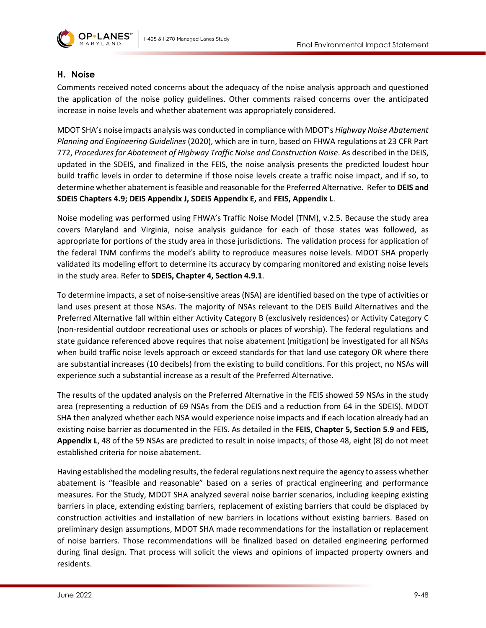

# **H. Noise**

Comments received noted concerns about the adequacy of the noise analysis approach and questioned the application of the noise policy guidelines. Other comments raised concerns over the anticipated increase in noise levels and whether abatement was appropriately considered.

MDOT SHA's noise impacts analysis was conducted in compliance with MDOT's *Highway Noise Abatement Planning and Engineering Guidelines* (2020), which are in turn, based on FHWA regulations at 23 CFR Part 772, *Procedures for Abatement of Highway Traffic Noise and Construction Noise*. As described in the DEIS, updated in the SDEIS, and finalized in the FEIS, the noise analysis presents the predicted loudest hour build traffic levels in order to determine if those noise levels create a traffic noise impact, and if so, to determine whether abatement is feasible and reasonable for the Preferred Alternative. Refer to **DEIS and SDEIS Chapters 4.9; DEIS Appendix J, SDEIS Appendix E,** and **FEIS, Appendix L**.

Noise modeling was performed using FHWA's Traffic Noise Model (TNM), v.2.5. Because the study area covers Maryland and Virginia, noise analysis guidance for each of those states was followed, as appropriate for portions of the study area in those jurisdictions. The validation process for application of the federal TNM confirms the model's ability to reproduce measures noise levels. MDOT SHA properly validated its modeling effort to determine its accuracy by comparing monitored and existing noise levels in the study area. Refer to **SDEIS, Chapter 4, Section 4.9.1**.

To determine impacts, a set of noise-sensitive areas (NSA) are identified based on the type of activities or land uses present at those NSAs. The majority of NSAs relevant to the DEIS Build Alternatives and the Preferred Alternative fall within either Activity Category B (exclusively residences) or Activity Category C (non-residential outdoor recreational uses or schools or places of worship). The federal regulations and state guidance referenced above requires that noise abatement (mitigation) be investigated for all NSAs when build traffic noise levels approach or exceed standards for that land use category OR where there are substantial increases (10 decibels) from the existing to build conditions. For this project, no NSAs will experience such a substantial increase as a result of the Preferred Alternative.

The results of the updated analysis on the Preferred Alternative in the FEIS showed 59 NSAs in the study area (representing a reduction of 69 NSAs from the DEIS and a reduction from 64 in the SDEIS). MDOT SHA then analyzed whether each NSA would experience noise impacts and if each location already had an existing noise barrier as documented in the FEIS. As detailed in the **FEIS, Chapter 5, Section 5.9** and **FEIS, Appendix L**, 48 of the 59 NSAs are predicted to result in noise impacts; of those 48, eight (8) do not meet established criteria for noise abatement.

Having established the modeling results, the federal regulations next require the agency to assess whether abatement is "feasible and reasonable" based on a series of practical engineering and performance measures. For the Study, MDOT SHA analyzed several noise barrier scenarios, including keeping existing barriers in place, extending existing barriers, replacement of existing barriers that could be displaced by construction activities and installation of new barriers in locations without existing barriers. Based on preliminary design assumptions, MDOT SHA made recommendations for the installation or replacement of noise barriers. Those recommendations will be finalized based on detailed engineering performed during final design. That process will solicit the views and opinions of impacted property owners and residents.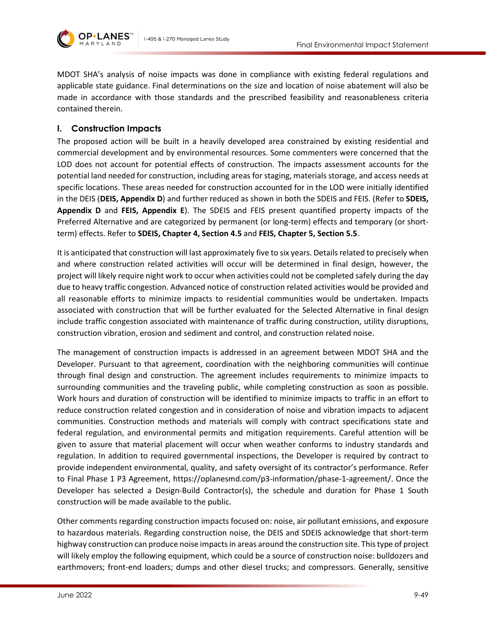

MDOT SHA's analysis of noise impacts was done in compliance with existing federal regulations and applicable state guidance. Final determinations on the size and location of noise abatement will also be made in accordance with those standards and the prescribed feasibility and reasonableness criteria contained therein.

### **I. Construction Impacts**

The proposed action will be built in a heavily developed area constrained by existing residential and commercial development and by environmental resources. Some commenters were concerned that the LOD does not account for potential effects of construction. The impacts assessment accounts for the potential land needed for construction, including areas for staging, materials storage, and access needs at specific locations. These areas needed for construction accounted for in the LOD were initially identified in the DEIS (**DEIS, Appendix D**) and further reduced as shown in both the SDEIS and FEIS. (Refer to **SDEIS, Appendix D** and **FEIS, Appendix E**). The SDEIS and FEIS present quantified property impacts of the Preferred Alternative and are categorized by permanent (or long-term) effects and temporary (or shortterm) effects. Refer to **SDEIS, Chapter 4, Section 4.5** and **FEIS, Chapter 5, Section 5.5**.

It is anticipated that construction will last approximately five to six years. Details related to precisely when and where construction related activities will occur will be determined in final design, however, the project will likely require night work to occur when activities could not be completed safely during the day due to heavy traffic congestion. Advanced notice of construction related activities would be provided and all reasonable efforts to minimize impacts to residential communities would be undertaken. Impacts associated with construction that will be further evaluated for the Selected Alternative in final design include traffic congestion associated with maintenance of traffic during construction, utility disruptions, construction vibration, erosion and sediment and control, and construction related noise.

The management of construction impacts is addressed in an agreement between MDOT SHA and the Developer. Pursuant to that agreement, coordination with the neighboring communities will continue through final design and construction. The agreement includes requirements to minimize impacts to surrounding communities and the traveling public, while completing construction as soon as possible. Work hours and duration of construction will be identified to minimize impacts to traffic in an effort to reduce construction related congestion and in consideration of noise and vibration impacts to adjacent communities. Construction methods and materials will comply with contract specifications state and federal regulation, and environmental permits and mitigation requirements. Careful attention will be given to assure that material placement will occur when weather conforms to industry standards and regulation. In addition to required governmental inspections, the Developer is required by contract to provide independent environmental, quality, and safety oversight of its contractor's performance. Refer to Final Phase 1 P3 Agreement, [https://oplanesmd.com/p3-information/phase-1-agreement/.](https://oplanesmd.com/p3-information/phase-1-agreement/) Once the Developer has selected a Design-Build Contractor(s), the schedule and duration for Phase 1 South construction will be made available to the public.

Other comments regarding construction impacts focused on: noise, air pollutant emissions, and exposure to hazardous materials. Regarding construction noise, the DEIS and SDEIS acknowledge that short-term highway construction can produce noise impacts in areas around the construction site. This type of project will likely employ the following equipment, which could be a source of construction noise: bulldozers and earthmovers; front-end loaders; dumps and other diesel trucks; and compressors. Generally, sensitive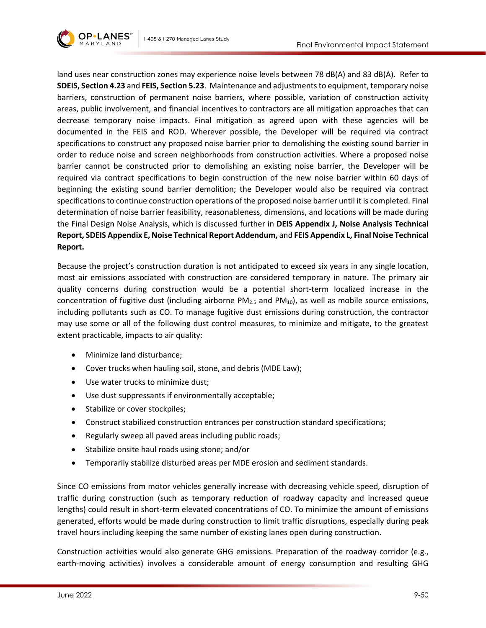

land uses near construction zones may experience noise levels between 78 dB(A) and 83 dB(A). Refer to **SDEIS, Section 4.23** and **FEIS, Section 5.23**. Maintenance and adjustments to equipment, temporary noise barriers, construction of permanent noise barriers, where possible, variation of construction activity areas, public involvement, and financial incentives to contractors are all mitigation approaches that can decrease temporary noise impacts. Final mitigation as agreed upon with these agencies will be documented in the FEIS and ROD. Wherever possible, the Developer will be required via contract specifications to construct any proposed noise barrier prior to demolishing the existing sound barrier in order to reduce noise and screen neighborhoods from construction activities. Where a proposed noise barrier cannot be constructed prior to demolishing an existing noise barrier, the Developer will be required via contract specifications to begin construction of the new noise barrier within 60 days of beginning the existing sound barrier demolition; the Developer would also be required via contract specifications to continue construction operations of the proposed noise barrier until it is completed. Final determination of noise barrier feasibility, reasonableness, dimensions, and locations will be made during the Final Design Noise Analysis, which is discussed further in **DEIS Appendix J, Noise Analysis Technical Report, SDEIS Appendix E, Noise Technical Report Addendum,** and **FEIS Appendix L, Final Noise Technical Report.**

Because the project's construction duration is not anticipated to exceed six years in any single location, most air emissions associated with construction are considered temporary in nature. The primary air quality concerns during construction would be a potential short-term localized increase in the concentration of fugitive dust (including airborne  $PM_{2.5}$  and  $PM_{10}$ ), as well as mobile source emissions, including pollutants such as CO. To manage fugitive dust emissions during construction, the contractor may use some or all of the following dust control measures, to minimize and mitigate, to the greatest extent practicable, impacts to air quality:

- Minimize land disturbance;
- Cover trucks when hauling soil, stone, and debris (MDE Law);
- Use water trucks to minimize dust;
- Use dust suppressants if environmentally acceptable;
- Stabilize or cover stockpiles;
- Construct stabilized construction entrances per construction standard specifications;
- Regularly sweep all paved areas including public roads;
- Stabilize onsite haul roads using stone; and/or
- Temporarily stabilize disturbed areas per MDE erosion and sediment standards.

Since CO emissions from motor vehicles generally increase with decreasing vehicle speed, disruption of traffic during construction (such as temporary reduction of roadway capacity and increased queue lengths) could result in short-term elevated concentrations of CO. To minimize the amount of emissions generated, efforts would be made during construction to limit traffic disruptions, especially during peak travel hours including keeping the same number of existing lanes open during construction.

Construction activities would also generate GHG emissions. Preparation of the roadway corridor (e.g., earth-moving activities) involves a considerable amount of energy consumption and resulting GHG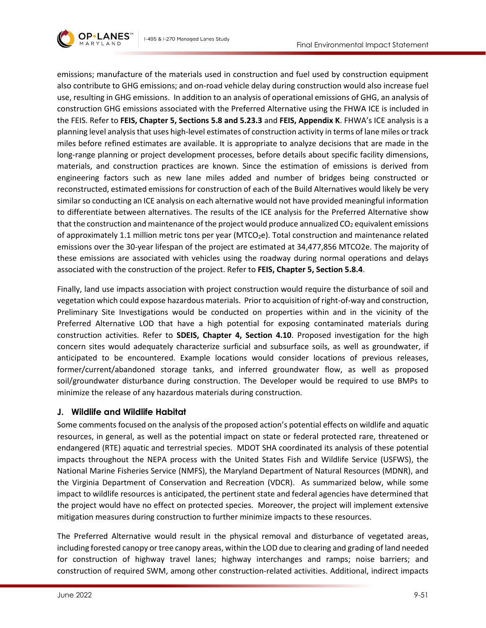

emissions; manufacture of the materials used in construction and fuel used by construction equipment also contribute to GHG emissions; and on-road vehicle delay during construction would also increase fuel use, resulting in GHG emissions. In addition to an analysis of operational emissions of GHG, an analysis of construction GHG emissions associated with the Preferred Alternative using the FHWA ICE is included in the FEIS. Refer to **FEIS, Chapter 5, Sections 5.8 and 5.23.3** and **FEIS, Appendix K**. FHWA's ICE analysis is a planning level analysis that uses high-level estimates of construction activity in terms of lane miles or track miles before refined estimates are available. It is appropriate to analyze decisions that are made in the long-range planning or project development processes, before details about specific facility dimensions, materials, and construction practices are known. Since the estimation of emissions is derived from engineering factors such as new lane miles added and number of bridges being constructed or reconstructed, estimated emissions for construction of each of the Build Alternatives would likely be very similar so conducting an ICE analysis on each alternative would not have provided meaningful information to differentiate between alternatives. The results of the ICE analysis for the Preferred Alternative show that the construction and maintenance of the project would produce annualized  $CO<sub>2</sub>$  equivalent emissions of approximately 1.1 million metric tons per year ( $MTCO<sub>2</sub>e$ ). Total construction and maintenance related emissions over the 30-year lifespan of the project are estimated at 34,477,856 MTCO2e. The majority of these emissions are associated with vehicles using the roadway during normal operations and delays associated with the construction of the project. Refer to **FEIS, Chapter 5, Section 5.8.4**.

Finally, land use impacts association with project construction would require the disturbance of soil and vegetation which could expose hazardous materials. Prior to acquisition of right-of-way and construction, Preliminary Site Investigations would be conducted on properties within and in the vicinity of the Preferred Alternative LOD that have a high potential for exposing contaminated materials during construction activities. Refer to **SDEIS, Chapter 4, Section 4.10**. Proposed investigation for the high concern sites would adequately characterize surficial and subsurface soils, as well as groundwater, if anticipated to be encountered. Example locations would consider locations of previous releases, former/current/abandoned storage tanks, and inferred groundwater flow, as well as proposed soil/groundwater disturbance during construction. The Developer would be required to use BMPs to minimize the release of any hazardous materials during construction.

# **J. Wildlife and Wildlife Habitat**

Some comments focused on the analysis of the proposed action's potential effects on wildlife and aquatic resources, in general, as well as the potential impact on state or federal protected rare, threatened or endangered (RTE) aquatic and terrestrial species. MDOT SHA coordinated its analysis of these potential impacts throughout the NEPA process with the United States Fish and Wildlife Service (USFWS), the National Marine Fisheries Service (NMFS), the Maryland Department of Natural Resources (MDNR), and the Virginia Department of Conservation and Recreation (VDCR). As summarized below, while some impact to wildlife resources is anticipated, the pertinent state and federal agencies have determined that the project would have no effect on protected species. Moreover, the project will implement extensive mitigation measures during construction to further minimize impacts to these resources.

The Preferred Alternative would result in the physical removal and disturbance of vegetated areas, including forested canopy or tree canopy areas, within the LOD due to clearing and grading of land needed for construction of highway travel lanes; highway interchanges and ramps; noise barriers; and construction of required SWM, among other construction-related activities. Additional, indirect impacts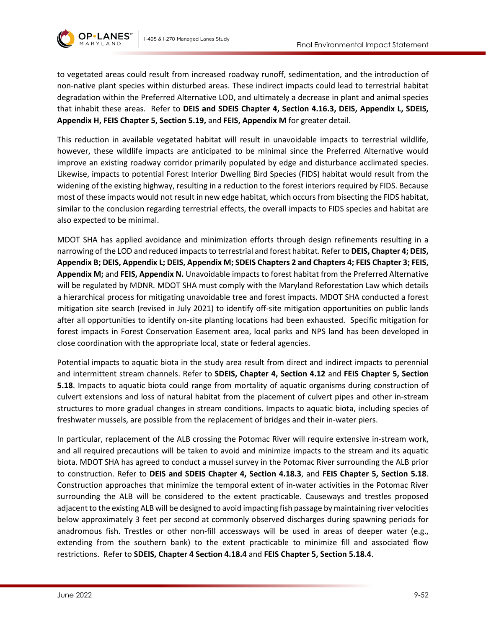

to vegetated areas could result from increased roadway runoff, sedimentation, and the introduction of non-native plant species within disturbed areas. These indirect impacts could lead to terrestrial habitat degradation within the Preferred Alternative LOD, and ultimately a decrease in plant and animal species that inhabit these areas. Refer to **DEIS and SDEIS Chapter 4, Section 4.16.3, DEIS, Appendix L, SDEIS, Appendix H, FEIS Chapter 5, Section 5.19,** and **FEIS, Appendix M** for greater detail.

This reduction in available vegetated habitat will result in unavoidable impacts to terrestrial wildlife, however, these wildlife impacts are anticipated to be minimal since the Preferred Alternative would improve an existing roadway corridor primarily populated by edge and disturbance acclimated species. Likewise, impacts to potential Forest Interior Dwelling Bird Species (FIDS) habitat would result from the widening of the existing highway, resulting in a reduction to the forest interiors required by FIDS. Because most of these impacts would not result in new edge habitat, which occurs from bisecting the FIDS habitat, similar to the conclusion regarding terrestrial effects, the overall impacts to FIDS species and habitat are also expected to be minimal.

MDOT SHA has applied avoidance and minimization efforts through design refinements resulting in a narrowing of the LOD and reduced impacts to terrestrial and forest habitat. Refer to **DEIS, Chapter 4; DEIS, Appendix B; DEIS, Appendix L; DEIS, Appendix M; SDEIS Chapters 2 and Chapters 4; FEIS Chapter 3; FEIS, Appendix M;** and **FEIS, Appendix N.** Unavoidable impacts to forest habitat from the Preferred Alternative will be regulated by MDNR. MDOT SHA must comply with the Maryland Reforestation Law which details a hierarchical process for mitigating unavoidable tree and forest impacts. MDOT SHA conducted a forest mitigation site search (revised in July 2021) to identify off-site mitigation opportunities on public lands after all opportunities to identify on-site planting locations had been exhausted. Specific mitigation for forest impacts in Forest Conservation Easement area, local parks and NPS land has been developed in close coordination with the appropriate local, state or federal agencies.

Potential impacts to aquatic biota in the study area result from direct and indirect impacts to perennial and intermittent stream channels. Refer to **SDEIS, Chapter 4, Section 4.12** and **FEIS Chapter 5, Section 5.18**. Impacts to aquatic biota could range from mortality of aquatic organisms during construction of culvert extensions and loss of natural habitat from the placement of culvert pipes and other in-stream structures to more gradual changes in stream conditions. Impacts to aquatic biota, including species of freshwater mussels, are possible from the replacement of bridges and their in-water piers.

In particular, replacement of the ALB crossing the Potomac River will require extensive in-stream work, and all required precautions will be taken to avoid and minimize impacts to the stream and its aquatic biota. MDOT SHA has agreed to conduct a mussel survey in the Potomac River surrounding the ALB prior to construction. Refer to **DEIS and SDEIS Chapter 4, Section 4.18.3**, and **FEIS Chapter 5, Section 5.18**. Construction approaches that minimize the temporal extent of in-water activities in the Potomac River surrounding the ALB will be considered to the extent practicable. Causeways and trestles proposed adjacent to the existing ALB will be designed to avoid impacting fish passage by maintaining river velocities below approximately 3 feet per second at commonly observed discharges during spawning periods for anadromous fish. Trestles or other non-fill accessways will be used in areas of deeper water (e.g., extending from the southern bank) to the extent practicable to minimize fill and associated flow restrictions. Refer to **SDEIS, Chapter 4 Section 4.18.4** and **FEIS Chapter 5, Section 5.18.4**.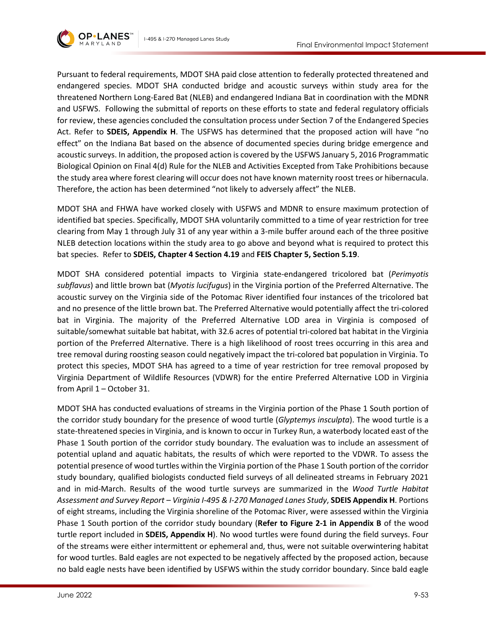



Pursuant to federal requirements, MDOT SHA paid close attention to federally protected threatened and endangered species. MDOT SHA conducted bridge and acoustic surveys within study area for the threatened Northern Long-Eared Bat (NLEB) and endangered Indiana Bat in coordination with the MDNR and USFWS. Following the submittal of reports on these efforts to state and federal regulatory officials for review, these agencies concluded the consultation process under Section 7 of the Endangered Species Act. Refer to **SDEIS, Appendix H**. The USFWS has determined that the proposed action will have "no effect" on the Indiana Bat based on the absence of documented species during bridge emergence and acoustic surveys. In addition, the proposed action is covered by the USFWS January 5, 2016 Programmatic Biological Opinion on Final 4(d) Rule for the NLEB and Activities Excepted from Take Prohibitions because the study area where forest clearing will occur does not have known maternity roost trees or hibernacula. Therefore, the action has been determined "not likely to adversely affect" the NLEB.

MDOT SHA and FHWA have worked closely with USFWS and MDNR to ensure maximum protection of identified bat species. Specifically, MDOT SHA voluntarily committed to a time of year restriction for tree clearing from May 1 through July 31 of any year within a 3-mile buffer around each of the three positive NLEB detection locations within the study area to go above and beyond what is required to protect this bat species. Refer to **SDEIS, Chapter 4 Section 4.19** and **FEIS Chapter 5, Section 5.19**.

MDOT SHA considered potential impacts to Virginia state-endangered tricolored bat (*Perimyotis subflavus*) and little brown bat (*Myotis lucifugus*) in the Virginia portion of the Preferred Alternative. The acoustic survey on the Virginia side of the Potomac River identified four instances of the tricolored bat and no presence of the little brown bat. The Preferred Alternative would potentially affect the tri-colored bat in Virginia. The majority of the Preferred Alternative LOD area in Virginia is composed of suitable/somewhat suitable bat habitat, with 32.6 acres of potential tri-colored bat habitat in the Virginia portion of the Preferred Alternative. There is a high likelihood of roost trees occurring in this area and tree removal during roosting season could negatively impact the tri-colored bat population in Virginia. To protect this species, MDOT SHA has agreed to a time of year restriction for tree removal proposed by Virginia Department of Wildlife Resources (VDWR) for the entire Preferred Alternative LOD in Virginia from April 1 – October 31.

MDOT SHA has conducted evaluations of streams in the Virginia portion of the Phase 1 South portion of the corridor study boundary for the presence of wood turtle (*Glyptemys insculpta*). The wood turtle is a state-threatened species in Virginia, and is known to occur in Turkey Run, a waterbody located east of the Phase 1 South portion of the corridor study boundary. The evaluation was to include an assessment of potential upland and aquatic habitats, the results of which were reported to the VDWR. To assess the potential presence of wood turtles within the Virginia portion of the Phase 1 South portion of the corridor study boundary, qualified biologists conducted field surveys of all delineated streams in February 2021 and in mid-March. Results of the wood turtle surveys are summarized in the *Wood Turtle Habitat Assessment and Survey Report – Virginia I-495 & I-270 Managed Lanes Study*, **SDEIS Appendix H**. Portions of eight streams, including the Virginia shoreline of the Potomac River, were assessed within the Virginia Phase 1 South portion of the corridor study boundary (**Refer to Figure 2-1 in Appendix B** of the wood turtle report included in **SDEIS, Appendix H**). No wood turtles were found during the field surveys. Four of the streams were either intermittent or ephemeral and, thus, were not suitable overwintering habitat for wood turtles. Bald eagles are not expected to be negatively affected by the proposed action, because no bald eagle nests have been identified by USFWS within the study corridor boundary. Since bald eagle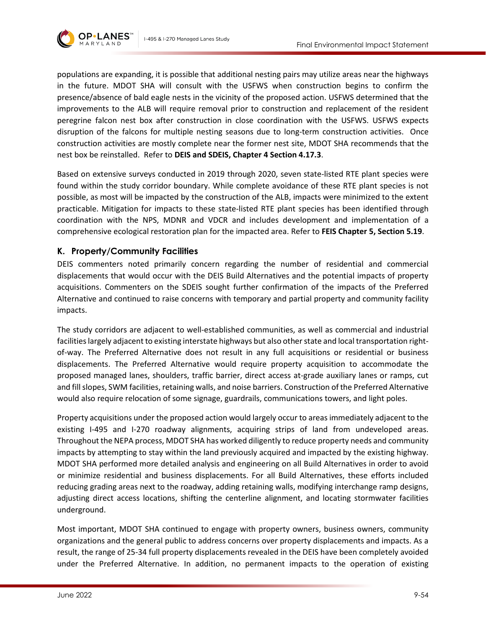

populations are expanding, it is possible that additional nesting pairs may utilize areas near the highways in the future. MDOT SHA will consult with the USFWS when construction begins to confirm the presence/absence of bald eagle nests in the vicinity of the proposed action. USFWS determined that the improvements to the ALB will require removal prior to construction and replacement of the resident peregrine falcon nest box after construction in close coordination with the USFWS. USFWS expects disruption of the falcons for multiple nesting seasons due to long-term construction activities. Once construction activities are mostly complete near the former nest site, MDOT SHA recommends that the nest box be reinstalled. Refer to **DEIS and SDEIS, Chapter 4 Section 4.17.3**.

Based on extensive surveys conducted in 2019 through 2020, seven state-listed RTE plant species were found within the study corridor boundary. While complete avoidance of these RTE plant species is not possible, as most will be impacted by the construction of the ALB, impacts were minimized to the extent practicable. Mitigation for impacts to these state-listed RTE plant species has been identified through coordination with the NPS, MDNR and VDCR and includes development and implementation of a comprehensive ecological restoration plan for the impacted area. Refer to **FEIS Chapter 5, Section 5.19**.

# **K. Property/Community Facilities**

DEIS commenters noted primarily concern regarding the number of residential and commercial displacements that would occur with the DEIS Build Alternatives and the potential impacts of property acquisitions. Commenters on the SDEIS sought further confirmation of the impacts of the Preferred Alternative and continued to raise concerns with temporary and partial property and community facility impacts.

The study corridors are adjacent to well-established communities, as well as commercial and industrial facilities largely adjacent to existing interstate highways but also other state and local transportation rightof-way. The Preferred Alternative does not result in any full acquisitions or residential or business displacements. The Preferred Alternative would require property acquisition to accommodate the proposed managed lanes, shoulders, traffic barrier, direct access at-grade auxiliary lanes or ramps, cut and fill slopes, SWM facilities, retaining walls, and noise barriers. Construction of the Preferred Alternative would also require relocation of some signage, guardrails, communications towers, and light poles.

Property acquisitions under the proposed action would largely occur to areas immediately adjacent to the existing I-495 and I-270 roadway alignments, acquiring strips of land from undeveloped areas. Throughout the NEPA process, MDOT SHA has worked diligently to reduce property needs and community impacts by attempting to stay within the land previously acquired and impacted by the existing highway. MDOT SHA performed more detailed analysis and engineering on all Build Alternatives in order to avoid or minimize residential and business displacements. For all Build Alternatives, these efforts included reducing grading areas next to the roadway, adding retaining walls, modifying interchange ramp designs, adjusting direct access locations, shifting the centerline alignment, and locating stormwater facilities underground.

Most important, MDOT SHA continued to engage with property owners, business owners, community organizations and the general public to address concerns over property displacements and impacts. As a result, the range of 25-34 full property displacements revealed in the DEIS have been completely avoided under the Preferred Alternative. In addition, no permanent impacts to the operation of existing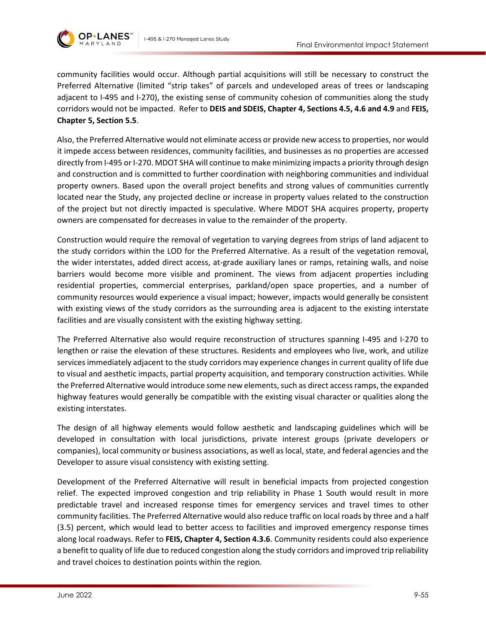

community facilities would occur. Although partial acquisitions will still be necessary to construct the Preferred Alternative (limited "strip takes" of parcels and undeveloped areas of trees or landscaping adjacent to I-495 and I-270), the existing sense of community cohesion of communities along the study corridors would not be impacted. Refer to **DEIS and SDEIS, Chapter 4, Sections 4.5, 4.6 and 4.9** and **FEIS, Chapter 5, Section 5.5**.

Also, the Preferred Alternative would not eliminate access or provide new access to properties, nor would it impede access between residences, community facilities, and businesses as no properties are accessed directly from I-495 or I-270. MDOT SHA will continue to make minimizing impacts a priority through design and construction and is committed to further coordination with neighboring communities and individual property owners. Based upon the overall project benefits and strong values of communities currently located near the Study, any projected decline or increase in property values related to the construction of the project but not directly impacted is speculative. Where MDOT SHA acquires property, property owners are compensated for decreases in value to the remainder of the property.

Construction would require the removal of vegetation to varying degrees from strips of land adjacent to the study corridors within the LOD for the Preferred Alternative. As a result of the vegetation removal, the wider interstates, added direct access, at-grade auxiliary lanes or ramps, retaining walls, and noise barriers would become more visible and prominent. The views from adjacent properties including residential properties, commercial enterprises, parkland/open space properties, and a number of community resources would experience a visual impact; however, impacts would generally be consistent with existing views of the study corridors as the surrounding area is adjacent to the existing interstate facilities and are visually consistent with the existing highway setting.

The Preferred Alternative also would require reconstruction of structures spanning I-495 and I-270 to lengthen or raise the elevation of these structures. Residents and employees who live, work, and utilize services immediately adjacent to the study corridors may experience changes in current quality of life due to visual and aesthetic impacts, partial property acquisition, and temporary construction activities. While the Preferred Alternative would introduce some new elements, such as direct access ramps, the expanded highway features would generally be compatible with the existing visual character or qualities along the existing interstates.

The design of all highway elements would follow aesthetic and landscaping guidelines which will be developed in consultation with local jurisdictions, private interest groups (private developers or companies), local community or business associations, as well as local, state, and federal agencies and the Developer to assure visual consistency with existing setting.

Development of the Preferred Alternative will result in beneficial impacts from projected congestion relief. The expected improved congestion and trip reliability in Phase 1 South would result in more predictable travel and increased response times for emergency services and travel times to other community facilities. The Preferred Alternative would also reduce traffic on local roads by three and a half (3.5) percent, which would lead to better access to facilities and improved emergency response times along local roadways. Refer to **FEIS, Chapter 4, Section 4.3.6**. Community residents could also experience a benefit to quality of life due to reduced congestion along the study corridors and improved trip reliability and travel choices to destination points within the region.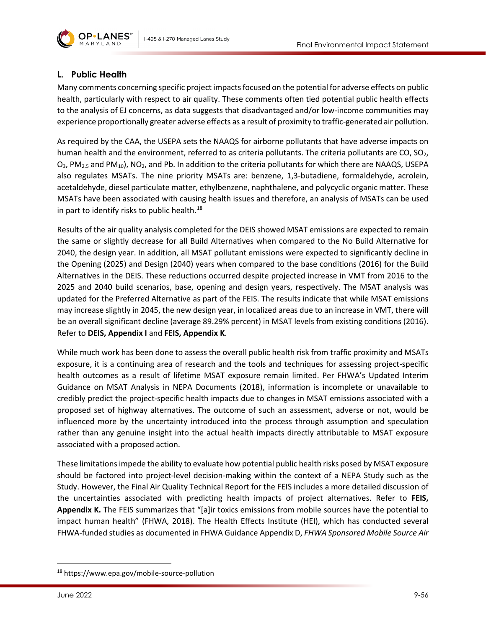

# **L. Public Health**

Many comments concerning specific project impacts focused on the potential for adverse effects on public health, particularly with respect to air quality. These comments often tied potential public health effects to the analysis of EJ concerns, as data suggests that disadvantaged and/or low-income communities may experience proportionally greater adverse effects as a result of proximity to traffic-generated air pollution.

As required by the CAA, the USEPA sets the NAAQS for airborne pollutants that have adverse impacts on human health and the environment, referred to as criteria pollutants. The criteria pollutants are CO,  $SO_2$ ,  $O_3$ , PM<sub>2.5</sub> and PM<sub>10</sub>), NO<sub>2</sub>, and Pb. In addition to the criteria pollutants for which there are NAAQS, USEPA also regulates MSATs. The nine priority MSATs are: benzene, 1,3-butadiene, formaldehyde, acrolein, acetaldehyde, diesel particulate matter, ethylbenzene, naphthalene, and polycyclic organic matter. These MSATs have been associated with causing health issues and therefore, an analysis of MSATs can be used in part to identify risks to public health.<sup>[18](#page-55-0)</sup>

Results of the air quality analysis completed for the DEIS showed MSAT emissions are expected to remain the same or slightly decrease for all Build Alternatives when compared to the No Build Alternative for 2040, the design year. In addition, all MSAT pollutant emissions were expected to significantly decline in the Opening (2025) and Design (2040) years when compared to the base conditions (2016) for the Build Alternatives in the DEIS. These reductions occurred despite projected increase in VMT from 2016 to the 2025 and 2040 build scenarios, base, opening and design years, respectively. The MSAT analysis was updated for the Preferred Alternative as part of the FEIS. The results indicate that while MSAT emissions may increase slightly in 2045, the new design year, in localized areas due to an increase in VMT, there will be an overall significant decline (average 89.29% percent) in MSAT levels from existing conditions (2016). Refer to **DEIS, Appendix I** and **FEIS, Appendix K**.

While much work has been done to assess the overall public health risk from traffic proximity and MSATs exposure, it is a continuing area of research and the tools and techniques for assessing project-specific health outcomes as a result of lifetime MSAT exposure remain limited. Per FHWA's Updated Interim Guidance on MSAT Analysis in NEPA Documents (2018), information is incomplete or unavailable to credibly predict the project-specific health impacts due to changes in MSAT emissions associated with a proposed set of highway alternatives. The outcome of such an assessment, adverse or not, would be influenced more by the uncertainty introduced into the process through assumption and speculation rather than any genuine insight into the actual health impacts directly attributable to MSAT exposure associated with a proposed action.

These limitations impede the ability to evaluate how potential public health risks posed by MSAT exposure should be factored into project-level decision-making within the context of a NEPA Study such as the Study. However, the Final Air Quality Technical Report for the FEIS includes a more detailed discussion of the uncertainties associated with predicting health impacts of project alternatives. Refer to **FEIS, Appendix K.** The FEIS summarizes that "[a]ir toxics emissions from mobile sources have the potential to impact human health" (FHWA, 2018). The Health Effects Institute (HEI), which has conducted several FHWA-funded studies as documented in FHWA Guidance Appendix D, *FHWA Sponsored Mobile Source Air* 

<span id="page-55-0"></span><sup>18</sup> https://www.epa.gov/mobile-source-pollution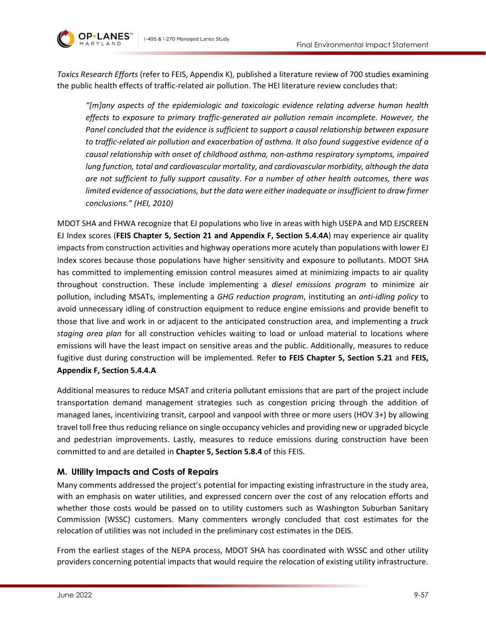

*Toxics Research Efforts* (refer to FEIS, Appendix K), published a literature review of 700 studies examining the public health effects of traffic-related air pollution. The HEI literature review concludes that:

*"[m]any aspects of the epidemiologic and toxicologic evidence relating adverse human health effects to exposure to primary traffic-generated air pollution remain incomplete. However, the Panel concluded that the evidence is sufficient to support a causal relationship between exposure to traffic-related air pollution and exacerbation of asthma. It also found suggestive evidence of a causal relationship with onset of childhood asthma, non-asthma respiratory symptoms, impaired lung function, total and cardiovascular mortality, and cardiovascular morbidity, although the data are not sufficient to fully support causality. For a number of other health outcomes, there was limited evidence of associations, but the data were either inadequate or insufficient to draw firmer conclusions." (HEI, 2010)*

MDOT SHA and FHWA recognize that EJ populations who live in areas with high USEPA and MD EJSCREEN EJ Index scores (**FEIS Chapter 5, Section 21 and Appendix F, Section 5.4.4A**) may experience air quality impacts from construction activities and highway operations more acutely than populations with lower EJ Index scores because those populations have higher sensitivity and exposure to pollutants. MDOT SHA has committed to implementing emission control measures aimed at minimizing impacts to air quality throughout construction. These include implementing a *diesel emissions program* to minimize air pollution, including MSATs, implementing a *GHG reduction program*, instituting an *anti-idling policy* to avoid unnecessary idling of construction equipment to reduce engine emissions and provide benefit to those that live and work in or adjacent to the anticipated construction area, and implementing a *truck staging area plan* for all construction vehicles waiting to load or unload material to locations where emissions will have the least impact on sensitive areas and the public. Additionally, measures to reduce fugitive dust during construction will be implemented. Refer **to FEIS Chapter 5, Section 5.21** and **FEIS, Appendix F, Section 5.4.4.A**

Additional measures to reduce MSAT and criteria pollutant emissions that are part of the project include transportation demand management strategies such as congestion pricing through the addition of managed lanes, incentivizing transit, carpool and vanpool with three or more users (HOV 3+) by allowing travel toll free thus reducing reliance on single occupancy vehicles and providing new or upgraded bicycle and pedestrian improvements. Lastly, measures to reduce emissions during construction have been committed to and are detailed in **Chapter 5, Section 5.8.4** of this FEIS.

### **M. Utility Impacts and Costs of Repairs**

Many comments addressed the project's potential for impacting existing infrastructure in the study area, with an emphasis on water utilities, and expressed concern over the cost of any relocation efforts and whether those costs would be passed on to utility customers such as Washington Suburban Sanitary Commission (WSSC) customers. Many commenters wrongly concluded that cost estimates for the relocation of utilities was not included in the preliminary cost estimates in the DEIS.

From the earliest stages of the NEPA process, MDOT SHA has coordinated with WSSC and other utility providers concerning potential impacts that would require the relocation of existing utility infrastructure.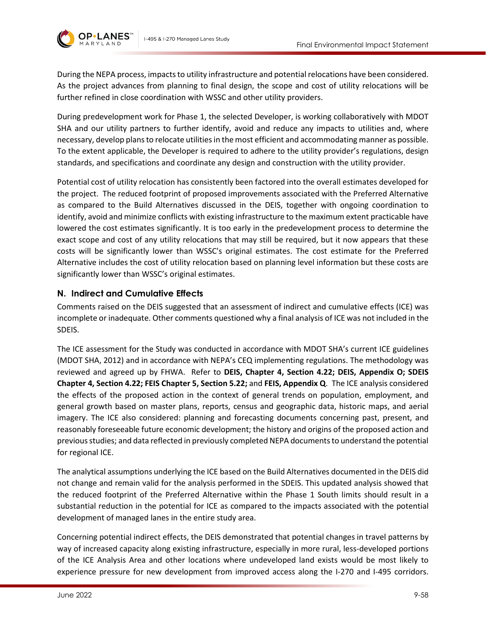

During the NEPA process, impacts to utility infrastructure and potential relocations have been considered. As the project advances from planning to final design, the scope and cost of utility relocations will be further refined in close coordination with WSSC and other utility providers.

During predevelopment work for Phase 1, the selected Developer, is working collaboratively with MDOT SHA and our utility partners to further identify, avoid and reduce any impacts to utilities and, where necessary, develop plans to relocate utilities in the most efficient and accommodating manner as possible. To the extent applicable, the Developer is required to adhere to the utility provider's regulations, design standards, and specifications and coordinate any design and construction with the utility provider.

Potential cost of utility relocation has consistently been factored into the overall estimates developed for the project. The reduced footprint of proposed improvements associated with the Preferred Alternative as compared to the Build Alternatives discussed in the DEIS, together with ongoing coordination to identify, avoid and minimize conflicts with existing infrastructure to the maximum extent practicable have lowered the cost estimates significantly. It is too early in the predevelopment process to determine the exact scope and cost of any utility relocations that may still be required, but it now appears that these costs will be significantly lower than WSSC's original estimates. The cost estimate for the Preferred Alternative includes the cost of utility relocation based on planning level information but these costs are significantly lower than WSSC's original estimates.

### **N. Indirect and Cumulative Effects**

Comments raised on the DEIS suggested that an assessment of indirect and cumulative effects (ICE) was incomplete or inadequate. Other comments questioned why a final analysis of ICE was not included in the SDEIS.

The ICE assessment for the Study was conducted in accordance with MDOT SHA's current ICE guidelines (MDOT SHA, 2012) and in accordance with NEPA's CEQ implementing regulations. The methodology was reviewed and agreed up by FHWA. Refer to **DEIS, Chapter 4, Section 4.22; DEIS, Appendix O; SDEIS Chapter 4, Section 4.22; FEIS Chapter 5, Section 5.22;** and **FEIS, Appendix Q**. The ICE analysis considered the effects of the proposed action in the context of general trends on population, employment, and general growth based on master plans, reports, census and geographic data, historic maps, and aerial imagery. The ICE also considered: planning and forecasting documents concerning past, present, and reasonably foreseeable future economic development; the history and origins of the proposed action and previous studies; and data reflected in previously completed NEPA documents to understand the potential for regional ICE.

The analytical assumptions underlying the ICE based on the Build Alternatives documented in the DEIS did not change and remain valid for the analysis performed in the SDEIS. This updated analysis showed that the reduced footprint of the Preferred Alternative within the Phase 1 South limits should result in a substantial reduction in the potential for ICE as compared to the impacts associated with the potential development of managed lanes in the entire study area.

Concerning potential indirect effects, the DEIS demonstrated that potential changes in travel patterns by way of increased capacity along existing infrastructure, especially in more rural, less-developed portions of the ICE Analysis Area and other locations where undeveloped land exists would be most likely to experience pressure for new development from improved access along the I-270 and I-495 corridors.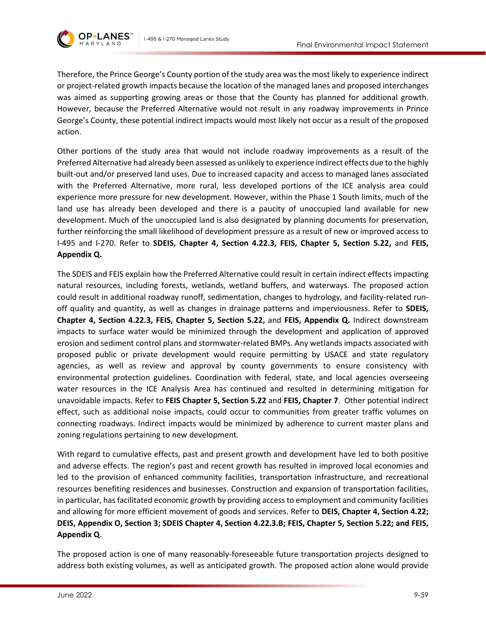

Therefore, the Prince George's County portion of the study area was the most likely to experience indirect or project-related growth impacts because the location of the managed lanes and proposed interchanges was aimed as supporting growing areas or those that the County has planned for additional growth. However, because the Preferred Alternative would not result in any roadway improvements in Prince George's County, these potential indirect impacts would most likely not occur as a result of the proposed action.

Other portions of the study area that would not include roadway improvements as a result of the Preferred Alternative had already been assessed as unlikely to experience indirect effects due to the highly built-out and/or preserved land uses. Due to increased capacity and access to managed lanes associated with the Preferred Alternative, more rural, less developed portions of the ICE analysis area could experience more pressure for new development. However, within the Phase 1 South limits, much of the land use has already been developed and there is a paucity of unoccupied land available for new development. Much of the unoccupied land is also designated by planning documents for preservation, further reinforcing the small likelihood of development pressure as a result of new or improved access to I-495 and I-270. Refer to **SDEIS, Chapter 4, Section 4.22.3, FEIS, Chapter 5, Section 5.22,** and **FEIS, Appendix Q.** 

The SDEIS and FEIS explain how the Preferred Alternative could result in certain indirect effects impacting natural resources, including forests, wetlands, wetland buffers, and waterways. The proposed action could result in additional roadway runoff, sedimentation, changes to hydrology, and facility-related runoff quality and quantity, as well as changes in drainage patterns and imperviousness. Refer to **SDEIS, Chapter 4, Section 4.22.3, FEIS, Chapter 5, Section 5.22,** and **FEIS, Appendix Q.** Indirect downstream impacts to surface water would be minimized through the development and application of approved erosion and sediment control plans and stormwater-related BMPs. Any wetlands impacts associated with proposed public or private development would require permitting by USACE and state regulatory agencies, as well as review and approval by county governments to ensure consistency with environmental protection guidelines. Coordination with federal, state, and local agencies overseeing water resources in the ICE Analysis Area has continued and resulted in determining mitigation for unavoidable impacts. Refer to **FEIS Chapter 5, Section 5.22** and **FEIS, Chapter 7**. Other potential indirect effect, such as additional noise impacts, could occur to communities from greater traffic volumes on connecting roadways. Indirect impacts would be minimized by adherence to current master plans and zoning regulations pertaining to new development.

With regard to cumulative effects, past and present growth and development have led to both positive and adverse effects. The region's past and recent growth has resulted in improved local economies and led to the provision of enhanced community facilities, transportation infrastructure, and recreational resources benefiting residences and businesses. Construction and expansion of transportation facilities, in particular, has facilitated economic growth by providing access to employment and community facilities and allowing for more efficient movement of goods and services. Refer to **DEIS, Chapter 4, Section 4.22; DEIS, Appendix O, Section 3; SDEIS Chapter 4, Section 4.22.3.B; FEIS, Chapter 5, Section 5.22; and FEIS, Appendix Q**.

The proposed action is one of many reasonably-foreseeable future transportation projects designed to address both existing volumes, as well as anticipated growth. The proposed action alone would provide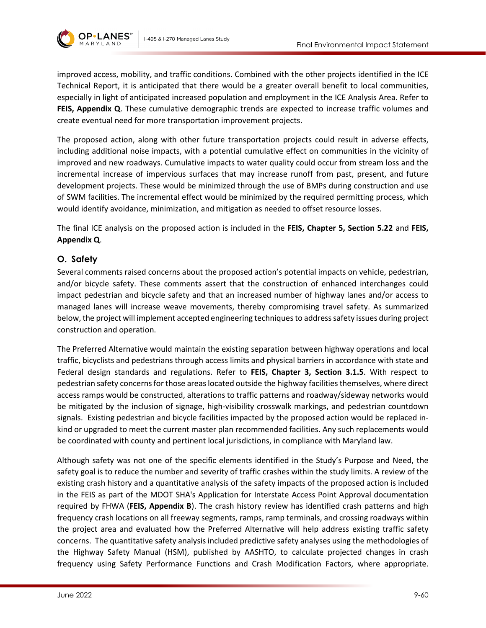

**OP•LANES** 

improved access, mobility, and traffic conditions. Combined with the other projects identified in the ICE Technical Report, it is anticipated that there would be a greater overall benefit to local communities, especially in light of anticipated increased population and employment in the ICE Analysis Area. Refer to **FEIS, Appendix Q**. These cumulative demographic trends are expected to increase traffic volumes and create eventual need for more transportation improvement projects.

The proposed action, along with other future transportation projects could result in adverse effects, including additional noise impacts, with a potential cumulative effect on communities in the vicinity of improved and new roadways. Cumulative impacts to water quality could occur from stream loss and the incremental increase of impervious surfaces that may increase runoff from past, present, and future development projects. These would be minimized through the use of BMPs during construction and use of SWM facilities. The incremental effect would be minimized by the required permitting process, which would identify avoidance, minimization, and mitigation as needed to offset resource losses.

The final ICE analysis on the proposed action is included in the **FEIS, Chapter 5, Section 5.22** and **FEIS, Appendix Q**.

# **O. Safety**

Several comments raised concerns about the proposed action's potential impacts on vehicle, pedestrian, and/or bicycle safety. These comments assert that the construction of enhanced interchanges could impact pedestrian and bicycle safety and that an increased number of highway lanes and/or access to managed lanes will increase weave movements, thereby compromising travel safety. As summarized below, the project will implement accepted engineering techniques to address safety issues during project construction and operation.

The Preferred Alternative would maintain the existing separation between highway operations and local traffic, bicyclists and pedestrians through access limits and physical barriers in accordance with state and Federal design standards and regulations. Refer to **FEIS, Chapter 3, Section 3.1.5**. With respect to pedestrian safety concerns for those areas located outside the highway facilities themselves, where direct access ramps would be constructed, alterations to traffic patterns and roadway/sideway networks would be mitigated by the inclusion of signage, high-visibility crosswalk markings, and pedestrian countdown signals. Existing pedestrian and bicycle facilities impacted by the proposed action would be replaced inkind or upgraded to meet the current master plan recommended facilities. Any such replacements would be coordinated with county and pertinent local jurisdictions, in compliance with Maryland law.

Although safety was not one of the specific elements identified in the Study's Purpose and Need, the safety goal is to reduce the number and severity of traffic crashes within the study limits. A review of the existing crash history and a quantitative analysis of the safety impacts of the proposed action is included in the FEIS as part of the MDOT SHA's Application for Interstate Access Point Approval documentation required by FHWA (**FEIS, Appendix B**). The crash history review has identified crash patterns and high frequency crash locations on all freeway segments, ramps, ramp terminals, and crossing roadways within the project area and evaluated how the Preferred Alternative will help address existing traffic safety concerns. The quantitative safety analysis included predictive safety analyses using the methodologies of the Highway Safety Manual (HSM), published by AASHTO, to calculate projected changes in crash frequency using Safety Performance Functions and Crash Modification Factors, where appropriate.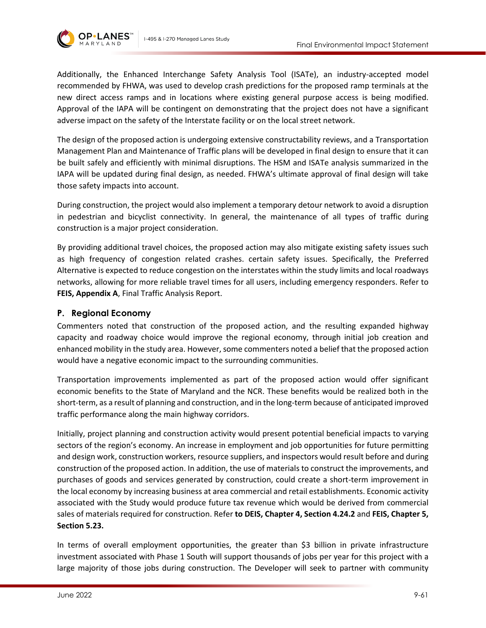

Additionally, the Enhanced Interchange Safety Analysis Tool (ISATe), an industry-accepted model recommended by FHWA, was used to develop crash predictions for the proposed ramp terminals at the new direct access ramps and in locations where existing general purpose access is being modified. Approval of the IAPA will be contingent on demonstrating that the project does not have a significant adverse impact on the safety of the Interstate facility or on the local street network.

The design of the proposed action is undergoing extensive constructability reviews, and a Transportation Management Plan and Maintenance of Traffic plans will be developed in final design to ensure that it can be built safely and efficiently with minimal disruptions. The HSM and ISATe analysis summarized in the IAPA will be updated during final design, as needed. FHWA's ultimate approval of final design will take those safety impacts into account.

During construction, the project would also implement a temporary detour network to avoid a disruption in pedestrian and bicyclist connectivity. In general, the maintenance of all types of traffic during construction is a major project consideration.

By providing additional travel choices, the proposed action may also mitigate existing safety issues such as high frequency of congestion related crashes. certain safety issues. Specifically, the Preferred Alternative is expected to reduce congestion on the interstates within the study limits and local roadways networks, allowing for more reliable travel times for all users, including emergency responders. Refer to **FEIS, Appendix A**, Final Traffic Analysis Report.

# **P. Regional Economy**

Commenters noted that construction of the proposed action, and the resulting expanded highway capacity and roadway choice would improve the regional economy, through initial job creation and enhanced mobility in the study area. However, some commenters noted a belief that the proposed action would have a negative economic impact to the surrounding communities.

Transportation improvements implemented as part of the proposed action would offer significant economic benefits to the State of Maryland and the NCR. These benefits would be realized both in the short-term, as a result of planning and construction, and in the long-term because of anticipated improved traffic performance along the main highway corridors.

Initially, project planning and construction activity would present potential beneficial impacts to varying sectors of the region's economy. An increase in employment and job opportunities for future permitting and design work, construction workers, resource suppliers, and inspectors would result before and during construction of the proposed action. In addition, the use of materials to construct the improvements, and purchases of goods and services generated by construction, could create a short-term improvement in the local economy by increasing business at area commercial and retail establishments. Economic activity associated with the Study would produce future tax revenue which would be derived from commercial sales of materials required for construction. Refer **to DEIS, Chapter 4, Section 4.24.2** and **FEIS, Chapter 5, Section 5.23.**

In terms of overall employment opportunities, the greater than \$3 billion in private infrastructure investment associated with Phase 1 South will support thousands of jobs per year for this project with a large majority of those jobs during construction. The Developer will seek to partner with community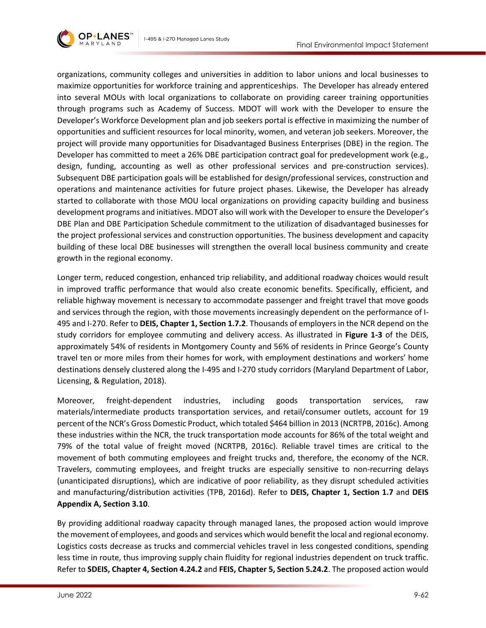



organizations, community colleges and universities in addition to labor unions and local businesses to maximize opportunities for workforce training and apprenticeships. The Developer has already entered into several MOUs with local organizations to collaborate on providing career training opportunities through programs such as Academy of Success. MDOT will work with the Developer to ensure the Developer's Workforce Development plan and job seekers portal is effective in maximizing the number of opportunities and sufficient resources for local minority, women, and veteran job seekers. Moreover, the project will provide many opportunities for Disadvantaged Business Enterprises (DBE) in the region. The Developer has committed to meet a 26% DBE participation contract goal for predevelopment work (e.g., design, funding, accounting as well as other professional services and pre-construction services). Subsequent DBE participation goals will be established for design/professional services, construction and operations and maintenance activities for future project phases. Likewise, the Developer has already started to collaborate with those MOU local organizations on providing capacity building and business development programs and initiatives. MDOT also will work with the Developer to ensure the Developer's DBE Plan and DBE Participation Schedule commitment to the utilization of disadvantaged businesses for the project professional services and construction opportunities. The business development and capacity building of these local DBE businesses will strengthen the overall local business community and create growth in the regional economy.

Longer term, reduced congestion, enhanced trip reliability, and additional roadway choices would result in improved traffic performance that would also create economic benefits. Specifically, efficient, and reliable highway movement is necessary to accommodate passenger and freight travel that move goods and services through the region, with those movements increasingly dependent on the performance of I-495 and I-270. Refer to **DEIS, Chapter 1, Section 1.7.2**. Thousands of employers in the NCR depend on the study corridors for employee commuting and delivery access. As illustrated in **Figure 1-3** of the DEIS, approximately 54% of residents in Montgomery County and 56% of residents in Prince George's County travel ten or more miles from their homes for work, with employment destinations and workers' home destinations densely clustered along the I-495 and I-270 study corridors (Maryland Department of Labor, Licensing, & Regulation, 2018).

Moreover, freight-dependent industries, including goods transportation services, raw materials/intermediate products transportation services, and retail/consumer outlets, account for 19 percent of the NCR's Gross Domestic Product, which totaled \$464 billion in 2013 (NCRTPB, 2016c). Among these industries within the NCR, the truck transportation mode accounts for 86% of the total weight and 79% of the total value of freight moved (NCRTPB, 2016c). Reliable travel times are critical to the movement of both commuting employees and freight trucks and, therefore, the economy of the NCR. Travelers, commuting employees, and freight trucks are especially sensitive to non-recurring delays (unanticipated disruptions), which are indicative of poor reliability, as they disrupt scheduled activities and manufacturing/distribution activities (TPB, 2016d). Refer to **DEIS, Chapter 1, Section 1.7** and **DEIS Appendix A, Section 3.10**.

By providing additional roadway capacity through managed lanes, the proposed action would improve the movement of employees, and goods and services which would benefit the local and regional economy. Logistics costs decrease as trucks and commercial vehicles travel in less congested conditions, spending less time in route, thus improving supply chain fluidity for regional industries dependent on truck traffic. Refer to **SDEIS, Chapter 4, Section 4.24.2** and **FEIS, Chapter 5, Section 5.24.2**. The proposed action would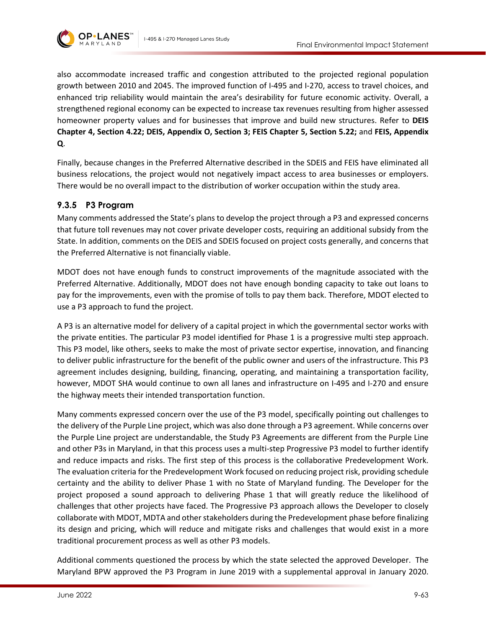

also accommodate increased traffic and congestion attributed to the projected regional population growth between 2010 and 2045. The improved function of I-495 and I-270, access to travel choices, and enhanced trip reliability would maintain the area's desirability for future economic activity. Overall, a strengthened regional economy can be expected to increase tax revenues resulting from higher assessed homeowner property values and for businesses that improve and build new structures. Refer to **DEIS Chapter 4, Section 4.22; DEIS, Appendix O, Section 3; FEIS Chapter 5, Section 5.22;** and **FEIS, Appendix Q**.

Finally, because changes in the Preferred Alternative described in the SDEIS and FEIS have eliminated all business relocations, the project would not negatively impact access to area businesses or employers. There would be no overall impact to the distribution of worker occupation within the study area.

# **9.3.5 P3 Program**

**OP•LANES** 

Many comments addressed the State's plans to develop the project through a P3 and expressed concerns that future toll revenues may not cover private developer costs, requiring an additional subsidy from the State. In addition, comments on the DEIS and SDEIS focused on project costs generally, and concerns that the Preferred Alternative is not financially viable.

MDOT does not have enough funds to construct improvements of the magnitude associated with the Preferred Alternative. Additionally, MDOT does not have enough bonding capacity to take out loans to pay for the improvements, even with the promise of tolls to pay them back. Therefore, MDOT elected to use a P3 approach to fund the project.

A P3 is an alternative model for delivery of a capital project in which the governmental sector works with the private entities. The particular P3 model identified for Phase 1 is a progressive multi step approach. This P3 model, like others, seeks to make the most of private sector expertise, innovation, and financing to deliver public infrastructure for the benefit of the public owner and users of the infrastructure. This P3 agreement includes designing, building, financing, operating, and maintaining a transportation facility, however, MDOT SHA would continue to own all lanes and infrastructure on I-495 and I-270 and ensure the highway meets their intended transportation function.

Many comments expressed concern over the use of the P3 model, specifically pointing out challenges to the delivery of the Purple Line project, which was also done through a P3 agreement. While concerns over the Purple Line project are understandable, the Study P3 Agreements are different from the Purple Line and other P3s in Maryland, in that this process uses a multi-step Progressive P3 model to further identify and reduce impacts and risks. The first step of this process is the collaborative Predevelopment Work. The evaluation criteria for the Predevelopment Work focused on reducing project risk, providing schedule certainty and the ability to deliver Phase 1 with no State of Maryland funding. The Developer for the project proposed a sound approach to delivering Phase 1 that will greatly reduce the likelihood of challenges that other projects have faced. The Progressive P3 approach allows the Developer to closely collaborate with MDOT, MDTA and other stakeholders during the Predevelopment phase before finalizing its design and pricing, which will reduce and mitigate risks and challenges that would exist in a more traditional procurement process as well as other P3 models.

Additional comments questioned the process by which the state selected the approved Developer. The Maryland BPW approved the P3 Program in June 2019 with a supplemental approval in January 2020.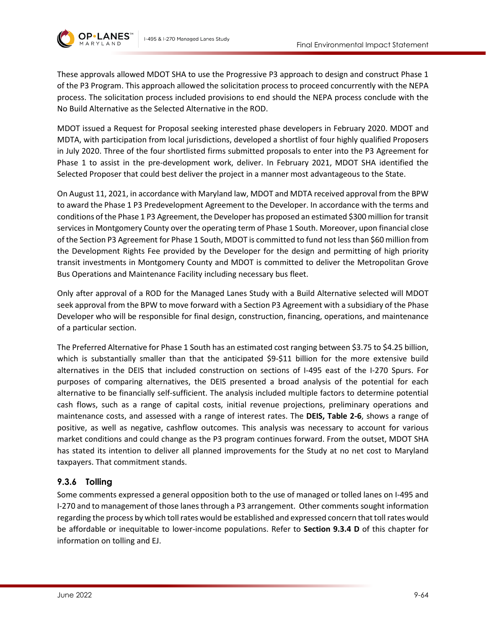

These approvals allowed MDOT SHA to use the Progressive P3 approach to design and construct Phase 1 of the P3 Program. This approach allowed the solicitation process to proceed concurrently with the NEPA process. The solicitation process included provisions to end should the NEPA process conclude with the No Build Alternative as the Selected Alternative in the ROD.

MDOT issued a Request for Proposal seeking interested phase developers in February 2020. MDOT and MDTA, with participation from local jurisdictions, developed a shortlist of four highly qualified Proposers in July 2020. Three of the four shortlisted firms submitted proposals to enter into the P3 Agreement for Phase 1 to assist in the pre-development work, deliver. In February 2021, MDOT SHA identified the Selected Proposer that could best deliver the project in a manner most advantageous to the State.

On August 11, 2021, in accordance with Maryland law, MDOT and MDTA received approval from the BPW to award the Phase 1 P3 Predevelopment Agreement to the Developer. In accordance with the terms and conditions of the Phase 1 P3 Agreement, the Developer has proposed an estimated \$300 million for transit services in Montgomery County over the operating term of Phase 1 South. Moreover, upon financial close of the Section P3 Agreement for Phase 1 South, MDOT is committed to fund not less than \$60 million from the Development Rights Fee provided by the Developer for the design and permitting of high priority transit investments in Montgomery County and MDOT is committed to deliver the Metropolitan Grove Bus Operations and Maintenance Facility including necessary bus fleet.

Only after approval of a ROD for the Managed Lanes Study with a Build Alternative selected will MDOT seek approval from the BPW to move forward with a Section P3 Agreement with a subsidiary of the Phase Developer who will be responsible for final design, construction, financing, operations, and maintenance of a particular section.

The Preferred Alternative for Phase 1 South has an estimated cost ranging between \$3.75 to \$4.25 billion, which is substantially smaller than that the anticipated \$9-\$11 billion for the more extensive build alternatives in the DEIS that included construction on sections of I-495 east of the I-270 Spurs. For purposes of comparing alternatives, the DEIS presented a broad analysis of the potential for each alternative to be financially self-sufficient. The analysis included multiple factors to determine potential cash flows, such as a range of capital costs, initial revenue projections, preliminary operations and maintenance costs, and assessed with a range of interest rates. The **DEIS, Table 2-6**, shows a range of positive, as well as negative, cashflow outcomes. This analysis was necessary to account for various market conditions and could change as the P3 program continues forward. From the outset, MDOT SHA has stated its intention to deliver all planned improvements for the Study at no net cost to Maryland taxpayers. That commitment stands.

# <span id="page-63-0"></span>**9.3.6 Tolling**

Some comments expressed a general opposition both to the use of managed or tolled lanes on I-495 and I-270 and to management of those lanes through a P3 arrangement. Other comments sought information regarding the process by which toll rates would be established and expressed concern that toll rates would be affordable or inequitable to lower-income populations. Refer to **Section 9.3.4 [D](#page-34-0)** of this chapter for information on tolling and EJ.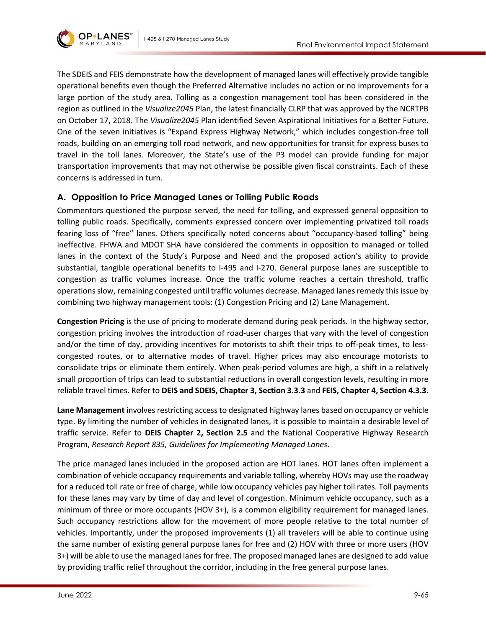

The SDEIS and FEIS demonstrate how the development of managed lanes will effectively provide tangible operational benefits even though the Preferred Alternative includes no action or no improvements for a large portion of the study area. Tolling as a congestion management tool has been considered in the region as outlined in the *Visualize2045* Plan, the latest financially CLRP that was approved by the NCRTPB on October 17, 2018. The *Visualize2045* Plan identified Seven Aspirational Initiatives for a Better Future. One of the seven initiatives is "Expand Express Highway Network," which includes congestion-free toll roads, building on an emerging toll road network, and new opportunities for transit for express buses to travel in the toll lanes. Moreover, the State's use of the P3 model can provide funding for major transportation improvements that may not otherwise be possible given fiscal constraints. Each of these concerns is addressed in turn.

# **A. Opposition to Price Managed Lanes or Tolling Public Roads**

Commentors questioned the purpose served, the need for tolling, and expressed general opposition to tolling public roads. Specifically, comments expressed concern over implementing privatized toll roads fearing loss of "free" lanes. Others specifically noted concerns about "occupancy-based tolling" being ineffective. FHWA and MDOT SHA have considered the comments in opposition to managed or tolled lanes in the context of the Study's Purpose and Need and the proposed action's ability to provide substantial, tangible operational benefits to I-495 and I-270. General purpose lanes are susceptible to congestion as traffic volumes increase. Once the traffic volume reaches a certain threshold, traffic operations slow, remaining congested until traffic volumes decrease. Managed lanes remedy this issue by combining two highway management tools: (1) Congestion Pricing and (2) Lane Management.

**Congestion Pricing** is the use of pricing to moderate demand during peak periods. In the highway sector, congestion pricing involves the introduction of road-user charges that vary with the level of congestion and/or the time of day, providing incentives for motorists to shift their trips to off-peak times, to lesscongested routes, or to alternative modes of travel. Higher prices may also encourage motorists to consolidate trips or eliminate them entirely. When peak-period volumes are high, a shift in a relatively small proportion of trips can lead to substantial reductions in overall congestion levels, resulting in more reliable travel times. Refer to **DEIS and SDEIS, Chapter 3, Section 3.3.3** and **FEIS, Chapter 4, Section 4.3.3**.

**Lane Management** involves restricting access to designated highway lanes based on occupancy or vehicle type. By limiting the number of vehicles in designated lanes, it is possible to maintain a desirable level of traffic service. Refer to **DEIS Chapter 2, Section 2.5** and the National Cooperative Highway Research Program, *Research Report 835, Guidelines for Implementing Managed Lanes*.

The price managed lanes included in the proposed action are HOT lanes. HOT lanes often implement a combination of vehicle occupancy requirements and variable tolling, whereby HOVs may use the roadway for a reduced toll rate or free of charge, while low occupancy vehicles pay higher toll rates. Toll payments for these lanes may vary by time of day and level of congestion. Minimum vehicle occupancy, such as a minimum of three or more occupants (HOV 3+), is a common eligibility requirement for managed lanes. Such occupancy restrictions allow for the movement of more people relative to the total number of vehicles. Importantly, under the proposed improvements (1) all travelers will be able to continue using the same number of existing general purpose lanes for free and (2) HOV with three or more users (HOV 3+) will be able to use the managed lanes for free. The proposed managed lanes are designed to add value by providing traffic relief throughout the corridor, including in the free general purpose lanes.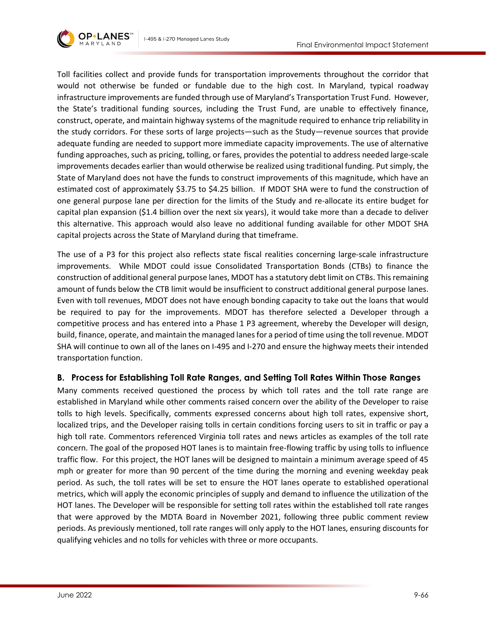

Toll facilities collect and provide funds for transportation improvements throughout the corridor that would not otherwise be funded or fundable due to the high cost. In Maryland, typical roadway infrastructure improvements are funded through use of Maryland's Transportation Trust Fund. However, the State's traditional funding sources, including the Trust Fund, are unable to effectively finance, construct, operate, and maintain highway systems of the magnitude required to enhance trip reliability in the study corridors. For these sorts of large projects—such as the Study—revenue sources that provide adequate funding are needed to support more immediate capacity improvements. The use of alternative funding approaches, such as pricing, tolling, or fares, provides the potential to address needed large-scale improvements decades earlier than would otherwise be realized using traditional funding. Put simply, the State of Maryland does not have the funds to construct improvements of this magnitude, which have an estimated cost of approximately \$3.75 to \$4.25 billion. If MDOT SHA were to fund the construction of one general purpose lane per direction for the limits of the Study and re-allocate its entire budget for capital plan expansion (\$1.4 billion over the next six years), it would take more than a decade to deliver this alternative. This approach would also leave no additional funding available for other MDOT SHA capital projects across the State of Maryland during that timeframe.

The use of a P3 for this project also reflects state fiscal realities concerning large-scale infrastructure improvements. While MDOT could issue Consolidated Transportation Bonds (CTBs) to finance the construction of additional general purpose lanes, MDOT has a statutory debt limit on CTBs. This remaining amount of funds below the CTB limit would be insufficient to construct additional general purpose lanes. Even with toll revenues, MDOT does not have enough bonding capacity to take out the loans that would be required to pay for the improvements. MDOT has therefore selected a Developer through a competitive process and has entered into a Phase 1 P3 agreement, whereby the Developer will design, build, finance, operate, and maintain the managed lanes for a period of time using the toll revenue. MDOT SHA will continue to own all of the lanes on I-495 and I-270 and ensure the highway meets their intended transportation function.

### **B. Process for Establishing Toll Rate Ranges, and Setting Toll Rates Within Those Ranges**

Many comments received questioned the process by which toll rates and the toll rate range are established in Maryland while other comments raised concern over the ability of the Developer to raise tolls to high levels. Specifically, comments expressed concerns about high toll rates, expensive short, localized trips, and the Developer raising tolls in certain conditions forcing users to sit in traffic or pay a high toll rate. Commentors referenced Virginia toll rates and news articles as examples of the toll rate concern. The goal of the proposed HOT lanes is to maintain free-flowing traffic by using tolls to influence traffic flow. For this project, the HOT lanes will be designed to maintain a minimum average speed of 45 mph or greater for more than 90 percent of the time during the morning and evening weekday peak period. As such, the toll rates will be set to ensure the HOT lanes operate to established operational metrics, which will apply the economic principles of supply and demand to influence the utilization of the HOT lanes. The Developer will be responsible for setting toll rates within the established toll rate ranges that were approved by the MDTA Board in November 2021, following three public comment review periods. As previously mentioned, toll rate ranges will only apply to the HOT lanes, ensuring discounts for qualifying vehicles and no tolls for vehicles with three or more occupants.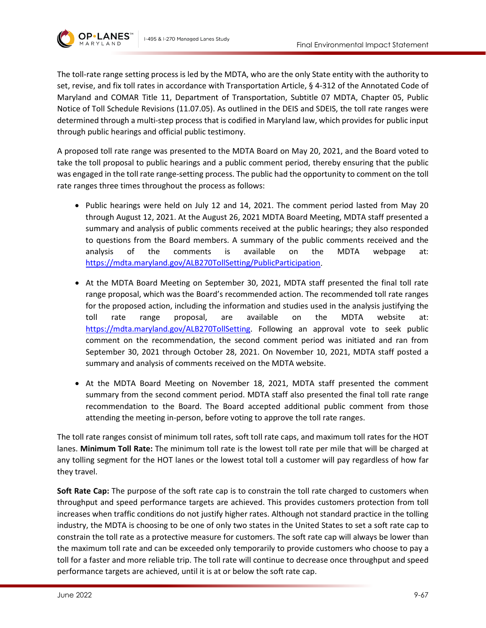

**OP•LANES** 

The toll-rate range setting process is led by the MDTA, who are the only State entity with the authority to set, revise, and fix toll rates in accordance with Transportation Article, § 4-312 of the Annotated Code of Maryland and COMAR Title 11, Department of Transportation, Subtitle 07 MDTA, Chapter 05, Public Notice of Toll Schedule Revisions (11.07.05). As outlined in the DEIS and SDEIS, the toll rate ranges were determined through a multi-step process that is codified in Maryland law, which provides for public input through public hearings and official public testimony.

A proposed toll rate range was presented to the MDTA Board on May 20, 2021, and the Board voted to take the toll proposal to public hearings and a public comment period, thereby ensuring that the public was engaged in the toll rate range-setting process. The public had the opportunity to comment on the toll rate ranges three times throughout the process as follows:

- Public hearings were held on July 12 and 14, 2021. The comment period lasted from May 20 through August 12, 2021. At the August 26, 2021 MDTA Board Meeting, MDTA staff presented a summary and analysis of public comments received at the public hearings; they also responded to questions from the Board members. A summary of the public comments received and the analysis of the comments is available on the MDTA webpage at: [https://mdta.maryland.gov/ALB270TollSetting/PublicParticipation.](https://mdta.maryland.gov/ALB270TollSetting/PublicParticipation)
- At the MDTA Board Meeting on September 30, 2021, MDTA staff presented the final toll rate range proposal, which was the Board's recommended action. The recommended toll rate ranges for the proposed action, including the information and studies used in the analysis justifying the toll rate range proposal, are available on the MDTA website at: [https://mdta.maryland.gov/ALB270TollSetting.](https://mdta.maryland.gov/ALB270TollSetting) Following an approval vote to seek public comment on the recommendation, the second comment period was initiated and ran from September 30, 2021 through October 28, 2021. On November 10, 2021, MDTA staff posted a summary and analysis of comments received on the MDTA website.
- At the MDTA Board Meeting on November 18, 2021, MDTA staff presented the comment summary from the second comment period. MDTA staff also presented the final toll rate range recommendation to the Board. The Board accepted additional public comment from those attending the meeting in-person, before voting to approve the toll rate ranges.

The toll rate ranges consist of minimum toll rates, soft toll rate caps, and maximum toll rates for the HOT lanes. **Minimum Toll Rate:** The minimum toll rate is the lowest toll rate per mile that will be charged at any tolling segment for the HOT lanes or the lowest total toll a customer will pay regardless of how far they travel.

**Soft Rate Cap:** The purpose of the soft rate cap is to constrain the toll rate charged to customers when throughput and speed performance targets are achieved. This provides customers protection from toll increases when traffic conditions do not justify higher rates. Although not standard practice in the tolling industry, the MDTA is choosing to be one of only two states in the United States to set a soft rate cap to constrain the toll rate as a protective measure for customers. The soft rate cap will always be lower than the maximum toll rate and can be exceeded only temporarily to provide customers who choose to pay a toll for a faster and more reliable trip. The toll rate will continue to decrease once throughput and speed performance targets are achieved, until it is at or below the soft rate cap.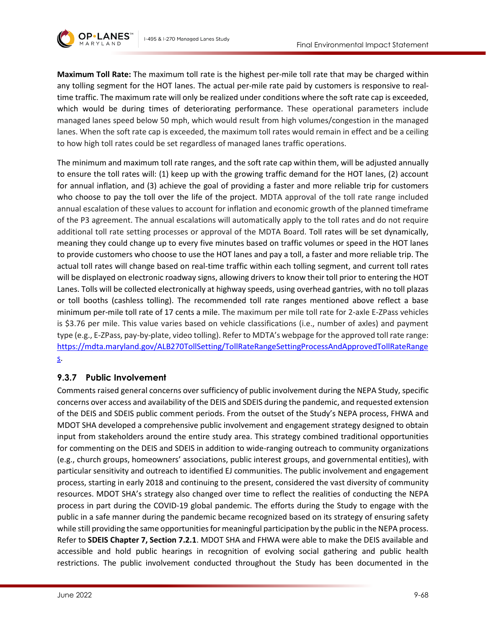

**Maximum Toll Rate:** The maximum toll rate is the highest per-mile toll rate that may be charged within any tolling segment for the HOT lanes. The actual per-mile rate paid by customers is responsive to realtime traffic. The maximum rate will only be realized under conditions where the soft rate cap is exceeded, which would be during times of deteriorating performance. These operational parameters include managed lanes speed below 50 mph, which would result from high volumes/congestion in the managed lanes. When the soft rate cap is exceeded, the maximum toll rates would remain in effect and be a ceiling to how high toll rates could be set regardless of managed lanes traffic operations.

The minimum and maximum toll rate ranges, and the soft rate cap within them, will be adjusted annually to ensure the toll rates will: (1) keep up with the growing traffic demand for the HOT lanes, (2) account for annual inflation, and (3) achieve the goal of providing a faster and more reliable trip for customers who choose to pay the toll over the life of the project. MDTA approval of the toll rate range included annual escalation of these values to account for inflation and economic growth of the planned timeframe of the P3 agreement. The annual escalations will automatically apply to the toll rates and do not require additional toll rate setting processes or approval of the MDTA Board. Toll rates will be set dynamically, meaning they could change up to every five minutes based on traffic volumes or speed in the HOT lanes to provide customers who choose to use the HOT lanes and pay a toll, a faster and more reliable trip. The actual toll rates will change based on real-time traffic within each tolling segment, and current toll rates will be displayed on electronic roadway signs, allowing drivers to know their toll prior to entering the HOT Lanes. Tolls will be collected electronically at highway speeds, using overhead gantries, with no toll plazas or toll booths (cashless tolling). The recommended toll rate ranges mentioned above reflect a base minimum per-mile toll rate of 17 cents a mile. The maximum per mile toll rate for 2-axle E-ZPass vehicles is \$3.76 per mile. This value varies based on vehicle classifications (i.e., number of axles) and payment type (e.g., E-ZPass, pay-by-plate, video tolling). Refer to MDTA's webpage for the approved toll rate range: [https://mdta.maryland.gov/ALB270TollSetting/TollRateRangeSettingProcessAndApprovedTollRateRange](https://mdta.maryland.gov/ALB270TollSetting/TollRateRangeSettingProcessAndApprovedTollRateRanges) [s.](https://mdta.maryland.gov/ALB270TollSetting/TollRateRangeSettingProcessAndApprovedTollRateRanges)

# **9.3.7 Public Involvement**

Comments raised general concerns over sufficiency of public involvement during the NEPA Study, specific concerns over access and availability of the DEIS and SDEIS during the pandemic, and requested extension of the DEIS and SDEIS public comment periods. From the outset of the Study's NEPA process, FHWA and MDOT SHA developed a comprehensive public involvement and engagement strategy designed to obtain input from stakeholders around the entire study area. This strategy combined traditional opportunities for commenting on the DEIS and SDEIS in addition to wide-ranging outreach to community organizations (e.g., church groups, homeowners' associations, public interest groups, and governmental entities), with particular sensitivity and outreach to identified EJ communities. The public involvement and engagement process, starting in early 2018 and continuing to the present, considered the vast diversity of community resources. MDOT SHA's strategy also changed over time to reflect the realities of conducting the NEPA process in part during the COVID-19 global pandemic. The efforts during the Study to engage with the public in a safe manner during the pandemic became recognized based on its strategy of ensuring safety while still providing the same opportunities for meaningful participation by the public in the NEPA process. Refer to **SDEIS Chapter 7, Section 7.2.1**. MDOT SHA and FHWA were able to make the DEIS available and accessible and hold public hearings in recognition of evolving social gathering and public health restrictions. The public involvement conducted throughout the Study has been documented in the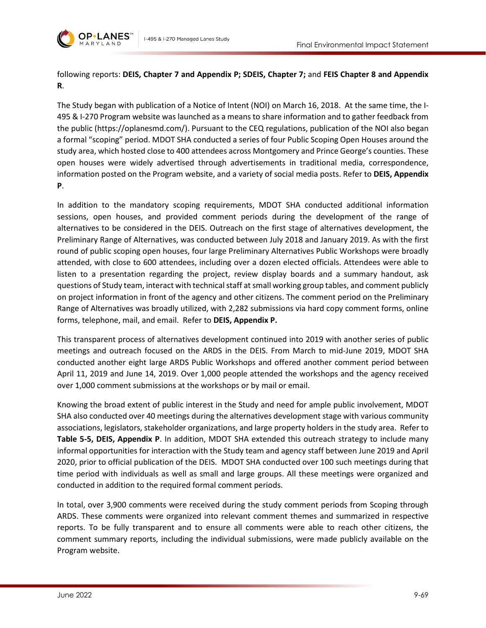

following reports: **DEIS, Chapter 7 and Appendix P; SDEIS, Chapter 7;** and **FEIS Chapter 8 and Appendix R**.

The Study began with publication of a Notice of Intent (NOI) on March 16, 2018. At the same time, the I-495 & I-270 Program website was launched as a means to share information and to gather feedback from the public (https://oplanesmd.com/). Pursuant to the CEQ regulations, publication of the NOI also began a formal "scoping" period. MDOT SHA conducted a series of four Public Scoping Open Houses around the study area, which hosted close to 400 attendees across Montgomery and Prince George's counties. These open houses were widely advertised through advertisements in traditional media, correspondence, information posted on the Program website, and a variety of social media posts. Refer to **DEIS, Appendix P**.

In addition to the mandatory scoping requirements, MDOT SHA conducted additional information sessions, open houses, and provided comment periods during the development of the range of alternatives to be considered in the DEIS. Outreach on the first stage of alternatives development, the Preliminary Range of Alternatives, was conducted between July 2018 and January 2019. As with the first round of public scoping open houses, four large Preliminary Alternatives Public Workshops were broadly attended, with close to 600 attendees, including over a dozen elected officials. Attendees were able to listen to a presentation regarding the project, review display boards and a summary handout, ask questions of Study team, interact with technical staff at small working group tables, and comment publicly on project information in front of the agency and other citizens. The comment period on the Preliminary Range of Alternatives was broadly utilized, with 2,282 submissions via hard copy comment forms, online forms, telephone, mail, and email. Refer to **DEIS, Appendix P.**

This transparent process of alternatives development continued into 2019 with another series of public meetings and outreach focused on the ARDS in the DEIS. From March to mid-June 2019, MDOT SHA conducted another eight large ARDS Public Workshops and offered another comment period between April 11, 2019 and June 14, 2019. Over 1,000 people attended the workshops and the agency received over 1,000 comment submissions at the workshops or by mail or email.

Knowing the broad extent of public interest in the Study and need for ample public involvement, MDOT SHA also conducted over 40 meetings during the alternatives development stage with various community associations, legislators, stakeholder organizations, and large property holders in the study area. Refer to **Table 5-5, DEIS, Appendix P**. In addition, MDOT SHA extended this outreach strategy to include many informal opportunities for interaction with the Study team and agency staff between June 2019 and April 2020, prior to official publication of the DEIS. MDOT SHA conducted over 100 such meetings during that time period with individuals as well as small and large groups. All these meetings were organized and conducted in addition to the required formal comment periods.

In total, over 3,900 comments were received during the study comment periods from Scoping through ARDS. These comments were organized into relevant comment themes and summarized in respective reports. To be fully transparent and to ensure all comments were able to reach other citizens, the comment summary reports, including the individual submissions, were made publicly available on the Program website.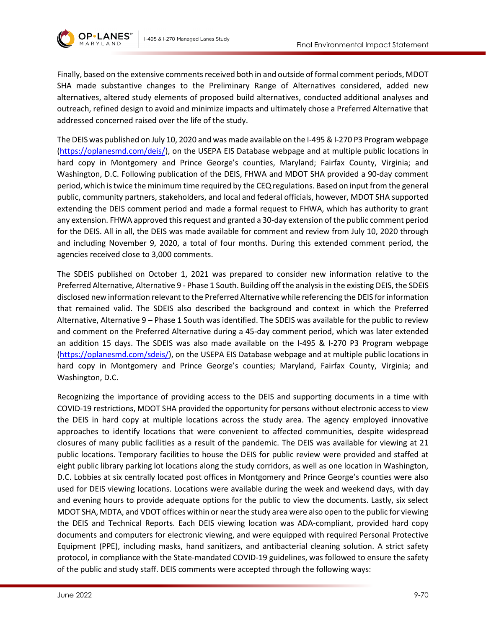

Finally, based on the extensive comments received both in and outside of formal comment periods, MDOT SHA made substantive changes to the Preliminary Range of Alternatives considered, added new alternatives, altered study elements of proposed build alternatives, conducted additional analyses and outreach, refined design to avoid and minimize impacts and ultimately chose a Preferred Alternative that addressed concerned raised over the life of the study.

The DEIS was published on July 10, 2020 and was made available on the I-495 & I-270 P3 Program webpage [\(https://oplanesmd.com/deis/\)](https://oplanesmd.com/deis/), on the USEPA EIS Database webpage and at multiple public locations in hard copy in Montgomery and Prince George's counties, Maryland; Fairfax County, Virginia; and Washington, D.C. Following publication of the DEIS, FHWA and MDOT SHA provided a 90-day comment period, which is twice the minimum time required by the CEQ regulations. Based on input from the general public, community partners, stakeholders, and local and federal officials, however, MDOT SHA supported extending the DEIS comment period and made a formal request to FHWA, which has authority to grant any extension. FHWA approved this request and granted a 30-day extension of the public comment period for the DEIS. All in all, the DEIS was made available for comment and review from July 10, 2020 through and including November 9, 2020, a total of four months. During this extended comment period, the agencies received close to 3,000 comments.

The SDEIS published on October 1, 2021 was prepared to consider new information relative to the Preferred Alternative, Alternative 9 - Phase 1 South. Building off the analysis in the existing DEIS, the SDEIS disclosed new information relevant to the Preferred Alternative while referencing the DEIS for information that remained valid. The SDEIS also described the background and context in which the Preferred Alternative, Alternative 9 – Phase 1 South was identified. The SDEIS was available for the public to review and comment on the Preferred Alternative during a 45-day comment period, which was later extended an addition 15 days. The SDEIS was also made available on the I-495 & I-270 P3 Program webpage [\(https://oplanesmd.com/sdeis/\)](https://oplanesmd.com/sdeis/), on the USEPA EIS Database webpage and at multiple public locations in hard copy in Montgomery and Prince George's counties; Maryland, Fairfax County, Virginia; and Washington, D.C.

Recognizing the importance of providing access to the DEIS and supporting documents in a time with COVID-19 restrictions, MDOT SHA provided the opportunity for persons without electronic access to view the DEIS in hard copy at multiple locations across the study area. The agency employed innovative approaches to identify locations that were convenient to affected communities, despite widespread closures of many public facilities as a result of the pandemic. The DEIS was available for viewing at 21 public locations. Temporary facilities to house the DEIS for public review were provided and staffed at eight public library parking lot locations along the study corridors, as well as one location in Washington, D.C. Lobbies at six centrally located post offices in Montgomery and Prince George's counties were also used for DEIS viewing locations. Locations were available during the week and weekend days, with day and evening hours to provide adequate options for the public to view the documents. Lastly, six select MDOT SHA, MDTA, and VDOT offices within or near the study area were also open to the public for viewing the DEIS and Technical Reports. Each DEIS viewing location was ADA-compliant, provided hard copy documents and computers for electronic viewing, and were equipped with required Personal Protective Equipment (PPE), including masks, hand sanitizers, and antibacterial cleaning solution. A strict safety protocol, in compliance with the State-mandated COVID-19 guidelines, was followed to ensure the safety of the public and study staff. DEIS comments were accepted through the following ways: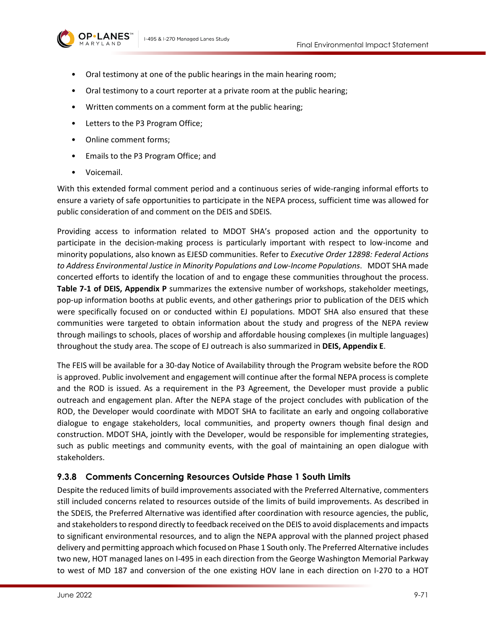



- Oral testimony at one of the public hearings in the main hearing room;
- Oral testimony to a court reporter at a private room at the public hearing;
- Written comments on a comment form at the public hearing;
- Letters to the P3 Program Office;
- Online comment forms;
- Emails to the P3 Program Office; and
- Voicemail.

With this extended formal comment period and a continuous series of wide-ranging informal efforts to ensure a variety of safe opportunities to participate in the NEPA process, sufficient time was allowed for public consideration of and comment on the DEIS and SDEIS.

Providing access to information related to MDOT SHA's proposed action and the opportunity to participate in the decision-making process is particularly important with respect to low-income and minority populations, also known as EJESD communities. Refer to *Executive Order 12898: Federal Actions to Address Environmental Justice in Minority Populations and Low-Income Populations*. MDOT SHA made concerted efforts to identify the location of and to engage these communities throughout the process. **Table 7-1 of DEIS, Appendix P** summarizes the extensive number of workshops, stakeholder meetings, pop-up information booths at public events, and other gatherings prior to publication of the DEIS which were specifically focused on or conducted within EJ populations. MDOT SHA also ensured that these communities were targeted to obtain information about the study and progress of the NEPA review through mailings to schools, places of worship and affordable housing complexes (in multiple languages) throughout the study area. The scope of EJ outreach is also summarized in **DEIS, Appendix E**.

The FEIS will be available for a 30-day Notice of Availability through the Program website before the ROD is approved. Public involvement and engagement will continue after the formal NEPA process is complete and the ROD is issued. As a requirement in the P3 Agreement, the Developer must provide a public outreach and engagement plan. After the NEPA stage of the project concludes with publication of the ROD, the Developer would coordinate with MDOT SHA to facilitate an early and ongoing collaborative dialogue to engage stakeholders, local communities, and property owners though final design and construction. MDOT SHA, jointly with the Developer, would be responsible for implementing strategies, such as public meetings and community events, with the goal of maintaining an open dialogue with stakeholders.

# **9.3.8 Comments Concerning Resources Outside Phase 1 South Limits**

Despite the reduced limits of build improvements associated with the Preferred Alternative, commenters still included concerns related to resources outside of the limits of build improvements. As described in the SDEIS, the Preferred Alternative was identified after coordination with resource agencies, the public, and stakeholders to respond directly to feedback received on the DEIS to avoid displacements and impacts to significant environmental resources, and to align the NEPA approval with the planned project phased delivery and permitting approach which focused on Phase 1 South only. The Preferred Alternative includes two new, HOT managed lanes on I-495 in each direction from the George Washington Memorial Parkway to west of MD 187 and conversion of the one existing HOV lane in each direction on I-270 to a HOT